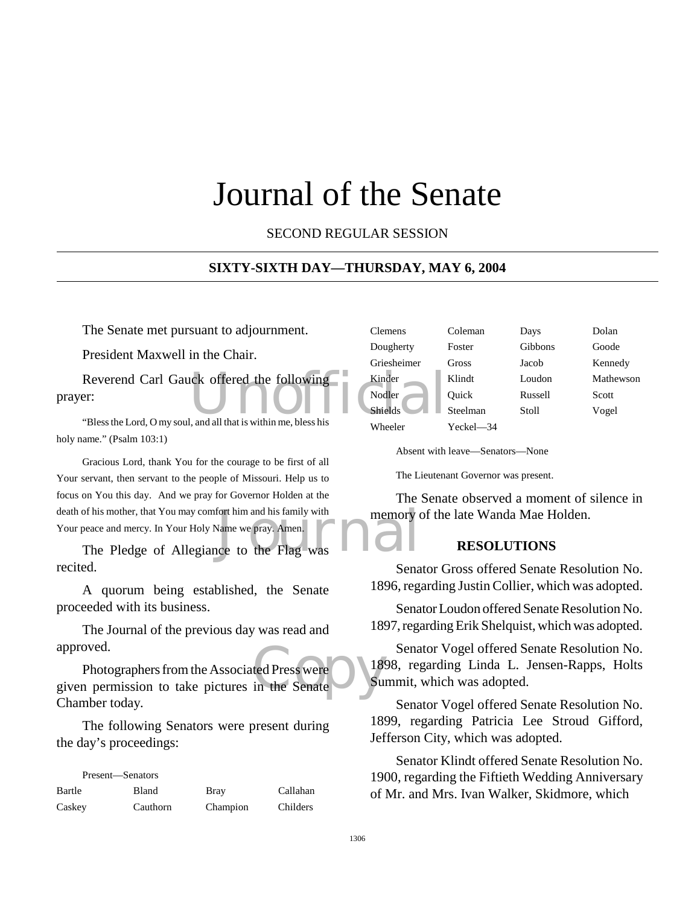# Journal of the Senate

SECOND REGULAR SESSION

#### **SIXTY-SIXTH DAY—THURSDAY, MAY 6, 2004**

The Senate met pursuant to adjournment.

President Maxwell in the Chair.

Reverend Carl Gauck offered the following<br>
Pr: Nodler<br>
"Bless the Lord. O my soul, and all that is within me, bless his prayer:

"Bless the Lord, O my soul, and all that is within me, bless his holy name." (Psalm 103:1)

of his mother, that You may comfort him and his family with<br>
peace and mercy. In Your Holy Name we pray. Amen.<br>
The Pledge of Allegiance to the Flag was Gracious Lord, thank You for the courage to be first of all Your servant, then servant to the people of Missouri. Help us to focus on You this day. And we pray for Governor Holden at the death of his mother, that You may comfort him and his family with Your peace and mercy. In Your Holy Name we pray. Amen.

recited.

A quorum being established, the Senate proceeded with its business.

The Journal of the previous day was read and approved.

approved.<br>
Photographers from the Associated Press were<br>
given permission to take pictures in the Senate<br>
Su Photographers from the Associated Press were Chamber today.

The following Senators were present during the day's proceedings:

| Present—Senators |          |             |          |
|------------------|----------|-------------|----------|
| Bartle           | Bland    | <b>Bray</b> | Callahan |
| Caskey           | Cauthorn | Champion    | Childers |

| <b>Clemens</b> | Coleman   | Days    | Dolan     |
|----------------|-----------|---------|-----------|
| Dougherty      | Foster    | Gibbons | Goode     |
| Griesheimer    | Gross     | Jacob   | Kennedy   |
| Kinder         | Klindt    | Loudon  | Mathewson |
| Nodler         | Ouick     | Russell | Scott     |
| <b>Shields</b> | Steelman  | Stoll   | Vogel     |
| Wheeler        | Yeckel—34 |         |           |

Absent with leave—Senators—None

The Lieutenant Governor was present.

The Senate observed a moment of silence in memory of the late Wanda Mae Holden.

#### **RESOLUTIONS**

Senator Gross offered Senate Resolution No. 1896, regarding Justin Collier, which was adopted.

Senator Loudon offered Senate Resolution No. 1897, regarding Erik Shelquist, which was adopted.

Senator Vogel offered Senate Resolution No. 1898, regarding Linda L. Jensen-Rapps, Holts Summit, which was adopted.

Senator Vogel offered Senate Resolution No. 1899, regarding Patricia Lee Stroud Gifford, Jefferson City, which was adopted.

Senator Klindt offered Senate Resolution No. 1900, regarding the Fiftieth Wedding Anniversary of Mr. and Mrs. Ivan Walker, Skidmore, which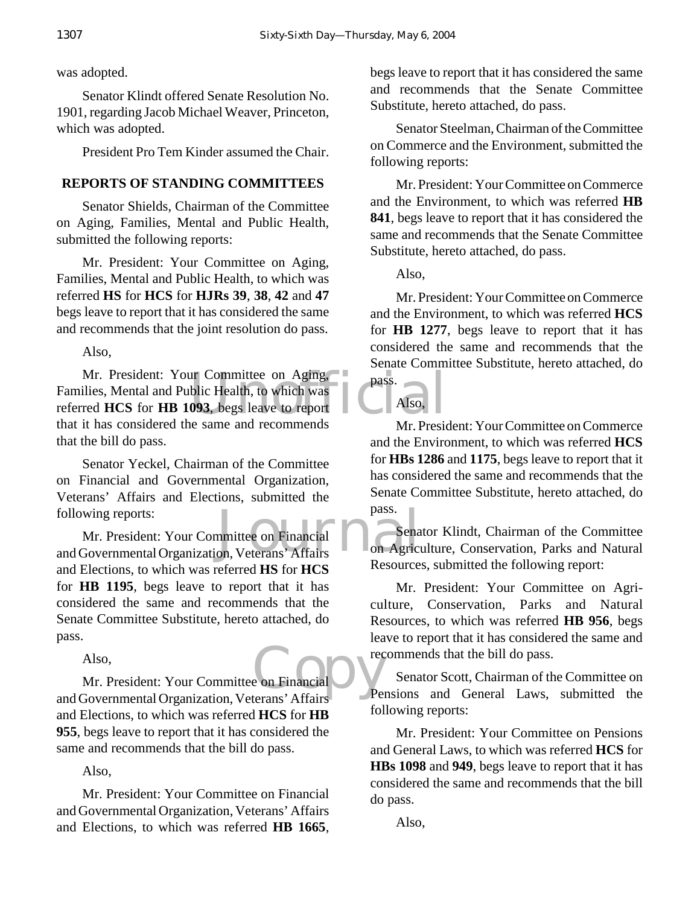was adopted.

Senator Klindt offered Senate Resolution No. 1901, regarding Jacob Michael Weaver, Princeton, which was adopted.

President Pro Tem Kinder assumed the Chair.

## **REPORTS OF STANDING COMMITTEES**

Senator Shields, Chairman of the Committee on Aging, Families, Mental and Public Health, submitted the following reports:

Mr. President: Your Committee on Aging, Families, Mental and Public Health, to which was referred **HS** for **HCS** for **HJRs 39**, **38**, **42** and **47** begs leave to report that it has considered the same and recommends that the joint resolution do pass.

Also,

Mr. President: Your Committee on Aging, a pass.<br>
ilies, Mental and Public Health, to which was<br>
red HCS for HB 1093, begs leave to report<br>
it has considered the same and recommends Families, Mental and Public Health, to which was referred **HCS** for **HB 1093**, begs leave to report that it has considered the same and recommends that the bill do pass.

Senator Yeckel, Chairman of the Committee on Financial and Governmental Organization, Veterans' Affairs and Elections, submitted the following reports:

pass.<br>
Mr. President: Your Committee on Financial<br>
and Governmental Organization, Veterans' Affairs<br>
Comparison Mr. President: Your Committee on Financial and Elections, to which was referred **HS** for **HCS** for **HB 1195**, begs leave to report that it has considered the same and recommends that the Senate Committee Substitute, hereto attached, do pass.

Also,

e on Financial Neu Mr. President: Your Committee on Financial and Governmental Organization, Veterans' Affairs and Elections, to which was referred **HCS** for **HB 955**, begs leave to report that it has considered the same and recommends that the bill do pass.

Also,

Mr. President: Your Committee on Financial and Governmental Organization, Veterans' Affairs and Elections, to which was referred **HB 1665**, begs leave to report that it has considered the same and recommends that the Senate Committee Substitute, hereto attached, do pass.

Senator Steelman, Chairman of the Committee on Commerce and the Environment, submitted the following reports:

Mr. President: Your Committee on Commerce and the Environment, to which was referred **HB 841**, begs leave to report that it has considered the same and recommends that the Senate Committee Substitute, hereto attached, do pass.

Also,

Also,

pass.

Mr. President: Your Committee on Commerce and the Environment, to which was referred **HCS** for **HB 1277**, begs leave to report that it has considered the same and recommends that the Senate Committee Substitute, hereto attached, do

Mr. President: Your Committee on Commerce and the Environment, to which was referred **HCS** for **HBs 1286** and **1175**, begs leave to report that it has considered the same and recommends that the Senate Committee Substitute, hereto attached, do pass.

Senator Klindt, Chairman of the Committee on Agriculture, Conservation, Parks and Natural Resources, submitted the following report:

Mr. President: Your Committee on Agriculture, Conservation, Parks and Natural Resources, to which was referred **HB 956**, begs leave to report that it has considered the same and recommends that the bill do pass.

Senator Scott, Chairman of the Committee on Pensions and General Laws, submitted the following reports:

Mr. President: Your Committee on Pensions and General Laws, to which was referred **HCS** for **HBs 1098** and **949**, begs leave to report that it has considered the same and recommends that the bill do pass.

Also,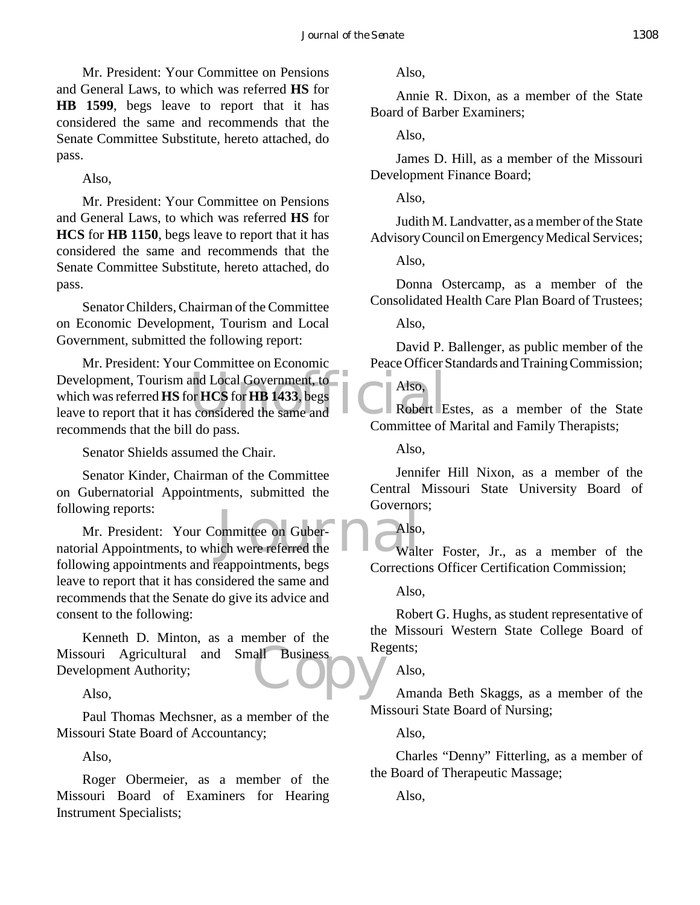Mr. President: Your Committee on Pensions and General Laws, to which was referred **HS** for **HB 1599**, begs leave to report that it has considered the same and recommends that the Senate Committee Substitute, hereto attached, do pass.

Also,

Mr. President: Your Committee on Pensions and General Laws, to which was referred **HS** for **HCS** for **HB 1150**, begs leave to report that it has considered the same and recommends that the Senate Committee Substitute, hereto attached, do pass.

Senator Childers, Chairman of the Committee on Economic Development, Tourism and Local Government, submitted the following report:

Development, Tourism and Local Government, to<br>
which was referred **HS** for HCS for HB 1433, begs<br>
leave to report that it has considered the same and<br>
Committee of Mr. President: Your Committee on Economic which was referred **HS** for **HCS** for **HB 1433**, begs leave to report that it has considered the same and recommends that the bill do pass.

Senator Shields assumed the Chair.

Senator Kinder, Chairman of the Committee on Gubernatorial Appointments, submitted the following reports:

ommittee on Guber-<br>
Sich were referred the<br>
Letter the Walt Mr. President: Your Committee on Gubernatorial Appointments, to which were referred the following appointments and reappointments, begs leave to report that it has considered the same and recommends that the Senate do give its advice and consent to the following:

Missouri Agricultural and Small Business<br>Development Authority;<br>Also, Kenneth D. Minton, as a member of the Development Authority;

Also,

Paul Thomas Mechsner, as a member of the Missouri State Board of Accountancy;

Also,

Roger Obermeier, as a member of the Missouri Board of Examiners for Hearing Instrument Specialists;

Also,

Annie R. Dixon, as a member of the State Board of Barber Examiners;

Also,

James D. Hill, as a member of the Missouri Development Finance Board;

Also,

Judith M. Landvatter, as a member of the State Advisory Council on Emergency Medical Services;

Also,

Donna Ostercamp, as a member of the Consolidated Health Care Plan Board of Trustees;

Also,

David P. Ballenger, as public member of the Peace Officer Standards and Training Commission;

Also,

Robert Estes, as a member of the State Committee of Marital and Family Therapists;

Also,

Jennifer Hill Nixon, as a member of the Central Missouri State University Board of Governors;

Also,

Walter Foster, Jr., as a member of the Corrections Officer Certification Commission;

Also,

Robert G. Hughs, as student representative of the Missouri Western State College Board of Regents;

Also,

Amanda Beth Skaggs, as a member of the Missouri State Board of Nursing;

Also,

Charles "Denny" Fitterling, as a member of the Board of Therapeutic Massage;

Also,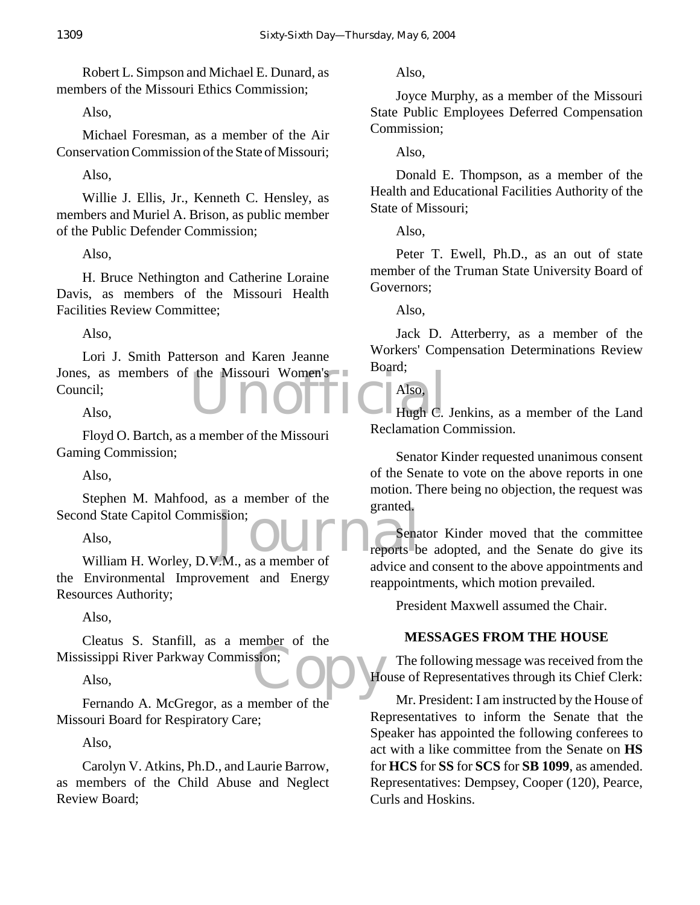Robert L. Simpson and Michael E. Dunard, as members of the Missouri Ethics Commission;

Also,

Michael Foresman, as a member of the Air Conservation Commission of the State of Missouri;

Also,

Willie J. Ellis, Jr., Kenneth C. Hensley, as members and Muriel A. Brison, as public member of the Public Defender Commission;

Also,

H. Bruce Nethington and Catherine Loraine Davis, as members of the Missouri Health Facilities Review Committee;

Also,

the Missouri Women's Collection Collection and Missouri Collection and Missouri Collection and Missouri Collection and Missouri Collection and Missouri Collection and Missouri Collection and Missouri Collection and Missour Lori J. Smith Patterson and Karen Jeanne Jones, as members of the Missouri Women's Council;

Also,

Floyd O. Bartch, as a member of the Missouri Gaming Commission;

Also,

Stephen M. Mahfood, as a member of the Second State Capitol Commission;

Also,

md State Capitol Commission;<br>
Also,<br>
William H. Worley, D.V.M., as a member of advice an the Environmental Improvement and Energy Resources Authority;

Also,

sion; OD Ho Cleatus S. Stanfill, as a member of the Mississippi River Parkway Commission;

Also,

Fernando A. McGregor, as a member of the Missouri Board for Respiratory Care;

Also,

Carolyn V. Atkins, Ph.D., and Laurie Barrow, as members of the Child Abuse and Neglect Review Board;

Also,

Joyce Murphy, as a member of the Missouri State Public Employees Deferred Compensation Commission;

Also,

Donald E. Thompson, as a member of the Health and Educational Facilities Authority of the State of Missouri;

Also,

Peter T. Ewell, Ph.D., as an out of state member of the Truman State University Board of Governors;

Also,

Jack D. Atterberry, as a member of the Workers' Compensation Determinations Review Board;

Also,

Hugh C. Jenkins, as a member of the Land Reclamation Commission.

Senator Kinder requested unanimous consent of the Senate to vote on the above reports in one motion. There being no objection, the request was granted.

Senator Kinder moved that the committee reports be adopted, and the Senate do give its advice and consent to the above appointments and reappointments, which motion prevailed.

President Maxwell assumed the Chair.

# **MESSAGES FROM THE HOUSE**

The following message was received from the House of Representatives through its Chief Clerk:

Mr. President: I am instructed by the House of Representatives to inform the Senate that the Speaker has appointed the following conferees to act with a like committee from the Senate on **HS** for **HCS** for **SS** for **SCS** for **SB 1099**, as amended. Representatives: Dempsey, Cooper (120), Pearce, Curls and Hoskins.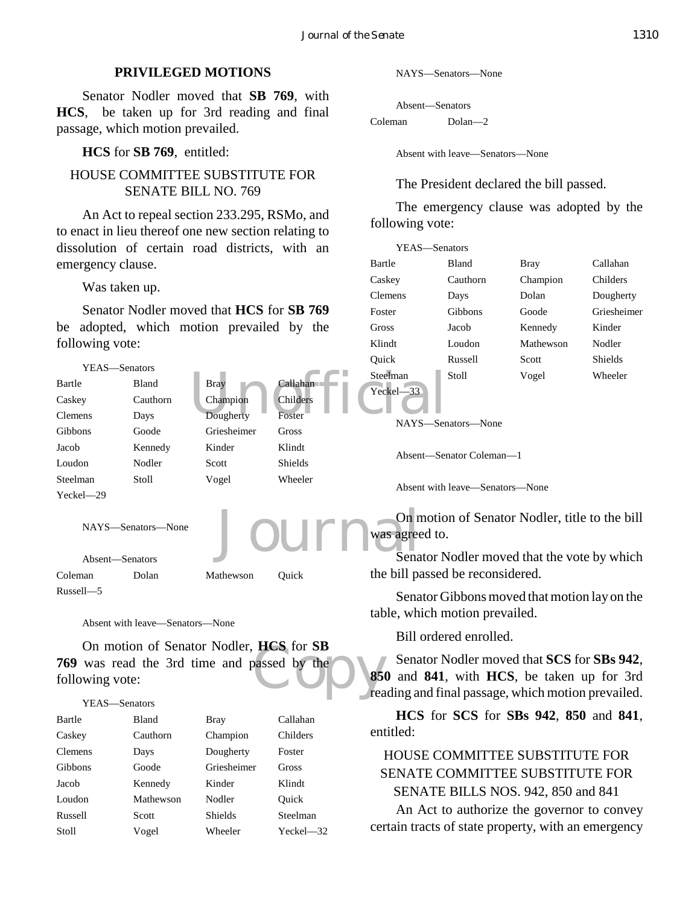#### **PRIVILEGED MOTIONS**

Senator Nodler moved that **SB 769**, with **HCS**, be taken up for 3rd reading and final passage, which motion prevailed.

**HCS** for **SB 769**, entitled:

## HOUSE COMMITTEE SUBSTITUTE FOR SENATE BILL NO. 769

An Act to repeal section 233.295, RSMo, and to enact in lieu thereof one new section relating to dissolution of certain road districts, with an emergency clause.

Was taken up.

Senator Nodler moved that **HCS** for **SB 769** be adopted, which motion prevailed by the following vote:



## YEAS—Senators Bartle Bland Bray Callahan Caskey Cauthorn Champion Childers Clemens Days Dougherty Foster Gibbons Goode Griesheimer Gross Jacob Kennedy Kinder Klindt Loudon Mathewson Nodler Quick Russell Scott Shields Steelman Stoll Vogel Wheeler Yeckel—32

NAYS—Senators—None

```
Absent—Senators
Coleman Dolan—2
```
Absent with leave—Senators—None

The President declared the bill passed.

The emergency clause was adopted by the following vote:

| YEAS—Senators |          |             |                |
|---------------|----------|-------------|----------------|
| Bartle        | Bland    | <b>Bray</b> | Callahan       |
| Caskev        | Cauthorn | Champion    | Childers       |
| Clemens       | Days     | Dolan       | Dougherty      |
| Foster        | Gibbons  | Goode       | Griesheimer    |
| Gross         | Jacob    | Kennedy     | Kinder         |
| Klindt        | Loudon   | Mathewson   | Nodler         |
| Ouick         | Russell  | Scott       | <b>Shields</b> |
| Steelman      | Stoll    | Vogel       | Wheeler        |
|               |          |             |                |

On motion of Senator Nodler, title to the bill

Senator Nodler moved that the vote by which

Senator Gibbons moved that motion lay on the

Senator Nodler moved that **SCS** for **SBs 942**, **850** and **841**, with **HCS**, be taken up for 3rd reading and final passage, which motion prevailed.

**HCS** for **SCS** for **SBs 942**, **850** and **841**, entitled:

# HOUSE COMMITTEE SUBSTITUTE FOR SENATE COMMITTEE SUBSTITUTE FOR SENATE BILLS NOS. 942, 850 and 841

An Act to authorize the governor to convey certain tracts of state property, with an emergency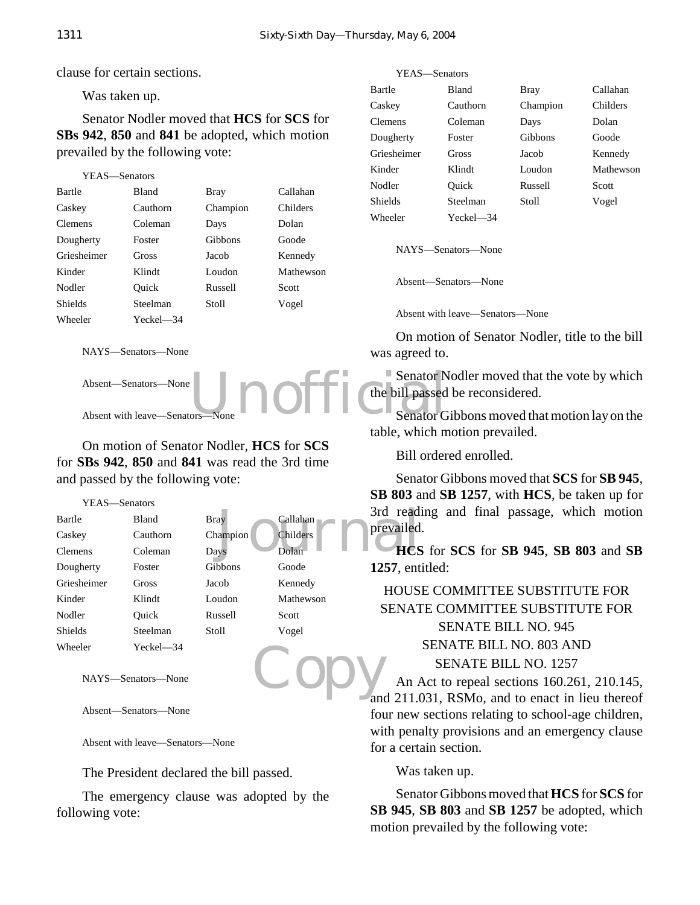clause for certain sections.

Was taken up.

Senator Nodler moved that **HCS** for **SCS** for **SBs 942**, **850** and **841** be adopted, which motion prevailed by the following vote:

```
YEAS—Senators
Bartle Bland Bray Callahan
Caskey Cauthorn Champion Childers
Clemens Coleman Days Dolan
Dougherty Foster Gibbons Goode
Griesheimer Gross Jacob Kennedy
Kinder Klindt Loudon Mathewson
Nodler Quick Russell Scott
Shields Steelman Stoll Vogel
Wheeler Yeckel—34
```
NAYS—Senators—None

Absent—Senators—None

Absent with leave-Senators

On motion of Senator Nodler, **HCS** for **SCS** for **SBs 942**, **850** and **841** was read the 3rd time and passed by the following vote:

YEAS—Senators

|             |           |          |           | read<br>3rd  |
|-------------|-----------|----------|-----------|--------------|
| Bartle      | Bland     | Bray     | Callahan  |              |
| Caskey      | Cauthorn  | Champion | Childers  | prevailed    |
| Clemens     | Coleman   | Days     | Dolan     | <b>HCS</b>   |
| Dougherty   | Foster    | Gibbons  | Goode     | $1257$ , ent |
| Griesheimer | Gross     | Jacob    | Kennedy   | <b>HOUS</b>  |
| Kinder      | Klindt    | Loudon   | Mathewson |              |
| Nodler      | Ouick     | Russell  | Scott     | <b>SENAT</b> |
| Shields     | Steelman  | Stoll    | Vogel     |              |
| Wheeler     | Yeckel—34 |          |           |              |

NAYS—Senators—None

Absent—Senators—None

Absent with leave—Senators—None

The President declared the bill passed.

The emergency clause was adopted by the following vote:

| YEAS-Senators  |           |             |           |
|----------------|-----------|-------------|-----------|
| Bartle         | Bland     | <b>Bray</b> | Callahan  |
| Caskey         | Cauthorn  | Champion    | Childers  |
| <b>Clemens</b> | Coleman   | Days        | Dolan     |
| Dougherty      | Foster    | Gibbons     | Goode     |
| Griesheimer    | Gross     | Jacob       | Kennedy   |
| Kinder         | Klindt    | Loudon      | Mathewson |
| Nodler         | Ouick     | Russell     | Scott     |
| <b>Shields</b> | Steelman  | Stoll       | Vogel     |
| Wheeler        | Yeckel—34 |             |           |

NAYS—Senators—None

Absent—Senators—None

Absent with leave—Senators—None

On motion of Senator Nodler, title to the bill was agreed to.

Unofficial Desertor Senator Nodler moved that the vote by which the bill passed be reconsidered.

Senator Gibbons moved that motion lay on the table, which motion prevailed.

Bill ordered enrolled.

Senator Gibbons moved that **SCS** for **SB 945**, **SB 803** and **SB 1257**, with **HCS**, be taken up for 3rd reading and final passage, which motion prevailed.

**HCS** for **SCS** for **SB 945**, **SB 803** and **SB 1257**, entitled:

# HOUSE COMMITTEE SUBSTITUTE FOR SENATE COMMITTEE SUBSTITUTE FOR SENATE BILL NO. 945 SENATE BILL NO. 803 AND SENATE BILL NO. 1257

Copy An Act to repeal sections 160.261, 210.145, and 211.031, RSMo, and to enact in lieu thereof four new sections relating to school-age children, with penalty provisions and an emergency clause for a certain section.

Was taken up.

Senator Gibbons moved that **HCS** for **SCS** for **SB 945**, **SB 803** and **SB 1257** be adopted, which motion prevailed by the following vote: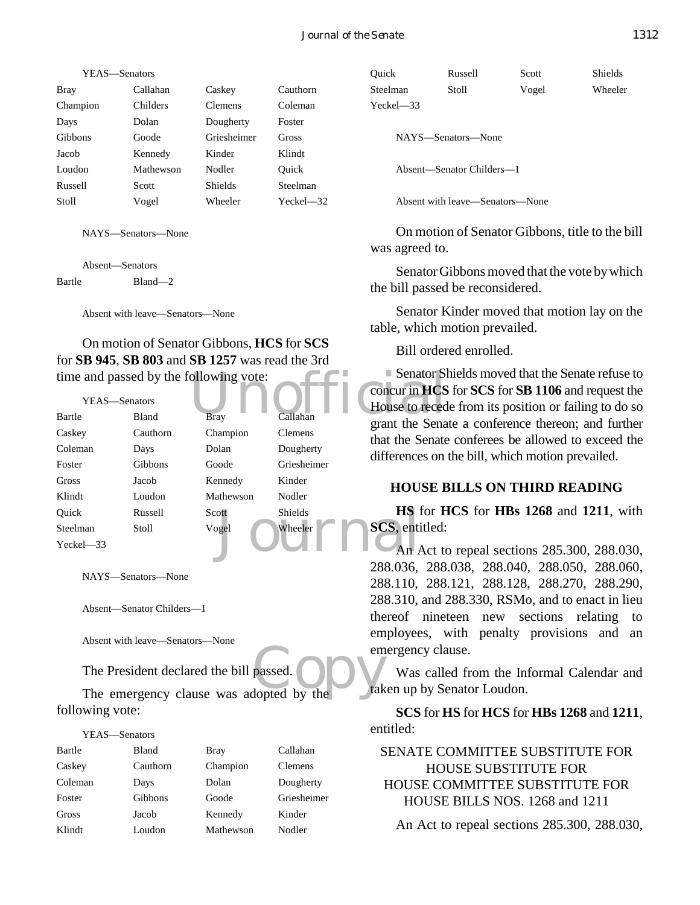| YEAS—Senators |                |           |
|---------------|----------------|-----------|
| Callahan      | Caskey         | Cauthorn  |
| Childers      | <b>Clemens</b> | Coleman   |
| Dolan         | Dougherty      | Foster    |
| Goode         | Griesheimer    | Gross     |
| Kennedy       | Kinder         | Klindt    |
| Mathewson     | Nodler         | Ouick     |
| Scott         | <b>Shields</b> | Steelman  |
| Vogel         | Wheeler        | Yeckel—32 |
|               |                |           |

NAYS—Senators—None

Absent—Senators Bartle Bland—2

Absent with leave—Senators—None

On motion of Senator Gibbons, **HCS** for **SCS** for **SB 945**, **SB 803** and **SB 1257** was read the 3rd time and passed by the following vote:

|               |                | time and passed by the following vote: |                | Senator SI             |
|---------------|----------------|----------------------------------------|----------------|------------------------|
|               |                |                                        |                | concur in HCS          |
| YEAS—Senators |                |                                        |                | House to reced         |
| Bartle        | <b>Bland</b>   | <b>Bray</b>                            | Callahan       | grant the Sena         |
| Caskey        | Cauthorn       | Champion                               | <b>Clemens</b> | that the Senate        |
| Coleman       | Days           | Dolan                                  | Dougherty      | differences on         |
| Foster        | <b>Gibbons</b> | Goode                                  | Griesheimer    |                        |
| Gross         | Jacob          | Kennedy                                | Kinder         | <b>HOUSE B</b>         |
| Klindt        | Loudon         | Mathewson                              | Nodler         |                        |
| Ouick         | Russell        | Scott <sup>-</sup>                     | Shields        | HS for H               |
| Steelman      | <b>Stoll</b>   | Vogel                                  | Wheeler        | <b>SCS</b> , entitled: |
| $Yeckel - 33$ |                |                                        |                | An Act to              |
|               |                |                                        |                |                        |

NAYS—Senators—None

Absent—Senator Childers—1

Absent with leave—Senators—None

The President declared the bill passed.

EDESERVIRILIANCE SCRIBSTON CORRECTED FOR EXAMPLE THE President declared the bill passed.<br>The emergency clause was adopted by the tak following vote:

YEAS—Senators

| Bartle  | <b>Bland</b> | Bray      | Callahan       |
|---------|--------------|-----------|----------------|
| Caskey  | Cauthorn     | Champion  | <b>Clemens</b> |
| Coleman | Days         | Dolan     | Dougherty      |
| Foster  | Gibbons      | Goode     | Griesheimer    |
| Gross   | Jacob        | Kennedy   | Kinder         |
| Klindt  | Loudon       | Mathewson | Nodler         |

| Ouick         | Russell            | Scott | Shields |
|---------------|--------------------|-------|---------|
| Steelman      | Stoll              | Vogel | Wheeler |
| $Yeckel - 33$ |                    |       |         |
|               | NAYS—Senators—None |       |         |

Absent—Senator Childers—1

Absent with leave—Senators—None

On motion of Senator Gibbons, title to the bill was agreed to.

Senator Gibbons moved that the vote by which the bill passed be reconsidered.

Senator Kinder moved that motion lay on the table, which motion prevailed.

Bill ordered enrolled.

Senator Shields moved that the Senate refuse to concur in **HCS** for **SCS** for **SB 1106** and request the House to recede from its position or failing to do so grant the Senate a conference thereon; and further that the Senate conferees be allowed to exceed the differences on the bill, which motion prevailed.

#### **HOUSE BILLS ON THIRD READING**

**HS** for **HCS** for **HBs 1268** and **1211**, with **SCS**, entitled:

An Act to repeal sections 285.300, 288.030, 288.036, 288.038, 288.040, 288.050, 288.060, 288.110, 288.121, 288.128, 288.270, 288.290, 288.310, and 288.330, RSMo, and to enact in lieu thereof nineteen new sections relating to employees, with penalty provisions and an emergency clause.

Was called from the Informal Calendar and taken up by Senator Loudon.

**SCS** for **HS** for **HCS** for **HBs 1268** and **1211**, entitled:

SENATE COMMITTEE SUBSTITUTE FOR HOUSE SUBSTITUTE FOR HOUSE COMMITTEE SUBSTITUTE FOR HOUSE BILLS NOS. 1268 and 1211

An Act to repeal sections 285.300, 288.030,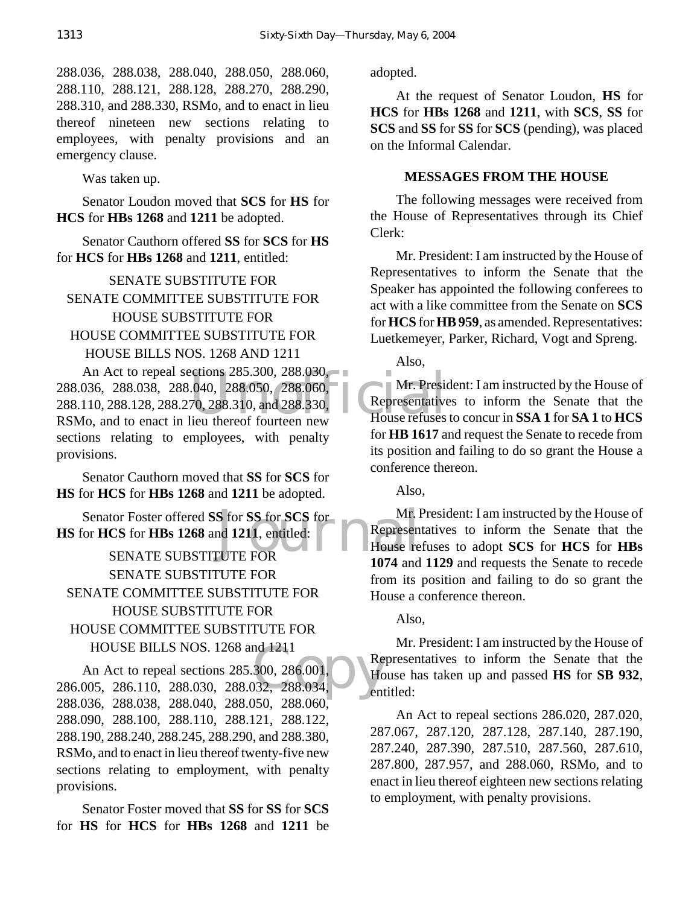288.036, 288.038, 288.040, 288.050, 288.060, 288.110, 288.121, 288.128, 288.270, 288.290, 288.310, and 288.330, RSMo, and to enact in lieu thereof nineteen new sections relating to employees, with penalty provisions and an emergency clause.

Was taken up.

Senator Loudon moved that **SCS** for **HS** for **HCS** for **HBs 1268** and **1211** be adopted.

Senator Cauthorn offered **SS** for **SCS** for **HS** for **HCS** for **HBs 1268** and **1211**, entitled:

SENATE SUBSTITUTE FOR SENATE COMMITTEE SUBSTITUTE FOR HOUSE SUBSTITUTE FOR HOUSE COMMITTEE SUBSTITUTE FOR HOUSE BILLS NOS. 1268 AND 1211

An Act to repeal sections 285.300, 288.030,<br>036, 288.038, 288.040, 288.050, 288.060, Mr. President<br>110, 288.128, 288.270, 288.310, and 288.330, Representative<br>Io. and to enact in lieu thereof fourteen new House refuses 288.036, 288.038, 288.040, 288.050, 288.060, 288.110, 288.128, 288.270, 288.310, and 288.330,

RSMo, and to enact in lieu thereof fourteen new sections relating to employees, with penalty provisions.

Senator Cauthorn moved that **SS** for **SCS** for **HS** for **HCS** for **HBs 1268** and **1211** be adopted.

Senator Foster offered **SS** for **SS** for **SCS** for **Mr. I**<br>
For **HCS** for **HBs 1268** and **1211**, entitled: **CONFIGURER FOR**<br>
SENATE SUBSTITUTE FOR **HS** for **HCS** for **HBs 1268** and **1211**, entitled: SENATE SUBSTITUTE FOR SENATE SUBSTITUTE FOR SENATE COMMITTEE SUBSTITUTE FOR HOUSE SUBSTITUTE FOR HOUSE COMMITTEE SUBSTITUTE FOR HOUSE BILLS NOS. 1268 and 1211

HOUSE BILLS NOS. 1268 and 1211<br>
An Act to repeal sections 285.300, 286.001,<br>
286.005, 286.110, 288.030, 288.032, 288.034, An Act to repeal sections 285.300, 286.001, 288.036, 288.038, 288.040, 288.050, 288.060, 288.090, 288.100, 288.110, 288.121, 288.122, 288.190, 288.240, 288.245, 288.290, and 288.380, RSMo, and to enact in lieu thereof twenty-five new sections relating to employment, with penalty provisions.

Senator Foster moved that **SS** for **SS** for **SCS** for **HS** for **HCS** for **HBs 1268** and **1211** be adopted.

At the request of Senator Loudon, **HS** for **HCS** for **HBs 1268** and **1211**, with **SCS**, **SS** for **SCS** and **SS** for **SS** for **SCS** (pending), was placed on the Informal Calendar.

#### **MESSAGES FROM THE HOUSE**

The following messages were received from the House of Representatives through its Chief Clerk:

Mr. President: I am instructed by the House of Representatives to inform the Senate that the Speaker has appointed the following conferees to act with a like committee from the Senate on **SCS** for **HCS** for **HB 959**, as amended. Representatives: Luetkemeyer, Parker, Richard, Vogt and Spreng.

Also,

Mr. President: I am instructed by the House of Representatives to inform the Senate that the House refuses to concur in **SSA 1** for **SA 1** to **HCS** for **HB 1617** and request the Senate to recede from its position and failing to do so grant the House a conference thereon.

Also,

Mr. President: I am instructed by the House of Representatives to inform the Senate that the House refuses to adopt **SCS** for **HCS** for **HBs 1074** and **1129** and requests the Senate to recede from its position and failing to do so grant the House a conference thereon.

Also,

Mr. President: I am instructed by the House of Representatives to inform the Senate that the House has taken up and passed **HS** for **SB 932**, entitled:

An Act to repeal sections 286.020, 287.020, 287.067, 287.120, 287.128, 287.140, 287.190, 287.240, 287.390, 287.510, 287.560, 287.610, 287.800, 287.957, and 288.060, RSMo, and to enact in lieu thereof eighteen new sections relating to employment, with penalty provisions.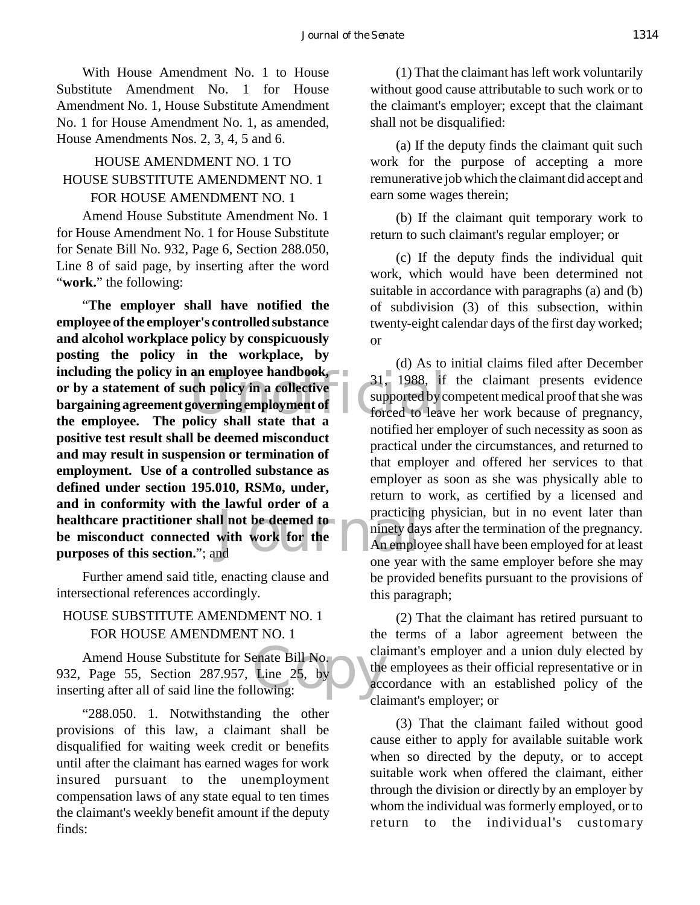With House Amendment No. 1 to House Substitute Amendment No. 1 for House Amendment No. 1, House Substitute Amendment No. 1 for House Amendment No. 1, as amended, House Amendments Nos. 2, 3, 4, 5 and 6.

## HOUSE AMENDMENT NO. 1 TO HOUSE SUBSTITUTE AMENDMENT NO. 1 FOR HOUSE AMENDMENT NO. 1

Amend House Substitute Amendment No. 1 for House Amendment No. 1 for House Substitute for Senate Bill No. 932, Page 6, Section 288.050, Line 8 of said page, by inserting after the word "**work.**" the following:

including the policy in an employee handbook,<br>
or by a statement of such policy in a collective<br>
bargaining agreement governing employment of<br>
the employee. The policy shall state that a<br>
the employee. Il not be deemed to<br>with work for the<br>notation one wear "**The employer shall have notified the employee of the employer's controlled substance and alcohol workplace policy by conspicuously posting the policy in the workplace, by or by a statement of such policy in a collective bargaining agreement governing employment of the employee. The policy shall state that a positive test result shall be deemed misconduct and may result in suspension or termination of employment. Use of a controlled substance as defined under section 195.010, RSMo, under, and in conformity with the lawful order of a healthcare practitioner shall not be deemed to be misconduct connected with work for the purposes of this section.**"; and

Further amend said title, enacting clause and intersectional references accordingly.

# HOUSE SUBSTITUTE AMENDMENT NO. 1 FOR HOUSE AMENDMENT NO. 1

enate Bill No.<br>
Line 25, by<br>
lowing: Amend House Substitute for Senate Bill No. 932, Page 55, Section 287.957, Line 25, by inserting after all of said line the following:

"288.050. 1. Notwithstanding the other provisions of this law, a claimant shall be disqualified for waiting week credit or benefits until after the claimant has earned wages for work insured pursuant to the unemployment compensation laws of any state equal to ten times the claimant's weekly benefit amount if the deputy finds:

(1) That the claimant has left work voluntarily without good cause attributable to such work or to the claimant's employer; except that the claimant shall not be disqualified:

(a) If the deputy finds the claimant quit such work for the purpose of accepting a more remunerative job which the claimant did accept and earn some wages therein;

(b) If the claimant quit temporary work to return to such claimant's regular employer; or

(c) If the deputy finds the individual quit work, which would have been determined not suitable in accordance with paragraphs (a) and (b) of subdivision (3) of this subsection, within twenty-eight calendar days of the first day worked; or

(d) As to initial claims filed after December 31, 1988, if the claimant presents evidence supported by competent medical proof that she was forced to leave her work because of pregnancy, notified her employer of such necessity as soon as practical under the circumstances, and returned to that employer and offered her services to that employer as soon as she was physically able to return to work, as certified by a licensed and practicing physician, but in no event later than ninety days after the termination of the pregnancy. An employee shall have been employed for at least one year with the same employer before she may be provided benefits pursuant to the provisions of this paragraph;

(2) That the claimant has retired pursuant to the terms of a labor agreement between the claimant's employer and a union duly elected by the employees as their official representative or in accordance with an established policy of the claimant's employer; or

(3) That the claimant failed without good cause either to apply for available suitable work when so directed by the deputy, or to accept suitable work when offered the claimant, either through the division or directly by an employer by whom the individual was formerly employed, or to return to the individual's customary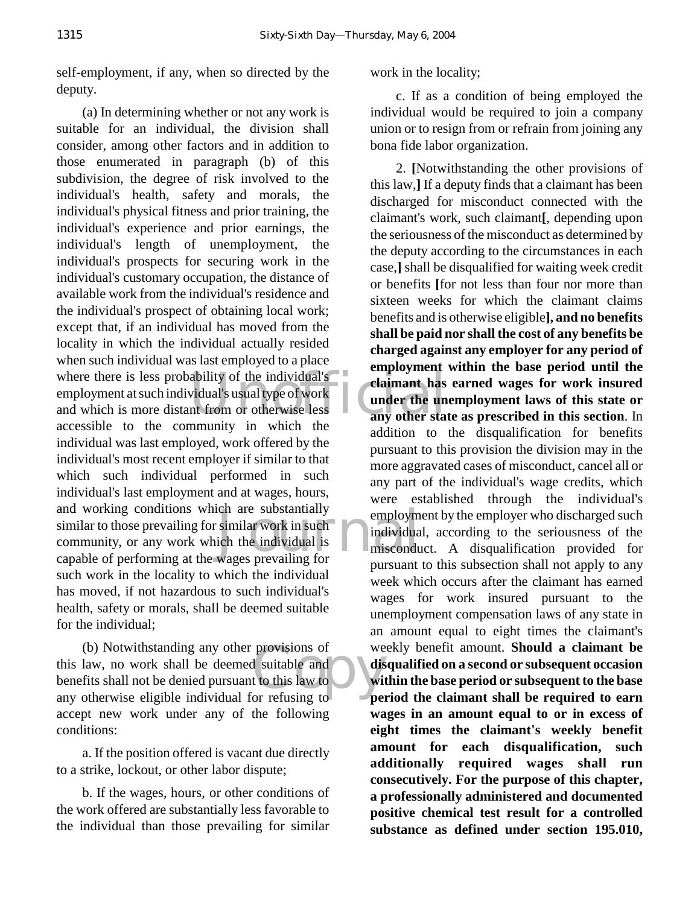self-employment, if any, when so directed by the deputy.

where there is less probability of the individual's<br>
employment at such individual's usual type of work<br>
and which is more distant from or otherwise less<br>
any other state The substantially<br>
similar work in such<br>
individual is<br>
wages prevailing for<br>
the individual is<br>
wages prevailing for (a) In determining whether or not any work is suitable for an individual, the division shall consider, among other factors and in addition to those enumerated in paragraph (b) of this subdivision, the degree of risk involved to the individual's health, safety and morals, the individual's physical fitness and prior training, the individual's experience and prior earnings, the individual's length of unemployment, the individual's prospects for securing work in the individual's customary occupation, the distance of available work from the individual's residence and the individual's prospect of obtaining local work; except that, if an individual has moved from the locality in which the individual actually resided when such individual was last employed to a place employment at such individual's usual type of work and which is more distant from or otherwise less accessible to the community in which the individual was last employed, work offered by the individual's most recent employer if similar to that which such individual performed in such individual's last employment and at wages, hours, and working conditions which are substantially similar to those prevailing for similar work in such community, or any work which the individual is capable of performing at the wages prevailing for such work in the locality to which the individual has moved, if not hazardous to such individual's health, safety or morals, shall be deemed suitable for the individual;

provisions of we<br>d suitable and<br>t to this law to the window of refusing to (b) Notwithstanding any other provisions of this law, no work shall be deemed suitable and benefits shall not be denied pursuant to this law to any otherwise eligible individual for refusing to accept new work under any of the following conditions:

a. If the position offered is vacant due directly to a strike, lockout, or other labor dispute;

b. If the wages, hours, or other conditions of the work offered are substantially less favorable to the individual than those prevailing for similar

work in the locality;

c. If as a condition of being employed the individual would be required to join a company union or to resign from or refrain from joining any bona fide labor organization.

2. **[**Notwithstanding the other provisions of this law,**]** If a deputy finds that a claimant has been discharged for misconduct connected with the claimant's work, such claimant**[**, depending upon the seriousness of the misconduct as determined by the deputy according to the circumstances in each case,**]** shall be disqualified for waiting week credit or benefits **[**for not less than four nor more than sixteen weeks for which the claimant claims benefits and is otherwise eligible**], and no benefits shall be paid nor shall the cost of any benefits be charged against any employer for any period of employment within the base period until the claimant has earned wages for work insured under the unemployment laws of this state or any other state as prescribed in this section**. In addition to the disqualification for benefits pursuant to this provision the division may in the more aggravated cases of misconduct, cancel all or any part of the individual's wage credits, which were established through the individual's employment by the employer who discharged such individual, according to the seriousness of the misconduct. A disqualification provided for pursuant to this subsection shall not apply to any week which occurs after the claimant has earned wages for work insured pursuant to the unemployment compensation laws of any state in an amount equal to eight times the claimant's weekly benefit amount. **Should a claimant be disqualified on a second or subsequent occasion within the base period or subsequent to the base period the claimant shall be required to earn wages in an amount equal to or in excess of eight times the claimant's weekly benefit amount for each disqualification, such additionally required wages shall run consecutively. For the purpose of this chapter, a professionally administered and documented positive chemical test result for a controlled substance as defined under section 195.010,**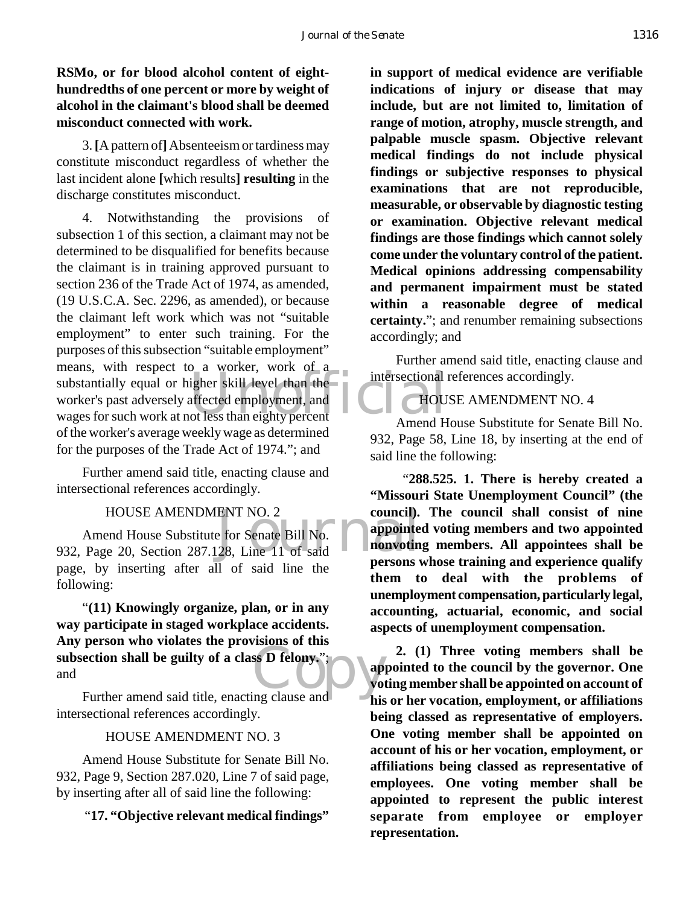## **RSMo, or for blood alcohol content of eighthundredths of one percent or more by weight of alcohol in the claimant's blood shall be deemed misconduct connected with work.**

3. **[**A pattern of**]** Absenteeism or tardiness may constitute misconduct regardless of whether the last incident alone **[**which results**] resulting** in the discharge constitutes misconduct.

substantially equal or higher skill level than the<br>
worker's past adversely affected employment, and<br>
wages for such work at not less than eighty percent<br>
Amend H 4. Notwithstanding the provisions of subsection 1 of this section, a claimant may not be determined to be disqualified for benefits because the claimant is in training approved pursuant to section 236 of the Trade Act of 1974, as amended, (19 U.S.C.A. Sec. 2296, as amended), or because the claimant left work which was not "suitable employment" to enter such training. For the purposes of this subsection "suitable employment" means, with respect to a worker, work of a worker's past adversely affected employment, and wages for such work at not less than eighty percent of the worker's average weekly wage as determined for the purposes of the Trade Act of 1974."; and

Further amend said title, enacting clause and intersectional references accordingly.

#### HOUSE AMENDMENT NO. 2

ENT NO. 2 council).<br>
E for Senate Bill No.<br>
28, Line 11 of said<br> **EXECUTE:** Amend House Substitute for Senate Bill No. 932, Page 20, Section 287.128, Line 11 of said page, by inserting after all of said line the following:

subsection shall be guilty of a class **D** felony.";<br>and<br>Further amend said title, enacting clause and "**(11) Knowingly organize, plan, or in any way participate in staged workplace accidents. Any person who violates the provisions of this** and

Further amend said title, enacting clause and intersectional references accordingly.

#### HOUSE AMENDMENT NO. 3

Amend House Substitute for Senate Bill No. 932, Page 9, Section 287.020, Line 7 of said page, by inserting after all of said line the following:

"**17. "Objective relevant medical findings"**

**in support of medical evidence are verifiable indications of injury or disease that may include, but are not limited to, limitation of range of motion, atrophy, muscle strength, and palpable muscle spasm. Objective relevant medical findings do not include physical findings or subjective responses to physical examinations that are not reproducible, measurable, or observable by diagnostic testing or examination. Objective relevant medical findings are those findings which cannot solely come under the voluntary control of the patient. Medical opinions addressing compensability and permanent impairment must be stated within a reasonable degree of medical certainty.**"; and renumber remaining subsections accordingly; and

Further amend said title, enacting clause and intersectional references accordingly.

#### HOUSE AMENDMENT NO. 4

Amend House Substitute for Senate Bill No. 932, Page 58, Line 18, by inserting at the end of said line the following:

 "**288.525. 1. There is hereby created a "Missouri State Unemployment Council" (the council). The council shall consist of nine appointed voting members and two appointed nonvoting members. All appointees shall be persons whose training and experience qualify them to deal with the problems of unemployment compensation, particularly legal, accounting, actuarial, economic, and social aspects of unemployment compensation.**

**2. (1) Three voting members shall be appointed to the council by the governor. One voting member shall be appointed on account of his or her vocation, employment, or affiliations being classed as representative of employers. One voting member shall be appointed on account of his or her vocation, employment, or affiliations being classed as representative of employees. One voting member shall be appointed to represent the public interest separate from employee or employer representation.**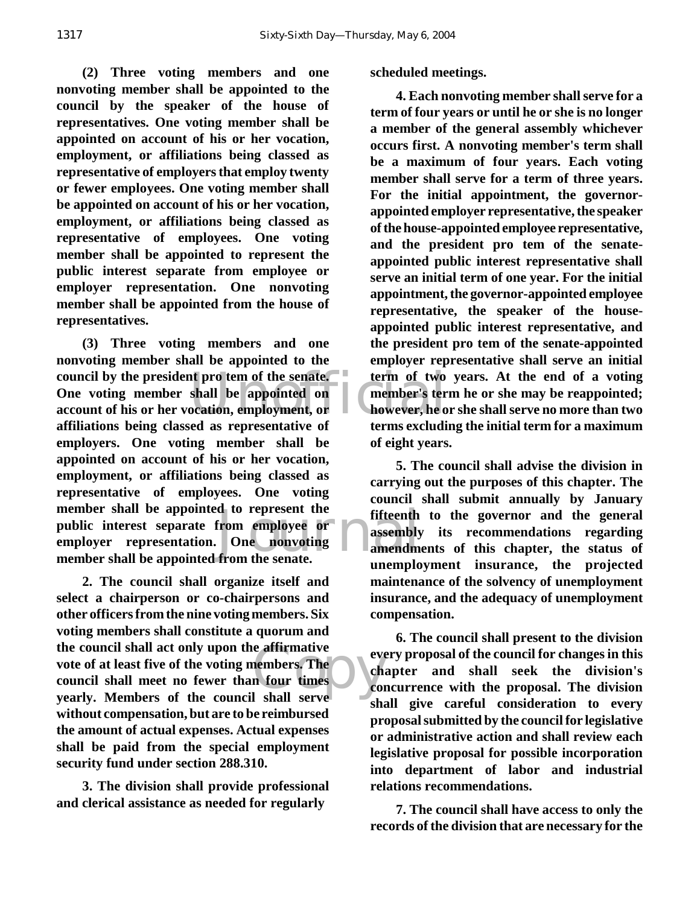**(2) Three voting members and one nonvoting member shall be appointed to the council by the speaker of the house of representatives. One voting member shall be appointed on account of his or her vocation, employment, or affiliations being classed as representative of employers that employ twenty or fewer employees. One voting member shall be appointed on account of his or her vocation, employment, or affiliations being classed as representative of employees. One voting member shall be appointed to represent the public interest separate from employee or employer representation. One nonvoting member shall be appointed from the house of representatives.**

council by the president pro tem of the senate. **Council by the president pro tem of the council of the count of his or her vocation, employment, or however, he of filiations heing closed as representative of terms evaluat** d to represent the fifteenth<br>from employee or assembly<br>from the senate. **(3) Three voting members and one nonvoting member shall be appointed to the One voting member shall be appointed on account of his or her vocation, employment, or affiliations being classed as representative of employers. One voting member shall be appointed on account of his or her vocation, employment, or affiliations being classed as representative of employees. One voting member shall be appointed to represent the public interest separate from employee or employer representation. One nonvoting member shall be appointed from the senate.**

e affirmative<br>
n four times<br>
l shall serve **2. The council shall organize itself and select a chairperson or co-chairpersons and other officers from the nine voting members. Six voting members shall constitute a quorum and the council shall act only upon the affirmative vote of at least five of the voting members. The council shall meet no fewer than four times yearly. Members of the council shall serve without compensation, but are to be reimbursed the amount of actual expenses. Actual expenses shall be paid from the special employment security fund under section 288.310.**

**3. The division shall provide professional and clerical assistance as needed for regularly** 

**scheduled meetings.**

**4. Each nonvoting member shall serve for a term of four years or until he or she is no longer a member of the general assembly whichever occurs first. A nonvoting member's term shall be a maximum of four years. Each voting member shall serve for a term of three years. For the initial appointment, the governorappointed employer representative, the speaker of the house-appointed employee representative, and the president pro tem of the senateappointed public interest representative shall serve an initial term of one year. For the initial appointment, the governor-appointed employee representative, the speaker of the houseappointed public interest representative, and the president pro tem of the senate-appointed employer representative shall serve an initial term of two years. At the end of a voting member's term he or she may be reappointed; however, he or she shall serve no more than two terms excluding the initial term for a maximum of eight years.**

**5. The council shall advise the division in carrying out the purposes of this chapter. The council shall submit annually by January fifteenth to the governor and the general assembly its recommendations regarding amendments of this chapter, the status of unemployment insurance, the projected maintenance of the solvency of unemployment insurance, and the adequacy of unemployment compensation.**

**6. The council shall present to the division every proposal of the council for changes in this chapter and shall seek the division's concurrence with the proposal. The division shall give careful consideration to every proposal submitted by the council for legislative or administrative action and shall review each legislative proposal for possible incorporation into department of labor and industrial relations recommendations.**

**7. The council shall have access to only the records of the division that are necessary for the**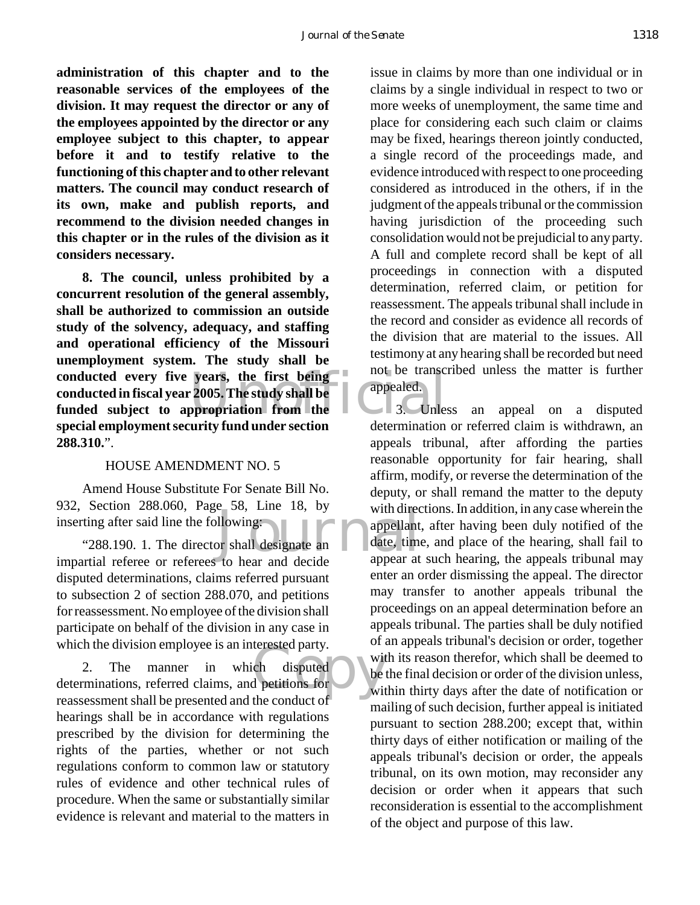**administration of this chapter and to the reasonable services of the employees of the division. It may request the director or any of the employees appointed by the director or any employee subject to this chapter, to appear before it and to testify relative to the functioning of this chapter and to other relevant matters. The council may conduct research of its own, make and publish reports, and recommend to the division needed changes in this chapter or in the rules of the division as it considers necessary.**

years, the first being<br>
2005. The study shall be<br>
perpendent of the distance of the distance of the distance of the distance of the distance of the distance of<br>
determination **8. The council, unless prohibited by a concurrent resolution of the general assembly, shall be authorized to commission an outside study of the solvency, adequacy, and staffing and operational efficiency of the Missouri unemployment system. The study shall be conducted every five years, the first being conducted in fiscal year 2005. The study shall be funded subject to appropriation from the special employment security fund under section 288.310.**".

#### HOUSE AMENDMENT NO. 5

Amend House Substitute For Senate Bill No. 932, Section 288.060, Page 58, Line 18, by inserting after said line the following:

appellant<br>given the distance of the star and decide<br>to bear and decide appear at "288.190. 1. The director shall designate an impartial referee or referees to hear and decide disputed determinations, claims referred pursuant to subsection 2 of section 288.070, and petitions for reassessment. No employee of the division shall participate on behalf of the division in any case in which the division employee is an interested party.

which the division employee is an interested party.<br>
2. The manner in which disputed<br>
determinations, referred claims, and petitions for with 2. The manner in which disputed reassessment shall be presented and the conduct of hearings shall be in accordance with regulations prescribed by the division for determining the rights of the parties, whether or not such regulations conform to common law or statutory rules of evidence and other technical rules of procedure. When the same or substantially similar evidence is relevant and material to the matters in

issue in claims by more than one individual or in claims by a single individual in respect to two or more weeks of unemployment, the same time and place for considering each such claim or claims may be fixed, hearings thereon jointly conducted, a single record of the proceedings made, and evidence introduced with respect to one proceeding considered as introduced in the others, if in the judgment of the appeals tribunal or the commission having jurisdiction of the proceeding such consolidation would not be prejudicial to any party. A full and complete record shall be kept of all proceedings in connection with a disputed determination, referred claim, or petition for reassessment. The appeals tribunal shall include in the record and consider as evidence all records of the division that are material to the issues. All testimony at any hearing shall be recorded but need not be transcribed unless the matter is further appealed.

3. Unless an appeal on a disputed determination or referred claim is withdrawn, an appeals tribunal, after affording the parties reasonable opportunity for fair hearing, shall affirm, modify, or reverse the determination of the deputy, or shall remand the matter to the deputy with directions. In addition, in any case wherein the appellant, after having been duly notified of the date, time, and place of the hearing, shall fail to appear at such hearing, the appeals tribunal may enter an order dismissing the appeal. The director may transfer to another appeals tribunal the proceedings on an appeal determination before an appeals tribunal. The parties shall be duly notified of an appeals tribunal's decision or order, together with its reason therefor, which shall be deemed to be the final decision or order of the division unless, within thirty days after the date of notification or mailing of such decision, further appeal is initiated pursuant to section 288.200; except that, within thirty days of either notification or mailing of the appeals tribunal's decision or order, the appeals tribunal, on its own motion, may reconsider any decision or order when it appears that such reconsideration is essential to the accomplishment of the object and purpose of this law.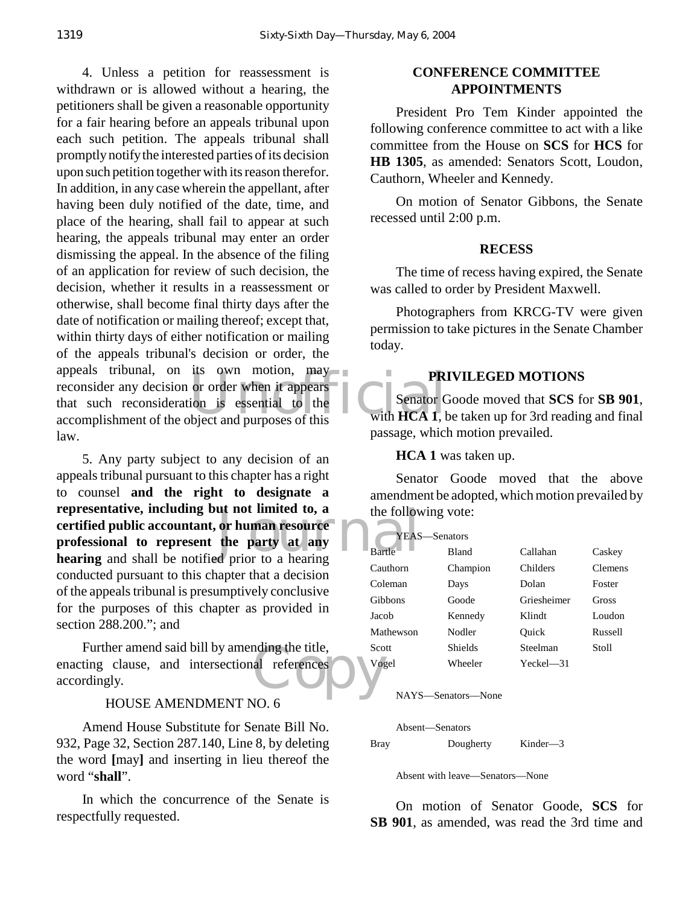The community of the two motion, may be a presential to the twith  $\frac{P}{R}$  and  $\frac{P}{R}$  and  $\frac{P}{R}$  and  $\frac{P}{R}$  and  $\frac{P}{R}$  and  $\frac{P}{R}$  and  $\frac{P}{R}$  and  $\frac{P}{R}$  and  $\frac{P}{R}$  and  $\frac{P}{R}$  and  $\frac{P}{R}$  and  $\$ 4. Unless a petition for reassessment is withdrawn or is allowed without a hearing, the petitioners shall be given a reasonable opportunity for a fair hearing before an appeals tribunal upon each such petition. The appeals tribunal shall promptly notify the interested parties of its decision upon such petition together with its reason therefor. In addition, in any case wherein the appellant, after having been duly notified of the date, time, and place of the hearing, shall fail to appear at such hearing, the appeals tribunal may enter an order dismissing the appeal. In the absence of the filing of an application for review of such decision, the decision, whether it results in a reassessment or otherwise, shall become final thirty days after the date of notification or mailing thereof; except that, within thirty days of either notification or mailing of the appeals tribunal's decision or order, the appeals tribunal, on its own motion, may reconsider any decision or order when it appears that such reconsideration is essential to the accomplishment of the object and purposes of this law.

ut not limited to, a<br>or human resource<br>the party at any<br>d prior to a hearing 5. Any party subject to any decision of an appeals tribunal pursuant to this chapter has a right to counsel **and the right to designate a representative, including but not limited to, a certified public accountant, or human resource professional to represent the party at any hearing** and shall be notified prior to a hearing conducted pursuant to this chapter that a decision of the appeals tribunal is presumptively conclusive for the purposes of this chapter as provided in section 288.200."; and

nding the title,<br>al references<br>Copyright of the contract of the contract of the contract of the contract of the contract of the contract of the contract of the contract of the contract of the contract of the contract of th Further amend said bill by amending the title, enacting clause, and intersectional references accordingly.

#### HOUSE AMENDMENT NO. 6

Amend House Substitute for Senate Bill No. 932, Page 32, Section 287.140, Line 8, by deleting the word **[**may**]** and inserting in lieu thereof the word "**shall**".

In which the concurrence of the Senate is respectfully requested.

#### **CONFERENCE COMMITTEE APPOINTMENTS**

President Pro Tem Kinder appointed the following conference committee to act with a like committee from the House on **SCS** for **HCS** for **HB 1305**, as amended: Senators Scott, Loudon, Cauthorn, Wheeler and Kennedy.

On motion of Senator Gibbons, the Senate recessed until 2:00 p.m.

#### **RECESS**

The time of recess having expired, the Senate was called to order by President Maxwell.

Photographers from KRCG-TV were given permission to take pictures in the Senate Chamber today.

#### **PRIVILEGED MOTIONS**

Senator Goode moved that **SCS** for **SB 901**, with **HCA 1**, be taken up for 3rd reading and final passage, which motion prevailed.

**HCA 1** was taken up.

Senator Goode moved that the above amendment be adopted, which motion prevailed by the following vote:

| YEAS—Senators |              |             |                |
|---------------|--------------|-------------|----------------|
| <b>Bartle</b> | <b>Bland</b> | Callahan    | Caskey         |
| Cauthorn      | Champion     | Childers    | <b>Clemens</b> |
| Coleman       | Days         | Dolan       | Foster         |
| Gibbons       | Goode        | Griesheimer | Gross          |
| Jacob         | Kennedy      | Klindt      | Loudon         |
| Mathewson     | Nodler       | Ouick       | Russell        |
| Scott         | Shields      | Steelman    | Stoll          |
| Vogel         | Wheeler      | Yeckel—31   |                |

NAYS—Senators—None

Absent—Senators

Bray Dougherty Kinder—3

Absent with leave—Senators—None

On motion of Senator Goode, **SCS** for **SB 901**, as amended, was read the 3rd time and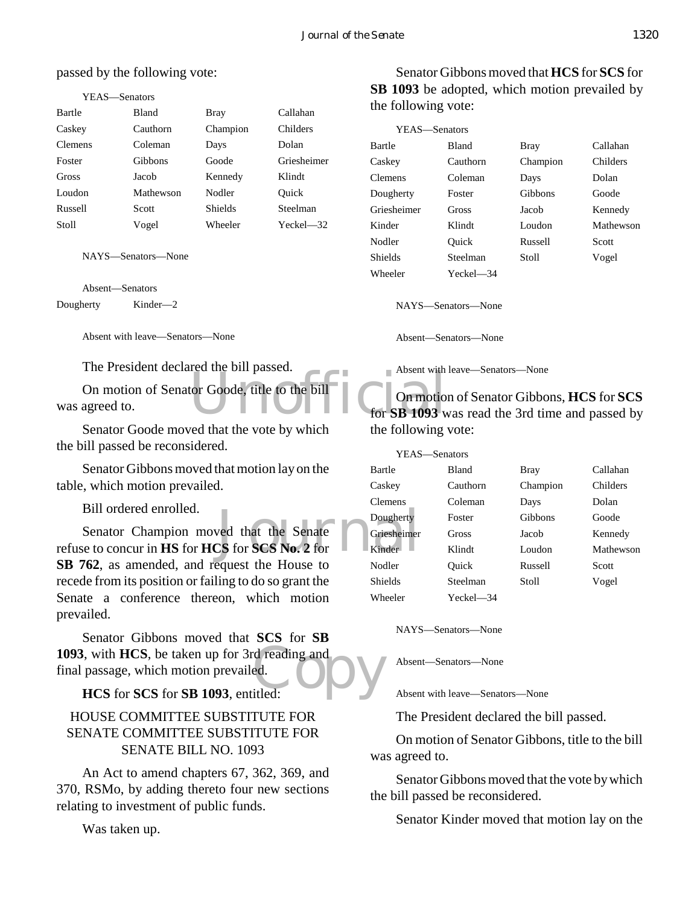#### passed by the following vote:

| YEAS—Senators  |              |                |               |
|----------------|--------------|----------------|---------------|
| Bartle         | <b>Bland</b> | Bray           | Callahan      |
| Caskey         | Cauthorn     | Champion       | Childers      |
| <b>Clemens</b> | Coleman      | Days           | Dolan         |
| Foster         | Gibbons      | Goode          | Griesheimer   |
| Gross          | Jacob        | Kennedy        | Klindt        |
| Loudon         | Mathewson    | Nodler         | Ouick         |
| Russell        | Scott        | <b>Shields</b> | Steelman      |
| Stoll          | Vogel        | Wheeler        | $Yeckel - 32$ |

NAYS—Senators—None

Absent—Senators Dougherty Kinder—2

Absent with leave—Senators—None

The President declared the bill passed.

Absent wind<br>tor Goode, title to the bill Connotion On motion of Senator Goode, title to the bill was agreed to.

Senator Goode moved that the vote by which the bill passed be reconsidered.

Senator Gibbons moved that motion lay on the table, which motion prevailed.

Bill ordered enrolled.

Dougherty<br>
CS for SCS No. 2 for<br>
Line Rinder Senator Champion moved that the Senate refuse to concur in **HS** for **HCS** for **SCS No. 2** for **SB 762**, as amended, and request the House to recede from its position or failing to do so grant the Senate a conference thereon, which motion prevailed.

1093, with HCS, be taken up for 3rd reading and<br>
final passage, which motion prevailed.<br> **HCS** for SCS for SB 1093, entitled: Senator Gibbons moved that **SCS** for **SB** final passage, which motion prevailed.

#### **HCS** for **SCS** for **SB 1093**, entitled:

## HOUSE COMMITTEE SUBSTITUTE FOR SENATE COMMITTEE SUBSTITUTE FOR SENATE BILL NO. 1093

An Act to amend chapters 67, 362, 369, and 370, RSMo, by adding thereto four new sections relating to investment of public funds.

Was taken up.

Senator Gibbons moved that **HCS** for **SCS** for **SB 1093** be adopted, which motion prevailed by the following vote:

| YEAS—Senators  |              |          |                 |
|----------------|--------------|----------|-----------------|
| Bartle         | <b>Bland</b> | Bray     | Callahan        |
| Caskey         | Cauthorn     | Champion | <b>Childers</b> |
| <b>Clemens</b> | Coleman      | Days     | Dolan           |
| Dougherty      | Foster       | Gibbons  | Goode           |
| Griesheimer    | Gross        | Jacob    | Kennedy         |
| Kinder         | Klindt       | Loudon   | Mathewson       |
| Nodler         | Ouick        | Russell  | Scott           |
| <b>Shields</b> | Steelman     | Stoll    | Vogel           |
| Wheeler        | Yeckel—34    |          |                 |

NAYS—Senators—None

Absent—Senators—None

Absent with leave—Senators—None

On motion of Senator Gibbons, **HCS** for **SCS** for **SB 1093** was read the 3rd time and passed by the following vote:

YEAS—Senators Wheeler Yeckel—34

Bartle Bland Bray Callahan Caskey Cauthorn Champion Childers Clemens Coleman Days Dolan Dougherty Foster Gibbons Goode Griesheimer Gross Jacob Kennedy Kinder Klindt Loudon Mathewson Nodler Quick Russell Scott Shields Steelman Stoll Vogel

NAYS—Senators—None

Absent—Senators—None

Absent with leave—Senators—None

The President declared the bill passed.

On motion of Senator Gibbons, title to the bill was agreed to.

Senator Gibbons moved that the vote by which the bill passed be reconsidered.

Senator Kinder moved that motion lay on the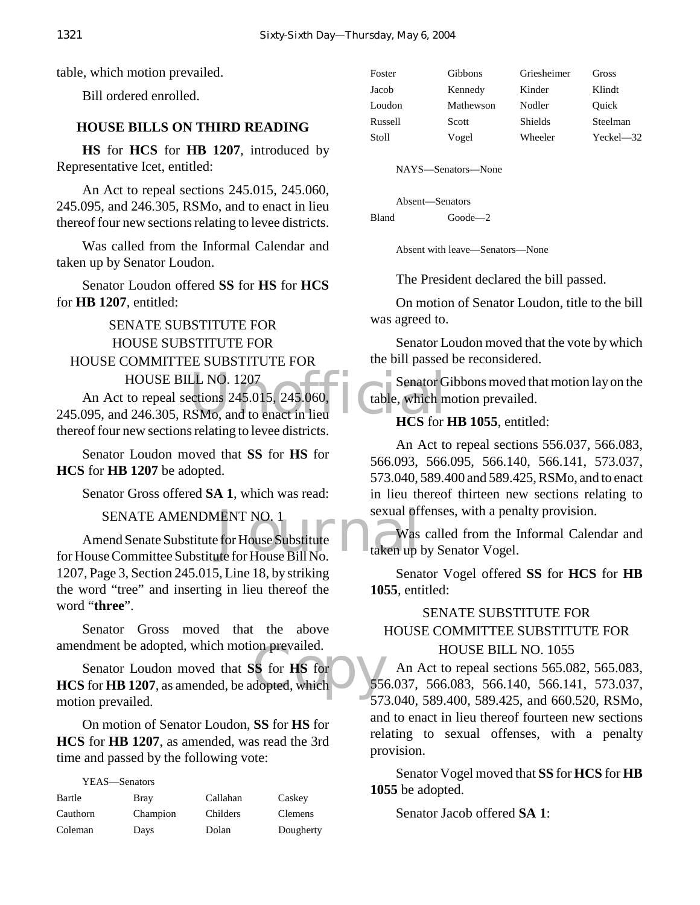table, which motion prevailed.

Bill ordered enrolled.

#### **HOUSE BILLS ON THIRD READING**

**HS** for **HCS** for **HB 1207**, introduced by Representative Icet, entitled:

An Act to repeal sections 245.015, 245.060, 245.095, and 246.305, RSMo, and to enact in lieu thereof four new sections relating to levee districts.

Was called from the Informal Calendar and taken up by Senator Loudon.

Senator Loudon offered **SS** for **HS** for **HCS** for **HB 1207**, entitled:

SENATE SUBSTITUTE FOR HOUSE SUBSTITUTE FOR HOUSE COMMITTEE SUBSTITUTE FOR HOUSE BILL NO. 1207

HOUSE BILL NO. 1207<br>
An Act to repeal sections 245.015, 245.060,<br>
245.095, and 246.305, RSMo, and to enact in lieu<br>
HCS for An Act to repeal sections 245.015, 245.060, thereof four new sections relating to levee districts.

Senator Loudon moved that **SS** for **HS** for **HCS** for **HB 1207** be adopted.

Senator Gross offered **SA 1**, which was read:

SENATE AMENDMENT NO. 1

ENT NO. 1<br>
For House Substitute<br>
the for House Bill No.<br>
taken up Amend Senate Substitute for House Substitute for House Committee Substitute for House Bill No. 1207, Page 3, Section 245.015, Line 18, by striking the word "tree" and inserting in lieu thereof the word "**three**".

Senator Gross moved that the above amendment be adopted, which motion prevailed.

on prevailed.<br>Six for HS for<br>dopted, which Senator Loudon moved that **SS** for **HS** for **HCS** for **HB 1207**, as amended, be adopted, which motion prevailed.

On motion of Senator Loudon, **SS** for **HS** for **HCS** for **HB 1207**, as amended, was read the 3rd time and passed by the following vote:

YEAS—Senators

| Bartle   | Bray     | Callahan | Caskey    |
|----------|----------|----------|-----------|
| Cauthorn | Champion | Childers | Clemens   |
| Coleman  | Days     | Dolan    | Dougherty |

| Foster  | Gibbons   | Griesheimer | Gross          |
|---------|-----------|-------------|----------------|
| Jacob   | Kennedy   | Kinder      | Klindt         |
| Loudon  | Mathewson | Nodler      | Quick          |
| Russell | Scott     | Shields     | Steelman       |
| Stoll   | Vogel     | Wheeler     | $Yeckel$ $-32$ |
|         |           |             |                |

NAYS—Senators—None

Absent—Senators Bland Goode—2

Absent with leave—Senators—None

The President declared the bill passed.

On motion of Senator Loudon, title to the bill was agreed to.

Senator Loudon moved that the vote by which the bill passed be reconsidered.

 $\circ$  Senator Gibbons moved that motion lay on the table, which motion prevailed.

#### **HCS** for **HB 1055**, entitled:

An Act to repeal sections 556.037, 566.083, 566.093, 566.095, 566.140, 566.141, 573.037, 573.040, 589.400 and 589.425, RSMo, and to enact in lieu thereof thirteen new sections relating to sexual offenses, with a penalty provision.

Was called from the Informal Calendar and taken up by Senator Vogel.

Senator Vogel offered **SS** for **HCS** for **HB 1055**, entitled:

# SENATE SUBSTITUTE FOR HOUSE COMMITTEE SUBSTITUTE FOR HOUSE BILL NO. 1055

An Act to repeal sections 565.082, 565.083, 556.037, 566.083, 566.140, 566.141, 573.037, 573.040, 589.400, 589.425, and 660.520, RSMo, and to enact in lieu thereof fourteen new sections relating to sexual offenses, with a penalty provision.

Senator Vogel moved that **SS** for **HCS** for **HB 1055** be adopted.

Senator Jacob offered **SA 1**: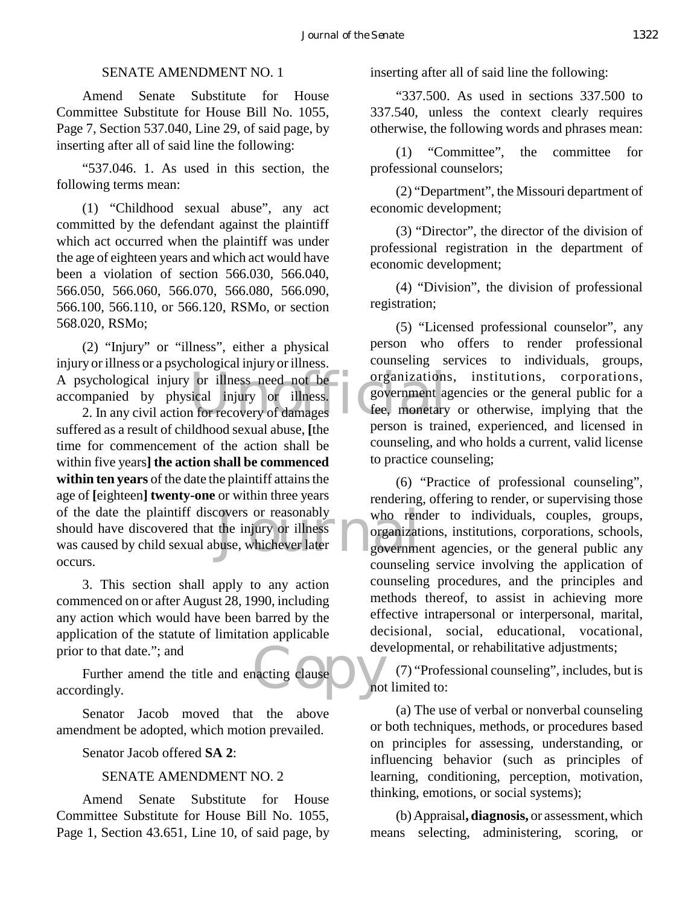#### SENATE AMENDMENT NO. 1

Amend Senate Substitute for House Committee Substitute for House Bill No. 1055, Page 7, Section 537.040, Line 29, of said page, by inserting after all of said line the following:

"537.046. 1. As used in this section, the following terms mean:

(1) "Childhood sexual abuse", any act committed by the defendant against the plaintiff which act occurred when the plaintiff was under the age of eighteen years and which act would have been a violation of section 566.030, 566.040, 566.050, 566.060, 566.070, 566.080, 566.090, 566.100, 566.110, or 566.120, RSMo, or section 568.020, RSMo;

A psychological injury or illness need not be<br>
accompanied by physical injury or illness.<br>
2. In any civil action for recovery of damages<br>
accompanies are the summer is train (2) "Injury" or "illness", either a physical injury or illness or a psychological injury or illness. accompanied by physical injury or illness.

Exercise or reasonably<br>the injury or illness<br>buse, whichever later and the subset of the subset of the subset of the subset of the subset of the subset of the subset of the subset of the subset of the subset of the subset 2. In any civil action for recovery of damages suffered as a result of childhood sexual abuse, **[**the time for commencement of the action shall be within five years**] the action shall be commenced within ten years** of the date the plaintiff attains the age of **[**eighteen**] twenty-one** or within three years of the date the plaintiff discovers or reasonably should have discovered that the injury or illness was caused by child sexual abuse, whichever later occurs.

3. This section shall apply to any action commenced on or after August 28, 1990, including any action which would have been barred by the application of the statute of limitation applicable prior to that date."; and

devanting clause Further amend the title and enacting clause accordingly.

Senator Jacob moved that the above amendment be adopted, which motion prevailed.

Senator Jacob offered **SA 2**:

#### SENATE AMENDMENT NO. 2

Amend Senate Substitute for House Committee Substitute for House Bill No. 1055, Page 1, Section 43.651, Line 10, of said page, by inserting after all of said line the following:

"337.500. As used in sections 337.500 to 337.540, unless the context clearly requires otherwise, the following words and phrases mean:

(1) "Committee", the committee for professional counselors;

(2) "Department", the Missouri department of economic development;

(3) "Director", the director of the division of professional registration in the department of economic development;

(4) "Division", the division of professional registration;

(5) "Licensed professional counselor", any person who offers to render professional counseling services to individuals, groups, organizations, institutions, corporations, government agencies or the general public for a fee, monetary or otherwise, implying that the person is trained, experienced, and licensed in counseling, and who holds a current, valid license to practice counseling;

(6) "Practice of professional counseling", rendering, offering to render, or supervising those who render to individuals, couples, groups, organizations, institutions, corporations, schools, government agencies, or the general public any counseling service involving the application of counseling procedures, and the principles and methods thereof, to assist in achieving more effective intrapersonal or interpersonal, marital, decisional, social, educational, vocational, developmental, or rehabilitative adjustments;

(7) "Professional counseling", includes, but is not limited to:

(a) The use of verbal or nonverbal counseling or both techniques, methods, or procedures based on principles for assessing, understanding, or influencing behavior (such as principles of learning, conditioning, perception, motivation, thinking, emotions, or social systems);

(b) Appraisal**, diagnosis,** or assessment, which means selecting, administering, scoring, or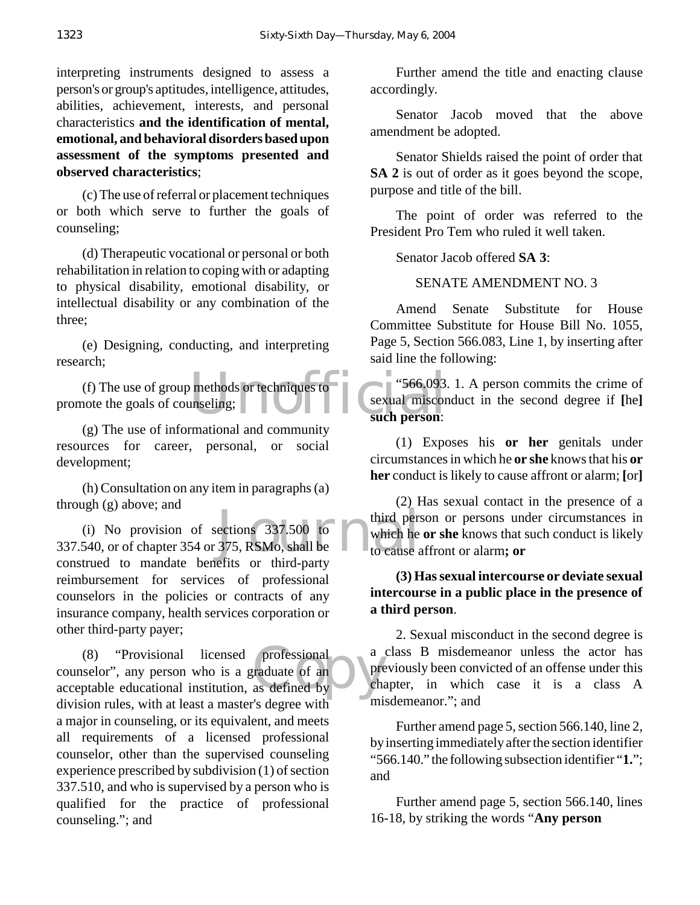interpreting instruments designed to assess a person's or group's aptitudes, intelligence, attitudes, abilities, achievement, interests, and personal characteristics **and the identification of mental, emotional, and behavioral disorders based upon assessment of the symptoms presented and observed characteristics**;

(c) The use of referral or placement techniques or both which serve to further the goals of counseling;

(d) Therapeutic vocational or personal or both rehabilitation in relation to coping with or adapting to physical disability, emotional disability, or intellectual disability or any combination of the three;

(e) Designing, conducting, and interpreting research;

methods or techniques to<br>mseling;<br>since the same such person: (f) The use of group methods or techniques to promote the goals of counseling;

(g) The use of informational and community resources for career, personal, or social development;

(h) Consultation on any item in paragraphs (a) through (g) above; and

third persections 337.500 to<br>375, RSMo, shall be to cause a<br>set to cause the contract of the contract of the contract of the contract of the contract of the contract of the contract of the contract of the contract of the c (i) No provision of sections 337.500 to 337.540, or of chapter 354 or 375, RSMo, shall be construed to mandate benefits or third-party reimbursement for services of professional counselors in the policies or contracts of any insurance company, health services corporation or other third-party payer;

professional a<br>
raduate of an pre (8) "Provisional licensed professional counselor", any person who is a graduate of an acceptable educational institution, as defined by division rules, with at least a master's degree with a major in counseling, or its equivalent, and meets all requirements of a licensed professional counselor, other than the supervised counseling experience prescribed by subdivision (1) of section 337.510, and who is supervised by a person who is qualified for the practice of professional counseling."; and

Further amend the title and enacting clause accordingly.

Senator Jacob moved that the above amendment be adopted.

Senator Shields raised the point of order that **SA 2** is out of order as it goes beyond the scope, purpose and title of the bill.

The point of order was referred to the President Pro Tem who ruled it well taken.

Senator Jacob offered **SA 3**:

SENATE AMENDMENT NO. 3

Amend Senate Substitute for House Committee Substitute for House Bill No. 1055, Page 5, Section 566.083, Line 1, by inserting after said line the following:

"566.093. 1. A person commits the crime of sexual misconduct in the second degree if **[**he**] such person**:

(1) Exposes his **or her** genitals under circumstances in which he **or she** knows that his **or her** conduct is likely to cause affront or alarm; **[**or**]**

(2) Has sexual contact in the presence of a third person or persons under circumstances in which he **or she** knows that such conduct is likely to cause affront or alarm**; or**

## **(3) Has sexual intercourse or deviate sexual intercourse in a public place in the presence of a third person**.

2. Sexual misconduct in the second degree is a class B misdemeanor unless the actor has previously been convicted of an offense under this chapter, in which case it is a class A misdemeanor."; and

Further amend page 5, section 566.140, line 2, by inserting immediately after the section identifier "566.140." the following subsection identifier "**1.**"; and

Further amend page 5, section 566.140, lines 16-18, by striking the words "**Any person**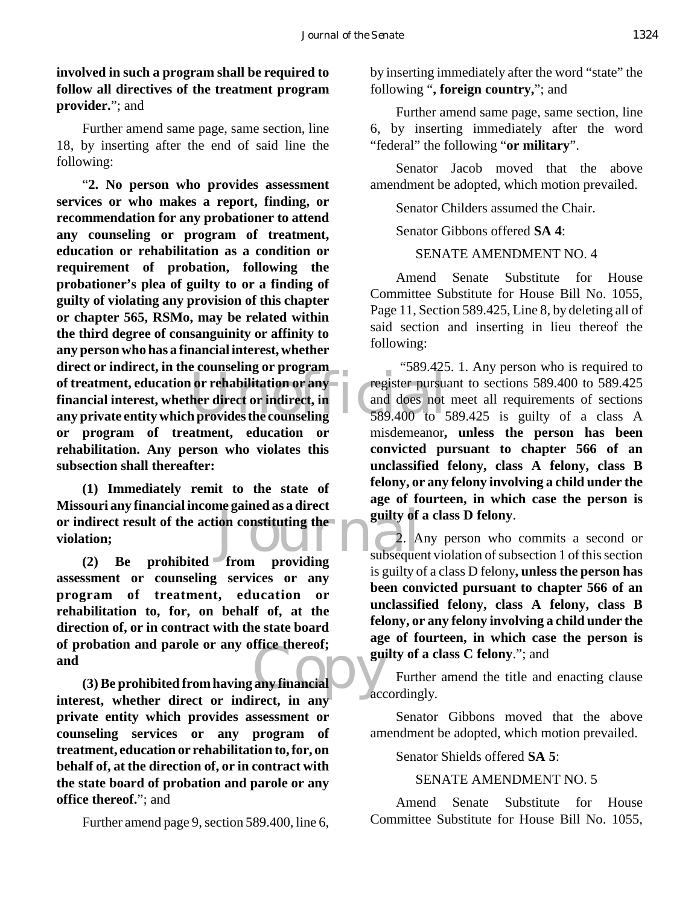**involved in such a program shall be required to follow all directives of the treatment program provider.**"; and

Further amend same page, same section, line 18, by inserting after the end of said line the following:

or rehabilitation or any<br>her direct or indirect, in<br>h provides the counseling<br>589.400 to 5 "**2. No person who provides assessment services or who makes a report, finding, or recommendation for any probationer to attend any counseling or program of treatment, education or rehabilitation as a condition or requirement of probation, following the probationer's plea of guilty to or a finding of guilty of violating any provision of this chapter or chapter 565, RSMo, may be related within the third degree of consanguinity or affinity to any person who has a financial interest, whether direct or indirect, in the counseling or program of treatment, education or rehabilitation or any financial interest, whether direct or indirect, in any private entity which provides the counseling or program of treatment, education or rehabilitation. Any person who violates this subsection shall thereafter:**

From providing the subsequently of the providing subsequently of the subsequently of  $\frac{1}{2}$ . **(1) Immediately remit to the state of Missouri any financial income gained as a direct or indirect result of the action constituting the violation;**

any financial **(2) Be prohibited from providing assessment or counseling services or any program of treatment, education or rehabilitation to, for, on behalf of, at the direction of, or in contract with the state board of probation and parole or any office thereof; and**

**(3) Be prohibited from having any financial interest, whether direct or indirect, in any private entity which provides assessment or counseling services or any program of treatment, education or rehabilitation to, for, on behalf of, at the direction of, or in contract with the state board of probation and parole or any office thereof.**"; and

Further amend page 9, section 589.400, line 6,

by inserting immediately after the word "state" the following "**, foreign country,**"; and

Further amend same page, same section, line 6, by inserting immediately after the word "federal" the following "**or military**".

Senator Jacob moved that the above amendment be adopted, which motion prevailed.

Senator Childers assumed the Chair.

Senator Gibbons offered **SA 4**:

## SENATE AMENDMENT NO. 4

Amend Senate Substitute for House Committee Substitute for House Bill No. 1055, Page 11, Section 589.425, Line 8, by deleting all of said section and inserting in lieu thereof the following:

 "589.425. 1. Any person who is required to register pursuant to sections 589.400 to 589.425 and does not meet all requirements of sections 589.400 to 589.425 is guilty of a class A misdemeanor**, unless the person has been convicted pursuant to chapter 566 of an unclassified felony, class A felony, class B felony, or any felony involving a child under the age of fourteen, in which case the person is guilty of a class D felony**.

2. Any person who commits a second or subsequent violation of subsection 1 of this section is guilty of a class D felony**, unless the person has been convicted pursuant to chapter 566 of an unclassified felony, class A felony, class B felony, or any felony involving a child under the age of fourteen, in which case the person is guilty of a class C felony**."; and

Further amend the title and enacting clause accordingly.

Senator Gibbons moved that the above amendment be adopted, which motion prevailed.

Senator Shields offered **SA 5**:

#### SENATE AMENDMENT NO. 5

Amend Senate Substitute for House Committee Substitute for House Bill No. 1055,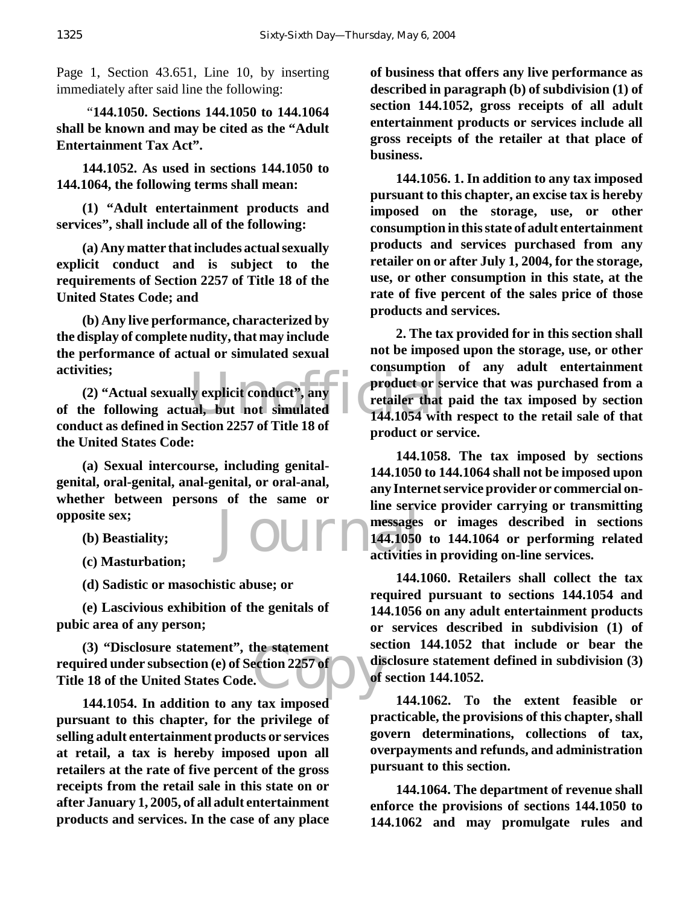Page 1, Section 43.651, Line 10, by inserting immediately after said line the following:

 "**144.1050. Sections 144.1050 to 144.1064 shall be known and may be cited as the "Adult Entertainment Tax Act".**

**144.1052. As used in sections 144.1050 to 144.1064, the following terms shall mean:**

**(1) "Adult entertainment products and services", shall include all of the following:**

**(a) Any matter that includes actual sexually explicit conduct and is subject to the requirements of Section 2257 of Title 18 of the United States Code; and**

**(b) Any live performance, characterized by the display of complete nudity, that may include the performance of actual or simulated sexual activities;**

activities;<br>
(2) "Actual sexually explicit conduct", any<br>
of the following actual, but not simulated<br>
anduct as defined in Section 2257 of Title 18 of<br>
144.1054 with **(2) "Actual sexually explicit conduct", any conduct as defined in Section 2257 of Title 18 of the United States Code:**

**(a) Sexual intercourse, including genitalgenital, oral-genital, anal-genital, or oral-anal, whether between persons of the same or opposite sex;**

- **(b) Beastiality;**
- **(c) Masturbation;**

**(d) Sadistic or masochistic abuse; or**

**(e) Lascivious exhibition of the genitals of pubic area of any person;**

the statement<br>ection 2257 of<br>Copyright of the contract of **(3) "Disclosure statement", the statement required under subsection (e) of Section 2257 of Title 18 of the United States Code.**

**144.1054. In addition to any tax imposed pursuant to this chapter, for the privilege of selling adult entertainment products or services at retail, a tax is hereby imposed upon all retailers at the rate of five percent of the gross receipts from the retail sale in this state on or after January 1, 2005, of all adult entertainment products and services. In the case of any place**

**of business that offers any live performance as described in paragraph (b) of subdivision (1) of section 144.1052, gross receipts of all adult entertainment products or services include all gross receipts of the retailer at that place of business.**

**144.1056. 1. In addition to any tax imposed pursuant to this chapter, an excise tax is hereby imposed on the storage, use, or other consumption in this state of adult entertainment products and services purchased from any retailer on or after July 1, 2004, for the storage, use, or other consumption in this state, at the rate of five percent of the sales price of those products and services.**

**2. The tax provided for in this section shall not be imposed upon the storage, use, or other consumption of any adult entertainment product or service that was purchased from a retailer that paid the tax imposed by section 144.1054 with respect to the retail sale of that product or service.**

Journal 144.1050 **144.1058. The tax imposed by sections 144.1050 to 144.1064 shall not be imposed upon any Internet service provider or commercial online service provider carrying or transmitting messages or images described in sections 144.1050 to 144.1064 or performing related activities in providing on-line services.**

> **144.1060. Retailers shall collect the tax required pursuant to sections 144.1054 and 144.1056 on any adult entertainment products or services described in subdivision (1) of section 144.1052 that include or bear the disclosure statement defined in subdivision (3) of section 144.1052.**

> **144.1062. To the extent feasible or practicable, the provisions of this chapter, shall govern determinations, collections of tax, overpayments and refunds, and administration pursuant to this section.**

> **144.1064. The department of revenue shall enforce the provisions of sections 144.1050 to 144.1062 and may promulgate rules and**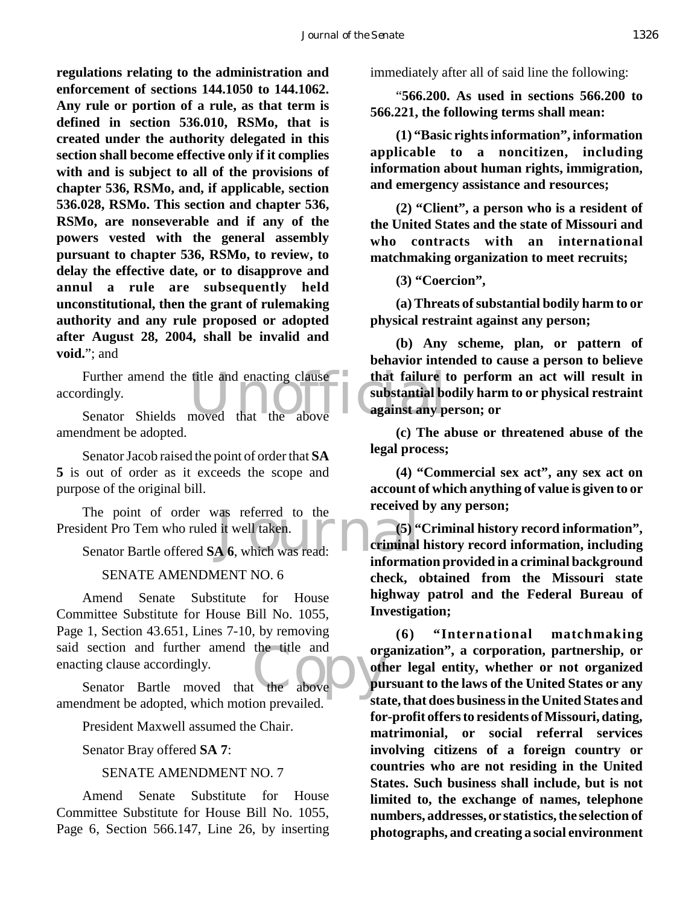**regulations relating to the administration and enforcement of sections 144.1050 to 144.1062. Any rule or portion of a rule, as that term is defined in section 536.010, RSMo, that is created under the authority delegated in this section shall become effective only if it complies with and is subject to all of the provisions of chapter 536, RSMo, and, if applicable, section 536.028, RSMo. This section and chapter 536, RSMo, are nonseverable and if any of the powers vested with the general assembly pursuant to chapter 536, RSMo, to review, to delay the effective date, or to disapprove and annul a rule are subsequently held unconstitutional, then the grant of rulemaking authority and any rule proposed or adopted after August 28, 2004, shall be invalid and void.**"; and

Further amend the title and enacting clause that failure that failure that failure the discrete of the substantial box of the senator Shields moved that the above accordingly.

Senator Shields moved that the above amendment be adopted.

Senator Jacob raised the point of order that **SA 5** is out of order as it exceeds the scope and purpose of the original bill.

The point of order was referred to the<br>
Ident Pro Tem who ruled it well taken.<br>
Senator Bartle offered SA 6, which was read:<br>
informat President Pro Tem who ruled it well taken.

Senator Bartle offered **SA 6**, which was read:

#### SENATE AMENDMENT NO. 6

the title and organization Amend Senate Substitute for House Committee Substitute for House Bill No. 1055, Page 1, Section 43.651, Lines 7-10, by removing said section and further amend the title and enacting clause accordingly.

Senator Bartle moved that the above amendment be adopted, which motion prevailed.

President Maxwell assumed the Chair.

Senator Bray offered **SA 7**:

#### SENATE AMENDMENT NO. 7

Amend Senate Substitute for House Committee Substitute for House Bill No. 1055, Page 6, Section 566.147, Line 26, by inserting immediately after all of said line the following:

"**566.200. As used in sections 566.200 to 566.221, the following terms shall mean:**

**(1) "Basic rights information", information applicable to a noncitizen, including information about human rights, immigration, and emergency assistance and resources;**

**(2) "Client", a person who is a resident of the United States and the state of Missouri and who contracts with an international matchmaking organization to meet recruits;**

**(3) "Coercion",**

**(a) Threats of substantial bodily harm to or physical restraint against any person;**

**(b) Any scheme, plan, or pattern of behavior intended to cause a person to believe that failure to perform an act will result in substantial bodily harm to or physical restraint against any person; or**

**(c) The abuse or threatened abuse of the legal process;**

**(4) "Commercial sex act", any sex act on account of which anything of value is given to or received by any person;**

**(5) "Criminal history record information", criminal history record information, including information provided in a criminal background check, obtained from the Missouri state highway patrol and the Federal Bureau of Investigation;**

**(6) "International matchmaking organization", a corporation, partnership, or other legal entity, whether or not organized pursuant to the laws of the United States or any state, that does business in the United States and for-profit offers to residents of Missouri, dating, matrimonial, or social referral services involving citizens of a foreign country or countries who are not residing in the United States. Such business shall include, but is not limited to, the exchange of names, telephone numbers, addresses, or statistics, the selection of photographs, and creating a social environment**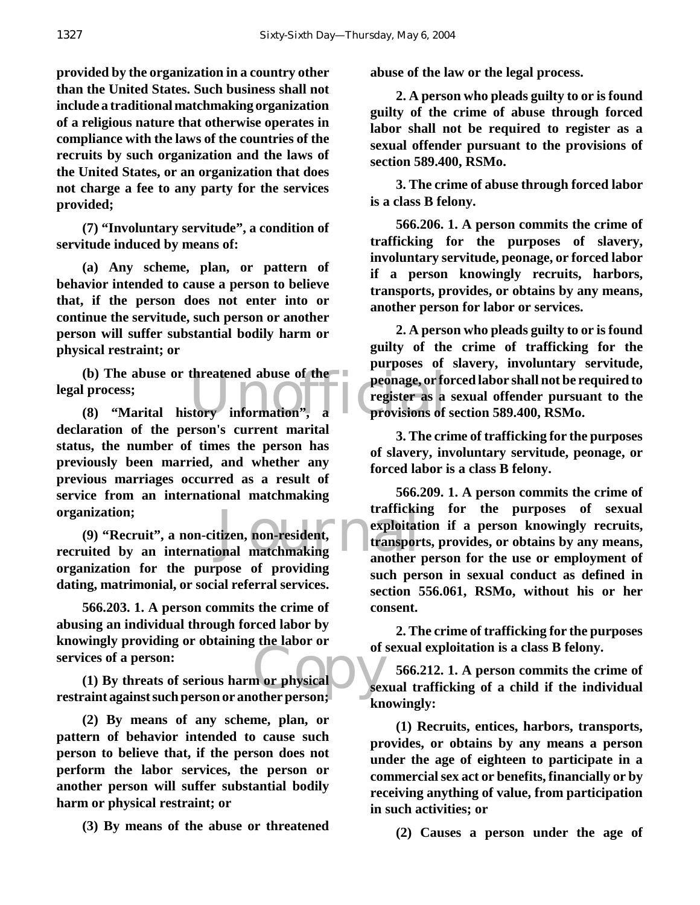**provided by the organization in a country other than the United States. Such business shall not include a traditional matchmaking organization of a religious nature that otherwise operates in compliance with the laws of the countries of the recruits by such organization and the laws of the United States, or an organization that does not charge a fee to any party for the services provided;**

**(7) "Involuntary servitude", a condition of servitude induced by means of:**

**(a) Any scheme, plan, or pattern of behavior intended to cause a person to believe that, if the person does not enter into or continue the servitude, such person or another person will suffer substantial bodily harm or physical restraint; or**

(b) The abuse or threatened abuse of the peonage, or for peorage, or for peorage, or for peorage, or for peorage, or for peorage, or for peorage, or for peorage, or for peorage, or for peorage, or for peorage, or for peora **(b) The abuse or threatened abuse of the legal process;**

**declaration of the person's current marital status, the number of times the person has previously been married, and whether any previous marriages occurred as a result of service from an international matchmaking organization;**

organization;<br>
(9) "Recruit", a non-citizen, non-resident, **a subset of the control of the control of the control of the control of the control of the control of the control of the control of the control of the control of (9) "Recruit", a non-citizen, non-resident, organization for the purpose of providing dating, matrimonial, or social referral services.**

**566.203. 1. A person commits the crime of abusing an individual through forced labor by knowingly providing or obtaining the labor or services of a person:**

of<br>
m or physical<br>
other person: **(1) By threats of serious harm or physical restraint against such person or another person;**

**(2) By means of any scheme, plan, or pattern of behavior intended to cause such person to believe that, if the person does not perform the labor services, the person or another person will suffer substantial bodily harm or physical restraint; or**

**(3) By means of the abuse or threatened**

**abuse of the law or the legal process.**

**2. A person who pleads guilty to or is found guilty of the crime of abuse through forced labor shall not be required to register as a sexual offender pursuant to the provisions of section 589.400, RSMo.**

**3. The crime of abuse through forced labor is a class B felony.**

**566.206. 1. A person commits the crime of trafficking for the purposes of slavery, involuntary servitude, peonage, or forced labor if a person knowingly recruits, harbors, transports, provides, or obtains by any means, another person for labor or services.**

**2. A person who pleads guilty to or is found guilty of the crime of trafficking for the purposes of slavery, involuntary servitude, peonage, or forced labor shall not be required to register as a sexual offender pursuant to the provisions of section 589.400, RSMo.**

**3. The crime of trafficking for the purposes of slavery, involuntary servitude, peonage, or forced labor is a class B felony.**

**566.209. 1. A person commits the crime of trafficking for the purposes of sexual exploitation if a person knowingly recruits, transports, provides, or obtains by any means, another person for the use or employment of such person in sexual conduct as defined in section 556.061, RSMo, without his or her consent.**

**2. The crime of trafficking for the purposes of sexual exploitation is a class B felony.**

**566.212. 1. A person commits the crime of sexual trafficking of a child if the individual knowingly:**

**(1) Recruits, entices, harbors, transports, provides, or obtains by any means a person under the age of eighteen to participate in a commercial sex act or benefits, financially or by receiving anything of value, from participation in such activities; or**

**(2) Causes a person under the age of**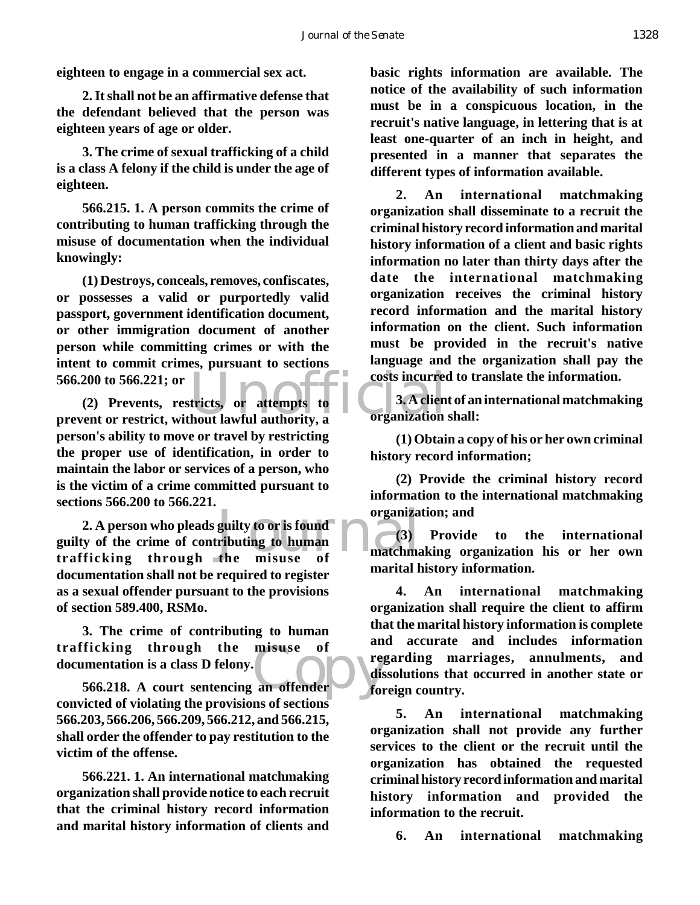**eighteen to engage in a commercial sex act.**

**2. It shall not be an affirmative defense that the defendant believed that the person was eighteen years of age or older.**

**3. The crime of sexual trafficking of a child is a class A felony if the child is under the age of eighteen.**

**566.215. 1. A person commits the crime of contributing to human trafficking through the misuse of documentation when the individual knowingly:**

**(1) Destroys, conceals, removes, confiscates, or possesses a valid or purportedly valid passport, government identification document, or other immigration document of another person while committing crimes or with the intent to commit crimes, pursuant to sections 566.200 to 566.221; or**

566.200 to 566.221; or<br>
(2) Prevents, restricts, or attempts to<br>
prevent or restrict, without lawful authority, a<br>
organization **(2) Prevents, restricts, or attempts to person's ability to move or travel by restricting the proper use of identification, in order to maintain the labor or services of a person, who is the victim of a crime committed pursuant to sections 566.200 to 566.221.**

guilty to or is found<br>
ributing to human<br>
the misuse of matchma **2. A person who pleads guilty to or is found guilty of the crime of contributing to human trafficking through the misuse of documentation shall not be required to register as a sexual offender pursuant to the provisions of section 589.400, RSMo.**

Ficking through the misuse of<br>
imentation is a class D felony.<br>
566.218. A court sentencing an offender<br>
for **3. The crime of contributing to human trafficking through the misuse of documentation is a class D felony.**

**convicted of violating the provisions of sections 566.203, 566.206, 566.209, 566.212, and 566.215, shall order the offender to pay restitution to the victim of the offense.**

**566.221. 1. An international matchmaking organization shall provide notice to each recruit that the criminal history record information and marital history information of clients and**

**basic rights information are available. The notice of the availability of such information must be in a conspicuous location, in the recruit's native language, in lettering that is at least one-quarter of an inch in height, and presented in a manner that separates the different types of information available.**

**2. An international matchmaking organization shall disseminate to a recruit the criminal history record information and marital history information of a client and basic rights information no later than thirty days after the date the international matchmaking organization receives the criminal history record information and the marital history information on the client. Such information must be provided in the recruit's native language and the organization shall pay the costs incurred to translate the information.**

**3. A client of an international matchmaking organization shall:**

**(1) Obtain a copy of his or her own criminal history record information;**

**(2) Provide the criminal history record information to the international matchmaking organization; and**

**(3) Provide to the international matchmaking organization his or her own marital history information.**

**4. An international matchmaking organization shall require the client to affirm that the marital history information is complete and accurate and includes information regarding marriages, annulments, and dissolutions that occurred in another state or foreign country.**

**5. An international matchmaking organization shall not provide any further services to the client or the recruit until the organization has obtained the requested criminal history record information and marital history information and provided the information to the recruit.**

**6. An international matchmaking**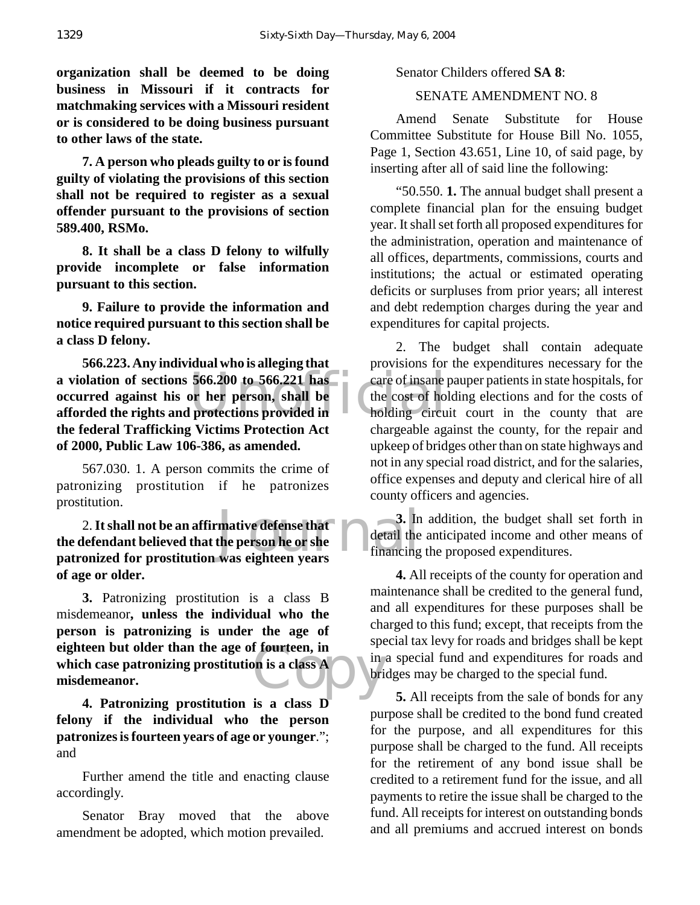**organization shall be deemed to be doing business in Missouri if it contracts for matchmaking services with a Missouri resident or is considered to be doing business pursuant to other laws of the state.**

**7. A person who pleads guilty to or is found guilty of violating the provisions of this section shall not be required to register as a sexual offender pursuant to the provisions of section 589.400, RSMo.**

**8. It shall be a class D felony to wilfully provide incomplete or false information pursuant to this section.**

**9. Failure to provide the information and notice required pursuant to this section shall be a class D felony.**

566.200 to 566.221 has<br>
or her person, shall be the cost of holding circu<br>
protections provided in holding circu **566.223. Any individual who is alleging that a violation of sections 566.200 to 566.221 has occurred against his or her person, shall be afforded the rights and protections provided in the federal Trafficking Victims Protection Act of 2000, Public Law 106-386, as amended.**

567.030. 1. A person commits the crime of patronizing prostitution if he patronizes prostitution.

mative defense that<br>the person he or she<br>was eighteen years<br>was eighteen years 2. **It shall not be an affirmative defense that the defendant believed that the person he or she patronized for prostitution was eighteen years of age or older.**

F fourteen, in<br>
on is a class A bri **3.** Patronizing prostitution is a class B misdemeanor**, unless the individual who the person is patronizing is under the age of eighteen but older than the age of fourteen, in which case patronizing prostitution is a class A misdemeanor.**

**4. Patronizing prostitution is a class D felony if the individual who the person patronizes is fourteen years of age or younger**."; and

Further amend the title and enacting clause accordingly.

Senator Bray moved that the above amendment be adopted, which motion prevailed.

Senator Childers offered **SA 8**:

## SENATE AMENDMENT NO. 8

Amend Senate Substitute for House Committee Substitute for House Bill No. 1055, Page 1, Section 43.651, Line 10, of said page, by inserting after all of said line the following:

"50.550. **1.** The annual budget shall present a complete financial plan for the ensuing budget year. It shall set forth all proposed expenditures for the administration, operation and maintenance of all offices, departments, commissions, courts and institutions; the actual or estimated operating deficits or surpluses from prior years; all interest and debt redemption charges during the year and expenditures for capital projects.

2. The budget shall contain adequate provisions for the expenditures necessary for the care of insane pauper patients in state hospitals, for the cost of holding elections and for the costs of holding circuit court in the county that are chargeable against the county, for the repair and upkeep of bridges other than on state highways and not in any special road district, and for the salaries, office expenses and deputy and clerical hire of all county officers and agencies.

**3.** In addition, the budget shall set forth in detail the anticipated income and other means of financing the proposed expenditures.

**4.** All receipts of the county for operation and maintenance shall be credited to the general fund, and all expenditures for these purposes shall be charged to this fund; except, that receipts from the special tax levy for roads and bridges shall be kept in a special fund and expenditures for roads and bridges may be charged to the special fund.

**5.** All receipts from the sale of bonds for any purpose shall be credited to the bond fund created for the purpose, and all expenditures for this purpose shall be charged to the fund. All receipts for the retirement of any bond issue shall be credited to a retirement fund for the issue, and all payments to retire the issue shall be charged to the fund. All receipts for interest on outstanding bonds and all premiums and accrued interest on bonds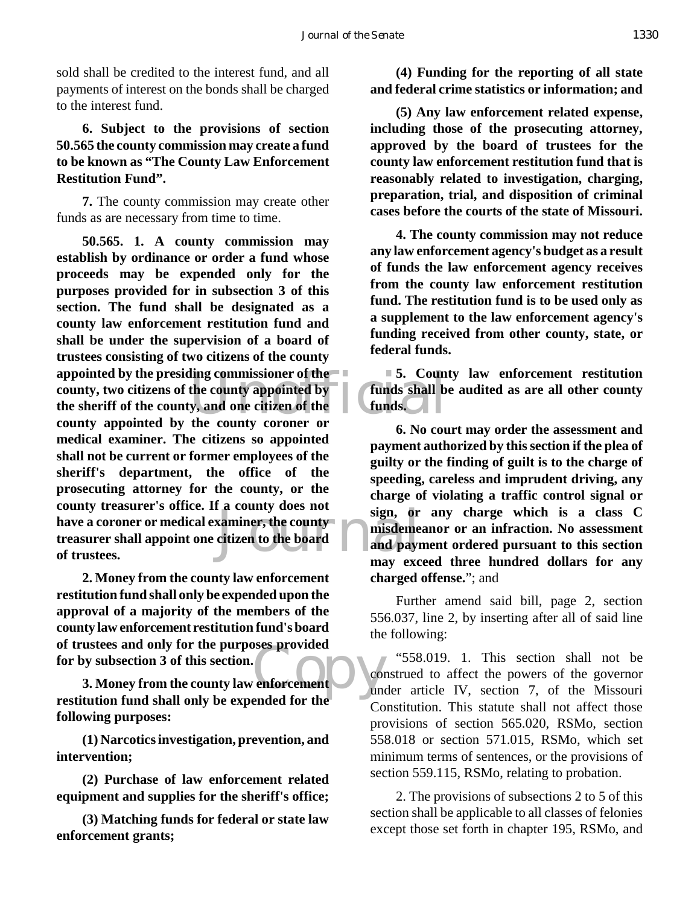sold shall be credited to the interest fund, and all payments of interest on the bonds shall be charged to the interest fund.

**6. Subject to the provisions of section 50.565 the county commission may create a fund to be known as "The County Law Enforcement Restitution Fund".**

**7.** The county commission may create other funds as are necessary from time to time.

ling commissioner of the  $\sim$  5. Count<br>the county appointed by funds shall b<br>y, and one citizen of the funds. Examiner, the county<br>citizen to the board<br>example and payr<br>may excess the board **50.565. 1. A county commission may establish by ordinance or order a fund whose proceeds may be expended only for the purposes provided for in subsection 3 of this section. The fund shall be designated as a county law enforcement restitution fund and shall be under the supervision of a board of trustees consisting of two citizens of the county appointed by the presiding commissioner of the county, two citizens of the county appointed by the sheriff of the county, and one citizen of the county appointed by the county coroner or medical examiner. The citizens so appointed shall not be current or former employees of the sheriff's department, the office of the prosecuting attorney for the county, or the county treasurer's office. If a county does not have a coroner or medical examiner, the county treasurer shall appoint one citizen to the board of trustees.**

**2. Money from the county law enforcement restitution fund shall only be expended upon the approval of a majority of the members of the county law enforcement restitution fund's board of trustees and only for the purposes provided for by subsection 3 of this section.**

enforcement **3. Money from the county law enforcement restitution fund shall only be expended for the following purposes:**

**(1) Narcotics investigation, prevention, and intervention;**

**(2) Purchase of law enforcement related equipment and supplies for the sheriff's office;**

**(3) Matching funds for federal or state law enforcement grants;**

**(4) Funding for the reporting of all state and federal crime statistics or information; and**

**(5) Any law enforcement related expense, including those of the prosecuting attorney, approved by the board of trustees for the county law enforcement restitution fund that is reasonably related to investigation, charging, preparation, trial, and disposition of criminal cases before the courts of the state of Missouri.**

**4. The county commission may not reduce any law enforcement agency's budget as a result of funds the law enforcement agency receives from the county law enforcement restitution fund. The restitution fund is to be used only as a supplement to the law enforcement agency's funding received from other county, state, or federal funds.**

**5. County law enforcement restitution funds shall be audited as are all other county funds.**

**6. No court may order the assessment and payment authorized by this section if the plea of guilty or the finding of guilt is to the charge of speeding, careless and imprudent driving, any charge of violating a traffic control signal or sign, or any charge which is a class C misdemeanor or an infraction. No assessment and payment ordered pursuant to this section may exceed three hundred dollars for any charged offense.**"; and

Further amend said bill, page 2, section 556.037, line 2, by inserting after all of said line the following:

"558.019. 1. This section shall not be construed to affect the powers of the governor under article IV, section 7, of the Missouri Constitution. This statute shall not affect those provisions of section 565.020, RSMo, section 558.018 or section 571.015, RSMo, which set minimum terms of sentences, or the provisions of section 559.115, RSMo, relating to probation.

2. The provisions of subsections 2 to 5 of this section shall be applicable to all classes of felonies except those set forth in chapter 195, RSMo, and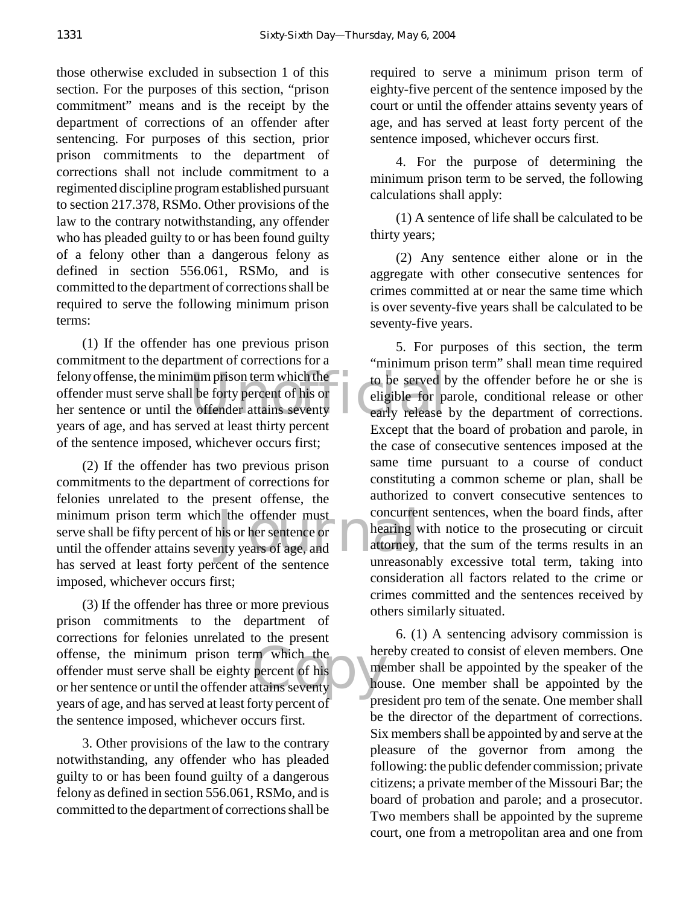those otherwise excluded in subsection 1 of this section. For the purposes of this section, "prison commitment" means and is the receipt by the department of corrections of an offender after sentencing. For purposes of this section, prior prison commitments to the department of corrections shall not include commitment to a regimented discipline program established pursuant to section 217.378, RSMo. Other provisions of the law to the contrary notwithstanding, any offender who has pleaded guilty to or has been found guilty of a felony other than a dangerous felony as defined in section 556.061, RSMo, and is committed to the department of corrections shall be required to serve the following minimum prison terms:

The total prison term which the total to be served to be served to be served to be served to be served to be served to be served to be served to be served to be served to be served at least thirty remeant (1) If the offender has one previous prison commitment to the department of corrections for a felony offense, the minimum prison term which the offender must serve shall be forty percent of his or her sentence or until the offender attains seventy years of age, and has served at least thirty percent of the sentence imposed, whichever occurs first;

h the offender must<br>his or her sentence or<br>the bearing when the property years of age, and<br>the contract of the sense of the sense of the sense of the sense of the sense of the sense of the sense of the sense of the sense o (2) If the offender has two previous prison commitments to the department of corrections for felonies unrelated to the present offense, the minimum prison term which the offender must serve shall be fifty percent of his or her sentence or until the offender attains seventy years of age, and has served at least forty percent of the sentence imposed, whichever occurs first;

offense, the minimum prison term which the<br>
offender must serve shall be eighty percent of his<br>
or her sentence or until the offender attains seventy (3) If the offender has three or more previous prison commitments to the department of corrections for felonies unrelated to the present offender must serve shall be eighty percent of his or her sentence or until the offender attains seventy years of age, and has served at least forty percent of the sentence imposed, whichever occurs first.

3. Other provisions of the law to the contrary notwithstanding, any offender who has pleaded guilty to or has been found guilty of a dangerous felony as defined in section 556.061, RSMo, and is committed to the department of corrections shall be

required to serve a minimum prison term of eighty-five percent of the sentence imposed by the court or until the offender attains seventy years of age, and has served at least forty percent of the sentence imposed, whichever occurs first.

4. For the purpose of determining the minimum prison term to be served, the following calculations shall apply:

(1) A sentence of life shall be calculated to be thirty years;

(2) Any sentence either alone or in the aggregate with other consecutive sentences for crimes committed at or near the same time which is over seventy-five years shall be calculated to be seventy-five years.

5. For purposes of this section, the term "minimum prison term" shall mean time required to be served by the offender before he or she is eligible for parole, conditional release or other early release by the department of corrections. Except that the board of probation and parole, in the case of consecutive sentences imposed at the same time pursuant to a course of conduct constituting a common scheme or plan, shall be authorized to convert consecutive sentences to concurrent sentences, when the board finds, after hearing with notice to the prosecuting or circuit attorney, that the sum of the terms results in an unreasonably excessive total term, taking into consideration all factors related to the crime or crimes committed and the sentences received by others similarly situated.

6. (1) A sentencing advisory commission is hereby created to consist of eleven members. One member shall be appointed by the speaker of the house. One member shall be appointed by the president pro tem of the senate. One member shall be the director of the department of corrections. Six members shall be appointed by and serve at the pleasure of the governor from among the following: the public defender commission; private citizens; a private member of the Missouri Bar; the board of probation and parole; and a prosecutor. Two members shall be appointed by the supreme court, one from a metropolitan area and one from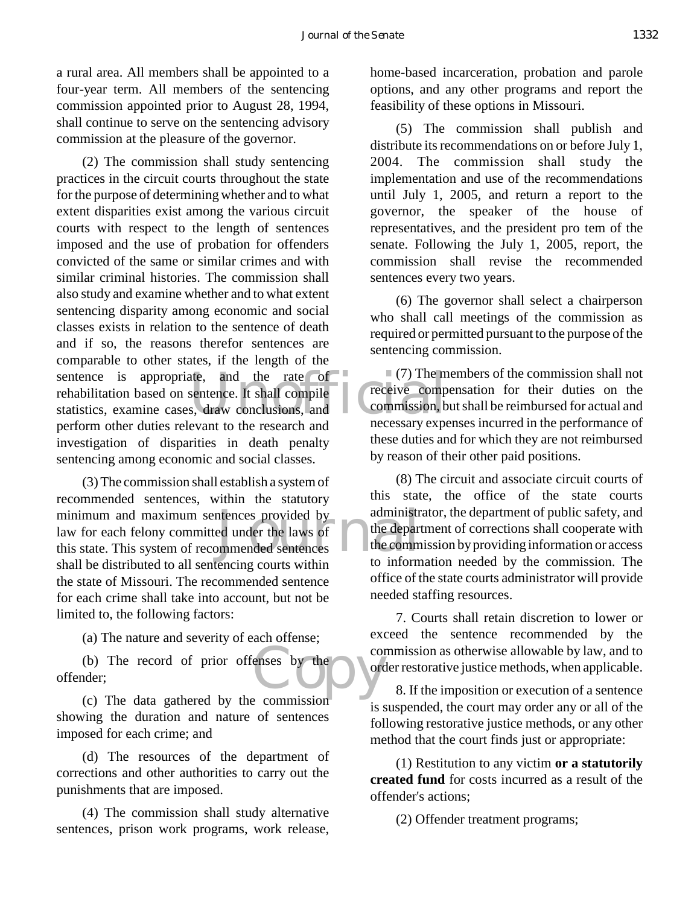a rural area. All members shall be appointed to a four-year term. All members of the sentencing commission appointed prior to August 28, 1994, shall continue to serve on the sentencing advisory commission at the pleasure of the governor.

sentence is appropriate, and the rate of  $(7)$  The m<br>rehabilitation based on sentence. It shall compile<br>statistics, examine cases, draw conclusions, and<br>necessary experience the duties male with the measure and the necess (2) The commission shall study sentencing practices in the circuit courts throughout the state for the purpose of determining whether and to what extent disparities exist among the various circuit courts with respect to the length of sentences imposed and the use of probation for offenders convicted of the same or similar crimes and with similar criminal histories. The commission shall also study and examine whether and to what extent sentencing disparity among economic and social classes exists in relation to the sentence of death and if so, the reasons therefor sentences are comparable to other states, if the length of the rehabilitation based on sentence. It shall compile statistics, examine cases, draw conclusions, and perform other duties relevant to the research and investigation of disparities in death penalty sentencing among economic and social classes.

minimum and maximum sentences provided by<br>
law for each felony committed under the laws of<br>
this state. This system of recommended sentences (3) The commission shall establish a system of recommended sentences, within the statutory law for each felony committed under the laws of this state. This system of recommended sentences shall be distributed to all sentencing courts within the state of Missouri. The recommended sentence for each crime shall take into account, but not be limited to, the following factors:

(a) The nature and severity of each offense;

enses by the (b) The record of prior offenses by the offender;

(c) The data gathered by the commission showing the duration and nature of sentences imposed for each crime; and

(d) The resources of the department of corrections and other authorities to carry out the punishments that are imposed.

(4) The commission shall study alternative sentences, prison work programs, work release, home-based incarceration, probation and parole options, and any other programs and report the feasibility of these options in Missouri.

(5) The commission shall publish and distribute its recommendations on or before July 1, 2004. The commission shall study the implementation and use of the recommendations until July 1, 2005, and return a report to the governor, the speaker of the house of representatives, and the president pro tem of the senate. Following the July 1, 2005, report, the commission shall revise the recommended sentences every two years.

(6) The governor shall select a chairperson who shall call meetings of the commission as required or permitted pursuant to the purpose of the sentencing commission.

 $(7)$  The members of the commission shall not receive compensation for their duties on the commission, but shall be reimbursed for actual and necessary expenses incurred in the performance of these duties and for which they are not reimbursed by reason of their other paid positions.

(8) The circuit and associate circuit courts of this state, the office of the state courts administrator, the department of public safety, and the department of corrections shall cooperate with the commission by providing information or access to information needed by the commission. The office of the state courts administrator will provide needed staffing resources.

7. Courts shall retain discretion to lower or exceed the sentence recommended by the commission as otherwise allowable by law, and to order restorative justice methods, when applicable.

8. If the imposition or execution of a sentence is suspended, the court may order any or all of the following restorative justice methods, or any other method that the court finds just or appropriate:

(1) Restitution to any victim **or a statutorily created fund** for costs incurred as a result of the offender's actions;

(2) Offender treatment programs;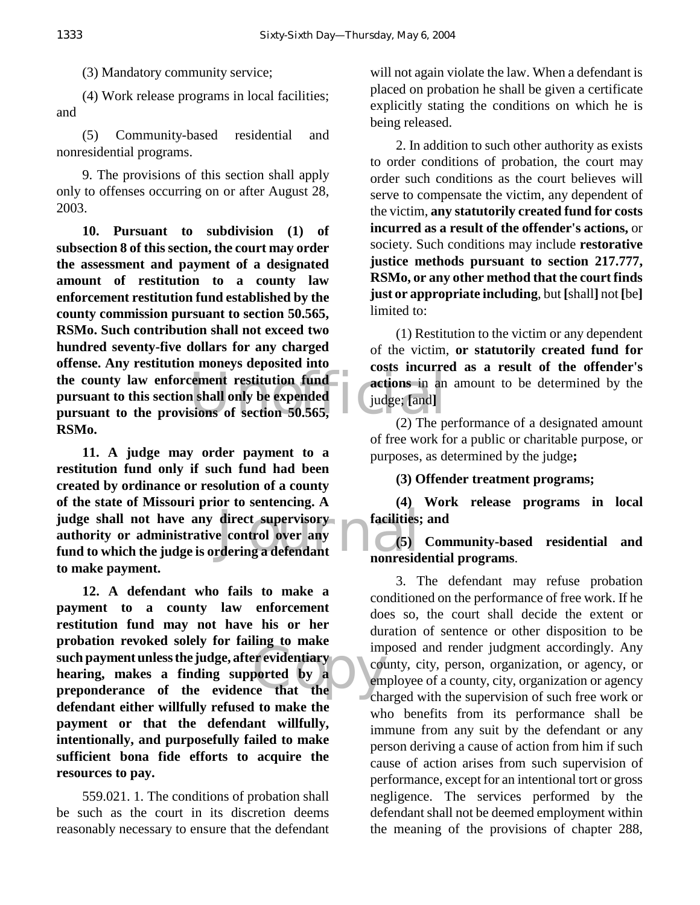(3) Mandatory community service;

(4) Work release programs in local facilities; and

(5) Community-based residential and nonresidential programs.

9. The provisions of this section shall apply only to offenses occurring on or after August 28, 2003.

the county law enforcement restitution fund<br>
pursuant to the provisions of section 50.565,<br>
Undge; [and] **10. Pursuant to subdivision (1) of subsection 8 of this section, the court may order the assessment and payment of a designated amount of restitution to a county law enforcement restitution fund established by the county commission pursuant to section 50.565, RSMo. Such contribution shall not exceed two hundred seventy-five dollars for any charged offense. Any restitution moneys deposited into the county law enforcement restitution fund pursuant to this section shall only be expended RSMo.**

judge shall not have any direct supervisory<br>authority or administrative control over any facilities;<br>fund to which the judge is ordering a defendant nonresid **11. A judge may order payment to a restitution fund only if such fund had been created by ordinance or resolution of a county of the state of Missouri prior to sentencing. A authority or administrative control over any fund to which the judge is ordering a defendant to make payment.**

example of the contract of the contract of the contract of the contract of the contract of the contract of the contract of the contract of the contract of the contract of the contract of the contract of the contract of the **12. A defendant who fails to make a payment to a county law enforcement restitution fund may not have his or her probation revoked solely for failing to make such payment unless the judge, after evidentiary hearing, makes a finding supported by a preponderance of the evidence that the defendant either willfully refused to make the payment or that the defendant willfully, intentionally, and purposefully failed to make sufficient bona fide efforts to acquire the resources to pay.**

559.021. 1. The conditions of probation shall be such as the court in its discretion deems reasonably necessary to ensure that the defendant

will not again violate the law. When a defendant is placed on probation he shall be given a certificate explicitly stating the conditions on which he is being released.

2. In addition to such other authority as exists to order conditions of probation, the court may order such conditions as the court believes will serve to compensate the victim, any dependent of the victim, **any statutorily created fund for costs incurred as a result of the offender's actions,** or society. Such conditions may include **restorative justice methods pursuant to section 217.777, RSMo, or any other method that the court finds just or appropriate including**, but **[**shall**]** not **[**be**]** limited to:

(1) Restitution to the victim or any dependent of the victim, **or statutorily created fund for costs incurred as a result of the offender's actions** in an amount to be determined by the judge; **[**and**]**

(2) The performance of a designated amount of free work for a public or charitable purpose, or purposes, as determined by the judge**;**

**(3) Offender treatment programs;**

**(4) Work release programs in local facilities; and**

**(5) Community-based residential and nonresidential programs**.

3. The defendant may refuse probation conditioned on the performance of free work. If he does so, the court shall decide the extent or duration of sentence or other disposition to be imposed and render judgment accordingly. Any county, city, person, organization, or agency, or employee of a county, city, organization or agency charged with the supervision of such free work or who benefits from its performance shall be immune from any suit by the defendant or any person deriving a cause of action from him if such cause of action arises from such supervision of performance, except for an intentional tort or gross negligence. The services performed by the defendant shall not be deemed employment within the meaning of the provisions of chapter 288,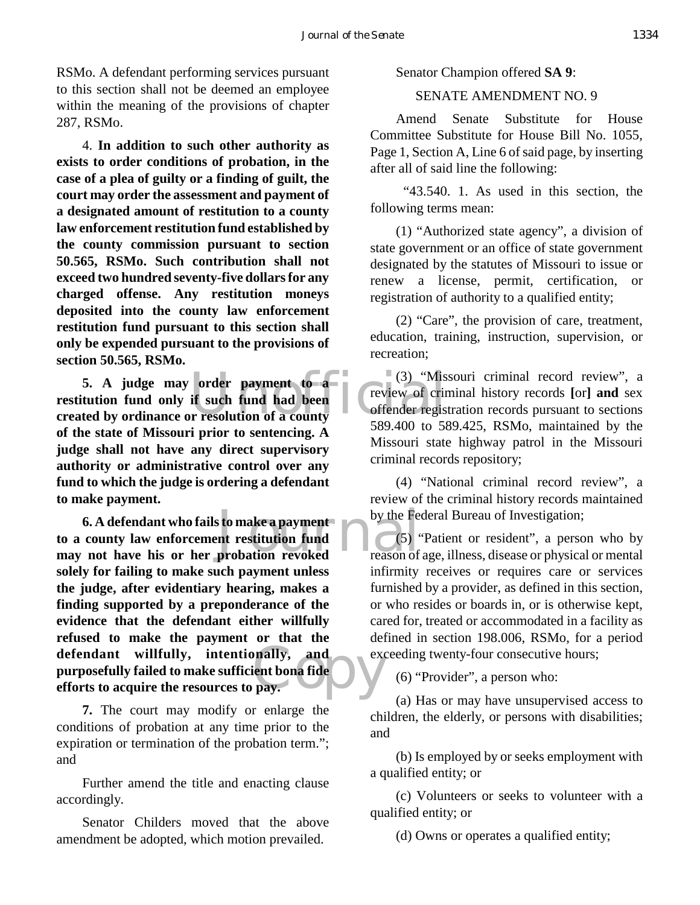RSMo. A defendant performing services pursuant to this section shall not be deemed an employee within the meaning of the provisions of chapter 287, RSMo.

4. **In addition to such other authority as exists to order conditions of probation, in the case of a plea of guilty or a finding of guilt, the court may order the assessment and payment of a designated amount of restitution to a county law enforcement restitution fund established by the county commission pursuant to section 50.565, RSMo. Such contribution shall not exceed two hundred seventy-five dollars for any charged offense. Any restitution moneys deposited into the county law enforcement restitution fund pursuant to this section shall only be expended pursuant to the provisions of section 50.565, RSMo.**

order payment to a<br>
if such fund had been<br>
preview of crime offender regis<br>
preview of crime offender regis<br>  $\frac{1}{580,400}$  to  $\frac{580,400}{250}$ **5. A judge may order payment to a restitution fund only if such fund had been created by ordinance or resolution of a county of the state of Missouri prior to sentencing. A judge shall not have any direct supervisory authority or administrative control over any fund to which the judge is ordering a defendant to make payment.**

**6. A defendant who fails to make a payment**<br> **to a county law enforcement restitution fund**<br> **may not have his or her probation revoked**<br> **may not have his or her probation revoked**<br> **may not have his or her probation rev** pally, and execution and the pay. **6. A defendant who fails to make a payment to a county law enforcement restitution fund solely for failing to make such payment unless the judge, after evidentiary hearing, makes a finding supported by a preponderance of the evidence that the defendant either willfully refused to make the payment or that the defendant willfully, intentionally, and purposefully failed to make sufficient bona fide efforts to acquire the resources to pay.**

**7.** The court may modify or enlarge the conditions of probation at any time prior to the expiration or termination of the probation term."; and

Further amend the title and enacting clause accordingly.

Senator Childers moved that the above amendment be adopted, which motion prevailed.

Senator Champion offered **SA 9**:

## SENATE AMENDMENT NO. 9

Amend Senate Substitute for House Committee Substitute for House Bill No. 1055, Page 1, Section A, Line 6 of said page, by inserting after all of said line the following:

 "43.540. 1. As used in this section, the following terms mean:

(1) "Authorized state agency", a division of state government or an office of state government designated by the statutes of Missouri to issue or renew a license, permit, certification, or registration of authority to a qualified entity;

(2) "Care", the provision of care, treatment, education, training, instruction, supervision, or recreation;

(3) "Missouri criminal record review", a review of criminal history records **[**or**] and** sex offender registration records pursuant to sections 589.400 to 589.425, RSMo, maintained by the Missouri state highway patrol in the Missouri criminal records repository;

(4) "National criminal record review", a review of the criminal history records maintained by the Federal Bureau of Investigation;

(5) "Patient or resident", a person who by reason of age, illness, disease or physical or mental infirmity receives or requires care or services furnished by a provider, as defined in this section, or who resides or boards in, or is otherwise kept, cared for, treated or accommodated in a facility as defined in section 198.006, RSMo, for a period exceeding twenty-four consecutive hours;

(6) "Provider", a person who:

(a) Has or may have unsupervised access to children, the elderly, or persons with disabilities; and

(b) Is employed by or seeks employment with a qualified entity; or

(c) Volunteers or seeks to volunteer with a qualified entity; or

(d) Owns or operates a qualified entity;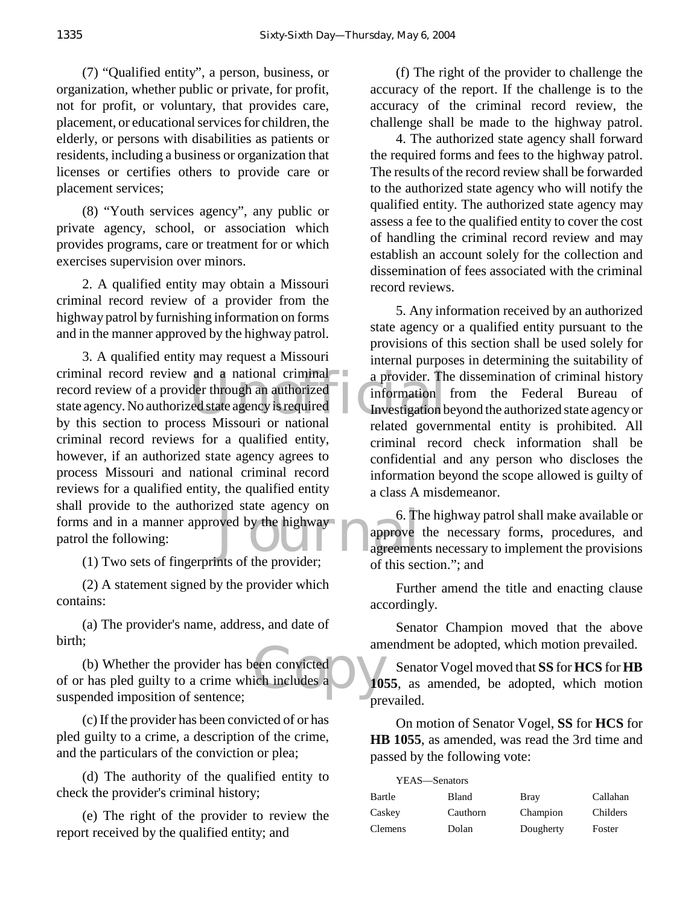(7) "Qualified entity", a person, business, or organization, whether public or private, for profit, not for profit, or voluntary, that provides care, placement, or educational services for children, the elderly, or persons with disabilities as patients or residents, including a business or organization that licenses or certifies others to provide care or placement services;

(8) "Youth services agency", any public or private agency, school, or association which provides programs, care or treatment for or which exercises supervision over minors.

2. A qualified entity may obtain a Missouri criminal record review of a provider from the highway patrol by furnishing information on forms and in the manner approved by the highway patrol.

and a national criminal<br>der through an authorized<br>red state agency is required<br>the set of the set of the set of the set of the set of the set of the set of the set of the set of the set of<br>red set of the set of the set of by the highway<br>approve<br>the provider call the provider 3. A qualified entity may request a Missouri criminal record review and a national criminal record review of a provider through an authorized state agency. No authorized state agency is required by this section to process Missouri or national criminal record reviews for a qualified entity, however, if an authorized state agency agrees to process Missouri and national criminal record reviews for a qualified entity, the qualified entity shall provide to the authorized state agency on forms and in a manner approved by the highway patrol the following:

(1) Two sets of fingerprints of the provider;

(2) A statement signed by the provider which contains:

(a) The provider's name, address, and date of birth;

een convicted<br>
ich includes a (b) Whether the provider has been convicted of or has pled guilty to a crime which includes a suspended imposition of sentence;

(c) If the provider has been convicted of or has pled guilty to a crime, a description of the crime, and the particulars of the conviction or plea;

(d) The authority of the qualified entity to check the provider's criminal history;

(e) The right of the provider to review the report received by the qualified entity; and

(f) The right of the provider to challenge the accuracy of the report. If the challenge is to the accuracy of the criminal record review, the challenge shall be made to the highway patrol.

4. The authorized state agency shall forward the required forms and fees to the highway patrol. The results of the record review shall be forwarded to the authorized state agency who will notify the qualified entity. The authorized state agency may assess a fee to the qualified entity to cover the cost of handling the criminal record review and may establish an account solely for the collection and dissemination of fees associated with the criminal record reviews.

5. Any information received by an authorized state agency or a qualified entity pursuant to the provisions of this section shall be used solely for internal purposes in determining the suitability of a provider. The dissemination of criminal history information from the Federal Bureau of Investigation beyond the authorized state agency or related governmental entity is prohibited. All criminal record check information shall be confidential and any person who discloses the information beyond the scope allowed is guilty of a class A misdemeanor.

6. The highway patrol shall make available or approve the necessary forms, procedures, and agreements necessary to implement the provisions of this section."; and

Further amend the title and enacting clause accordingly.

Senator Champion moved that the above amendment be adopted, which motion prevailed.

Senator Vogel moved that **SS** for **HCS** for **HB 1055**, as amended, be adopted, which motion prevailed.

On motion of Senator Vogel, **SS** for **HCS** for **HB 1055**, as amended, was read the 3rd time and passed by the following vote:

| YEAS—Senators |          |             |          |
|---------------|----------|-------------|----------|
| Bartle        | Bland    | <b>Bray</b> | Callahan |
| Caskey        | Cauthorn | Champion    | Childers |
| Clemens       | Dolan    | Dougherty   | Foster   |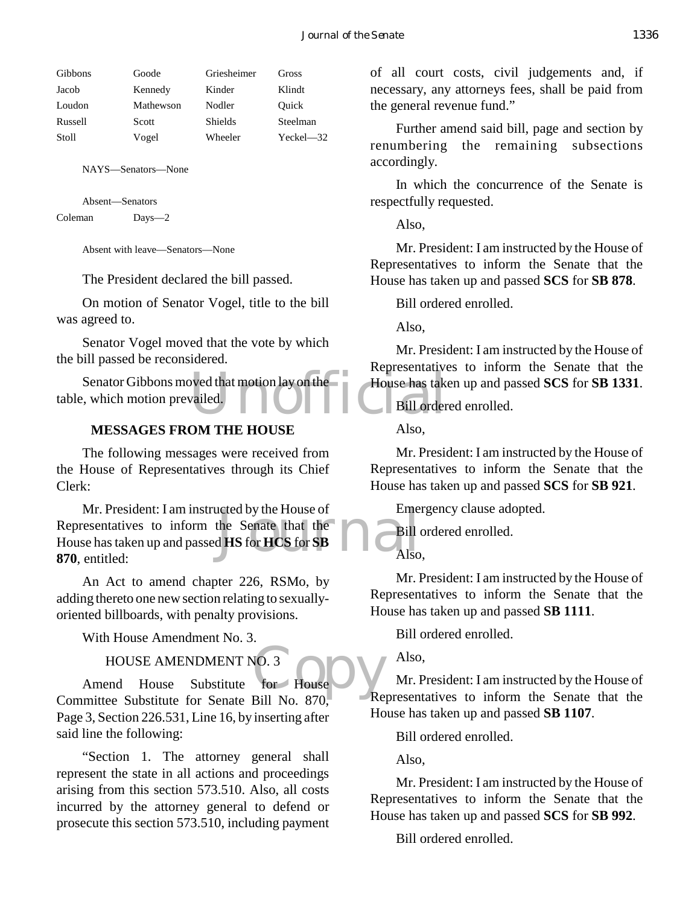| <b>Gibbons</b> | Goode     | Griesheimer    | Gross     |
|----------------|-----------|----------------|-----------|
| Jacob          | Kennedy   | Kinder         | Klindt    |
| Loudon         | Mathewson | Nodler         | Ouick     |
| Russell        | Scott     | <b>Shields</b> | Steelman  |
| Stoll          | Vogel     | Wheeler        | Yeckel—32 |
|                |           |                |           |

NAYS—Senators—None

Absent—Senators Coleman Days—2

Absent with leave—Senators—None

The President declared the bill passed.

On motion of Senator Vogel, title to the bill was agreed to.

Senator Vogel moved that the vote by which the bill passed be reconsidered.

Senator Gibbons moved that motion lay on the House has take<br>
., which motion prevailed. table, which motion prevailed.

## **MESSAGES FROM THE HOUSE**

The following messages were received from the House of Representatives through its Chief Clerk:

acted by the House of<br>the Senate that the<br>d HS for HCS for SB Mr. President: I am instructed by the House of Representatives to inform the Senate that the House has taken up and passed **HS** for **HCS** for **SB 870**, entitled:

An Act to amend chapter 226, RSMo, by adding thereto one new section relating to sexuallyoriented billboards, with penalty provisions.

With House Amendment No. 3.

## HOUSE AMENDMENT NO. 3

HOUSE AMENDMENT NO. 3<br>Amend House Substitute for House Committee Substitute for Senate Bill No. 870, Page 3, Section 226.531, Line 16, by inserting after said line the following:

"Section 1. The attorney general shall represent the state in all actions and proceedings arising from this section 573.510. Also, all costs incurred by the attorney general to defend or prosecute this section 573.510, including payment of all court costs, civil judgements and, if necessary, any attorneys fees, shall be paid from the general revenue fund."

Further amend said bill, page and section by renumbering the remaining subsections accordingly.

In which the concurrence of the Senate is respectfully requested.

Also,

Mr. President: I am instructed by the House of Representatives to inform the Senate that the House has taken up and passed **SCS** for **SB 878**.

Bill ordered enrolled.

Also,

Mr. President: I am instructed by the House of Representatives to inform the Senate that the House has taken up and passed **SCS** for **SB 1331**.

Bill ordered enrolled.

Also,

Mr. President: I am instructed by the House of Representatives to inform the Senate that the House has taken up and passed **SCS** for **SB 921**.

Emergency clause adopted.

Bill ordered enrolled.

Also,

Mr. President: I am instructed by the House of Representatives to inform the Senate that the House has taken up and passed **SB 1111**.

Bill ordered enrolled.

Also,

Mr. President: I am instructed by the House of Representatives to inform the Senate that the House has taken up and passed **SB 1107**.

Bill ordered enrolled.

Also,

Mr. President: I am instructed by the House of Representatives to inform the Senate that the House has taken up and passed **SCS** for **SB 992**.

Bill ordered enrolled.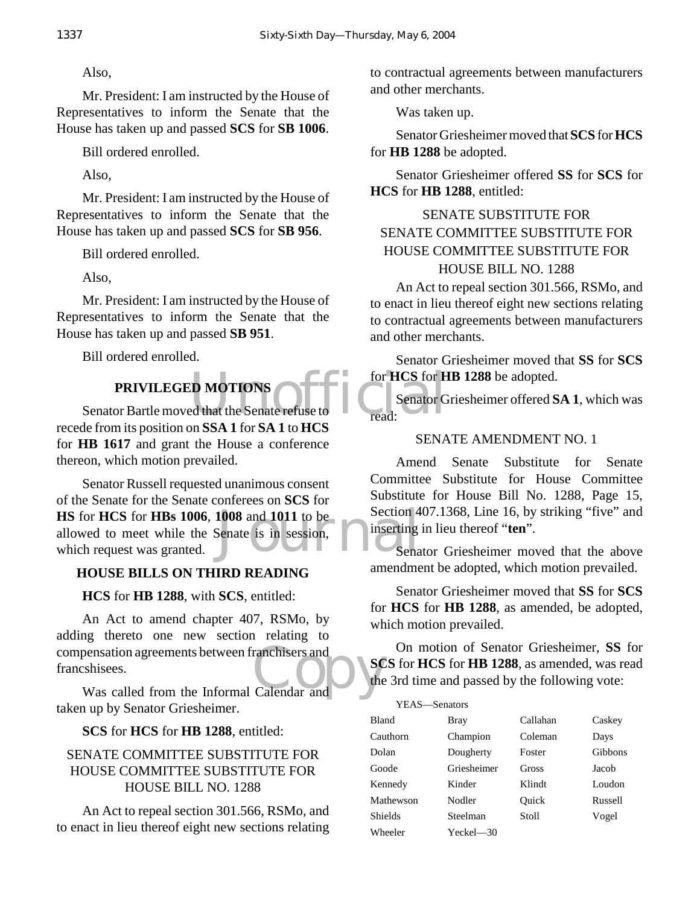Also,

Mr. President: I am instructed by the House of Representatives to inform the Senate that the House has taken up and passed **SCS** for **SB 1006**.

Bill ordered enrolled.

Also,

Mr. President: I am instructed by the House of Representatives to inform the Senate that the House has taken up and passed **SCS** for **SB 956**.

Bill ordered enrolled.

Also,

Mr. President: I am instructed by the House of Representatives to inform the Senate that the House has taken up and passed **SB 951**.

Bill ordered enrolled.

# **PRIVILEGED MOTIONS**

PRIVILEGED MOTIONS<br>
Senator Bartle moved that the Senate refuse to<br>
Legal Senator G recede from its position on **SSA 1** for **SA 1** to **HCS** for **HB 1617** and grant the House a conference thereon, which motion prevailed.

**HS** for **HCS** for **HBs 1006**, **1008** and **1011** to be<br>
allowed to meet while the Senate is in session,<br>
which request was granted. Senator Russell requested unanimous consent of the Senate for the Senate conferees on **SCS** for allowed to meet while the Senate is in session, which request was granted.

# **HOUSE BILLS ON THIRD READING**

**HCS** for **HB 1288**, with **SCS**, entitled:

compensation agreements between franchisers and<br>
francshisees.<br>
Was called from the Informal Calendar and<br>
Calendar and An Act to amend chapter 407, RSMo, by adding thereto one new section relating to francshisees.

Was called from the Informal Calendar and taken up by Senator Griesheimer.

**SCS** for **HCS** for **HB 1288**, entitled:

## SENATE COMMITTEE SUBSTITUTE FOR HOUSE COMMITTEE SUBSTITUTE FOR HOUSE BILL NO. 1288

An Act to repeal section 301.566, RSMo, and to enact in lieu thereof eight new sections relating to contractual agreements between manufacturers and other merchants.

Was taken up.

Senator Griesheimer moved that **SCS** for **HCS** for **HB 1288** be adopted.

Senator Griesheimer offered **SS** for **SCS** for **HCS** for **HB 1288**, entitled:

# SENATE SUBSTITUTE FOR SENATE COMMITTEE SUBSTITUTE FOR HOUSE COMMITTEE SUBSTITUTE FOR HOUSE BILL NO. 1288

An Act to repeal section 301.566, RSMo, and to enact in lieu thereof eight new sections relating to contractual agreements between manufacturers and other merchants.

Senator Griesheimer moved that **SS** for **SCS** for **HCS** for **HB 1288** be adopted.

Senator Griesheimer offered **SA 1**, which was read:

## SENATE AMENDMENT NO. 1

Amend Senate Substitute for Senate Committee Substitute for House Committee Substitute for House Bill No. 1288, Page 15, Section 407.1368, Line 16, by striking "five" and inserting in lieu thereof "**ten**".

Senator Griesheimer moved that the above amendment be adopted, which motion prevailed.

Senator Griesheimer moved that **SS** for **SCS** for **HCS** for **HB 1288**, as amended, be adopted, which motion prevailed.

On motion of Senator Griesheimer, **SS** for **SCS** for **HCS** for **HB 1288**, as amended, was read the 3rd time and passed by the following vote:

| YEAS-Senators  |              |          |         |
|----------------|--------------|----------|---------|
| Bland          | Bray         | Callahan | Caskey  |
| Cauthorn       | Champion     | Coleman  | Days    |
| Dolan          | Dougherty    | Foster   | Gibbons |
| Goode          | Griesheimer  | Gross    | Jacob   |
| Kennedy        | Kinder       | Klindt   | Loudon  |
| Mathewson      | Nodler       | Ouick    | Russell |
| <b>Shields</b> | Steelman     | Stoll    | Vogel   |
| Wheeler        | $Yeckel$ —30 |          |         |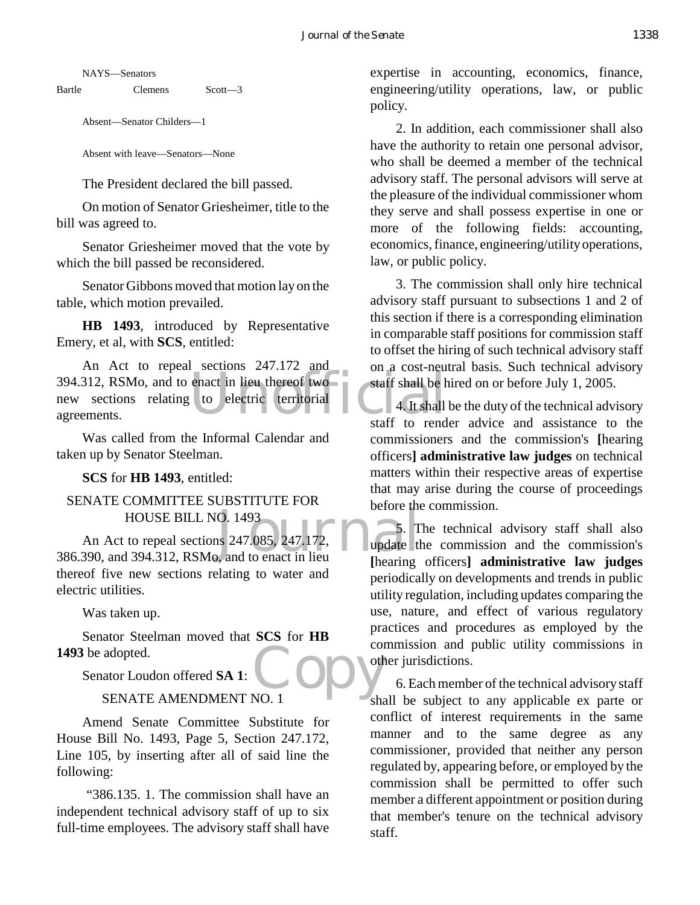NAYS—Senators

Bartle Clemens Scott-3

Absent—Senator Childers—1

Absent with leave—Senators—None

The President declared the bill passed.

On motion of Senator Griesheimer, title to the bill was agreed to.

Senator Griesheimer moved that the vote by which the bill passed be reconsidered.

Senator Gibbons moved that motion lay on the table, which motion prevailed.

**HB 1493**, introduced by Representative Emery, et al, with **SCS**, entitled:

394.312, RSMo, and to enact in lieu thereof two<br>new sections relating to electric territorial 4. It shall<br>agreements. An Act to repeal sections 247.172 and new sections relating to electric territorial agreements.

Was called from the Informal Calendar and taken up by Senator Steelman.

**SCS** for **HB 1493**, entitled:

## SENATE COMMITTEE SUBSTITUTE FOR HOUSE BILL NO. 1493

HOUSE BILL NO. 1493<br>
An Act to repeal sections 247.085, 247.172, 5. T<br>
386.390, and 394.312, RSMo, and to enact in lieu An Act to repeal sections 247.085, 247.172, thereof five new sections relating to water and electric utilities.

Was taken up.

Copy<sup>cor</sup> Senator Steelman moved that **SCS** for **HB 1493** be adopted.

Senator Loudon offered **SA 1**:

#### SENATE AMENDMENT NO. 1

Amend Senate Committee Substitute for House Bill No. 1493, Page 5, Section 247.172, Line 105, by inserting after all of said line the following:

 "386.135. 1. The commission shall have an independent technical advisory staff of up to six full-time employees. The advisory staff shall have

expertise in accounting, economics, finance, engineering/utility operations, law, or public policy.

2. In addition, each commissioner shall also have the authority to retain one personal advisor, who shall be deemed a member of the technical advisory staff. The personal advisors will serve at the pleasure of the individual commissioner whom they serve and shall possess expertise in one or more of the following fields: accounting, economics, finance, engineering/utility operations, law, or public policy.

3. The commission shall only hire technical advisory staff pursuant to subsections 1 and 2 of this section if there is a corresponding elimination in comparable staff positions for commission staff to offset the hiring of such technical advisory staff on a cost-neutral basis. Such technical advisory staff shall be hired on or before July 1, 2005.

4. It shall be the duty of the technical advisory staff to render advice and assistance to the commissioners and the commission's **[**hearing officers**] administrative law judges** on technical matters within their respective areas of expertise that may arise during the course of proceedings before the commission.

5. The technical advisory staff shall also update the commission and the commission's **[**hearing officers**] administrative law judges** periodically on developments and trends in public utility regulation, including updates comparing the use, nature, and effect of various regulatory practices and procedures as employed by the commission and public utility commissions in other jurisdictions.

6. Each member of the technical advisory staff shall be subject to any applicable ex parte or conflict of interest requirements in the same manner and to the same degree as any commissioner, provided that neither any person regulated by, appearing before, or employed by the commission shall be permitted to offer such member a different appointment or position during that member's tenure on the technical advisory staff.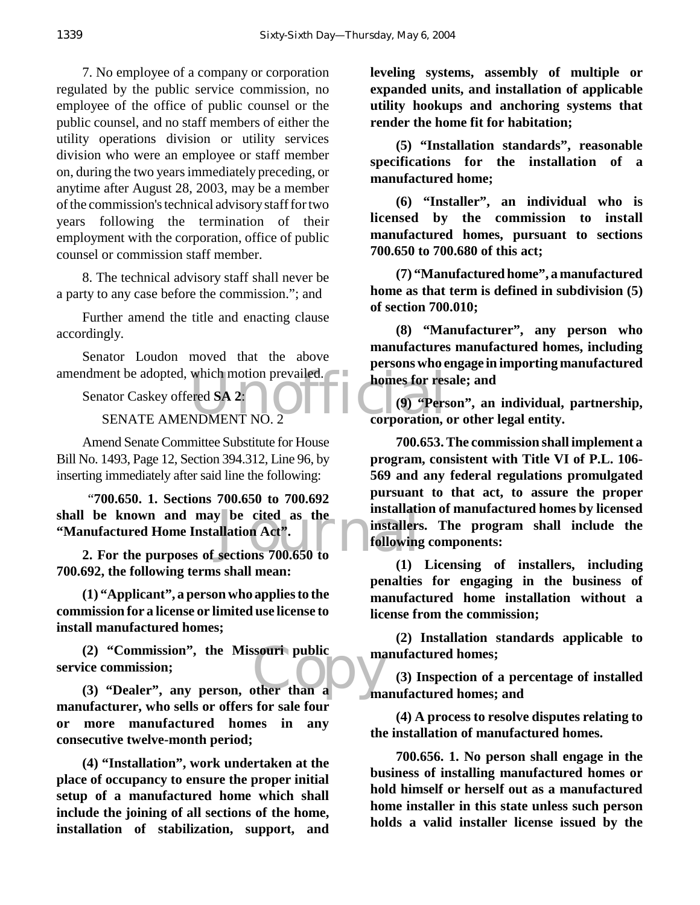7. No employee of a company or corporation regulated by the public service commission, no employee of the office of public counsel or the public counsel, and no staff members of either the utility operations division or utility services division who were an employee or staff member on, during the two years immediately preceding, or anytime after August 28, 2003, may be a member of the commission's technical advisory staff for two years following the termination of their employment with the corporation, office of public counsel or commission staff member.

8. The technical advisory staff shall never be a party to any case before the commission."; and

Further amend the title and enacting clause accordingly.

Senator Loudon moved that the above amendment be adopted, which motion prevailed.

Senator Caskey offered **SA 2**:

SENATE AMENDMENT NO. 2

Amend Senate Committee Substitute for House Bill No. 1493, Page 12, Section 394.312, Line 96, by inserting immediately after said line the following:

shall be known and may be cited as the **installation**<br>
"Manufactured Home Installation Act".<br>
2. For the purposes of sections 700.650 to "**700.650. 1. Sections 700.650 to 700.692 "Manufactured Home Installation Act".**

**2. For the purposes of sections 700.650 to 700.692, the following terms shall mean:**

**(1) "Applicant", a person who applies to the commission for a license or limited use license to install manufactured homes;**

(2) "Commission", the Miss**ouri public matrice commission;**<br>
(3) "Dealer", any person, other than a **(2) "Commission", the Missouri public service commission;**

**manufacturer, who sells or offers for sale four or more manufactured homes in any consecutive twelve-month period;**

**(4) "Installation", work undertaken at the place of occupancy to ensure the proper initial setup of a manufactured home which shall include the joining of all sections of the home, installation of stabilization, support, and** **leveling systems, assembly of multiple or expanded units, and installation of applicable utility hookups and anchoring systems that render the home fit for habitation;**

**(5) "Installation standards", reasonable specifications for the installation of a manufactured home;**

**(6) "Installer", an individual who is licensed by the commission to install manufactured homes, pursuant to sections 700.650 to 700.680 of this act;**

**(7) "Manufactured home", a manufactured home as that term is defined in subdivision (5) of section 700.010;**

**(8) "Manufacturer", any person who manufactures manufactured homes, including persons who engage in importing manufactured homes for resale; and**

which motion prevailed.<br>
ered SA 2:<br>
NDMENT NO. 2 corporation, **(9) "Person", an individual, partnership, corporation, or other legal entity.**

> **700.653. The commission shall implement a program, consistent with Title VI of P.L. 106- 569 and any federal regulations promulgated pursuant to that act, to assure the proper installation of manufactured homes by licensed installers. The program shall include the following components:**

> **(1) Licensing of installers, including penalties for engaging in the business of manufactured home installation without a license from the commission;**

> **(2) Installation standards applicable to manufactured homes;**

> **(3) Inspection of a percentage of installed manufactured homes; and**

**(4) A process to resolve disputes relating to the installation of manufactured homes.**

**700.656. 1. No person shall engage in the business of installing manufactured homes or hold himself or herself out as a manufactured home installer in this state unless such person holds a valid installer license issued by the**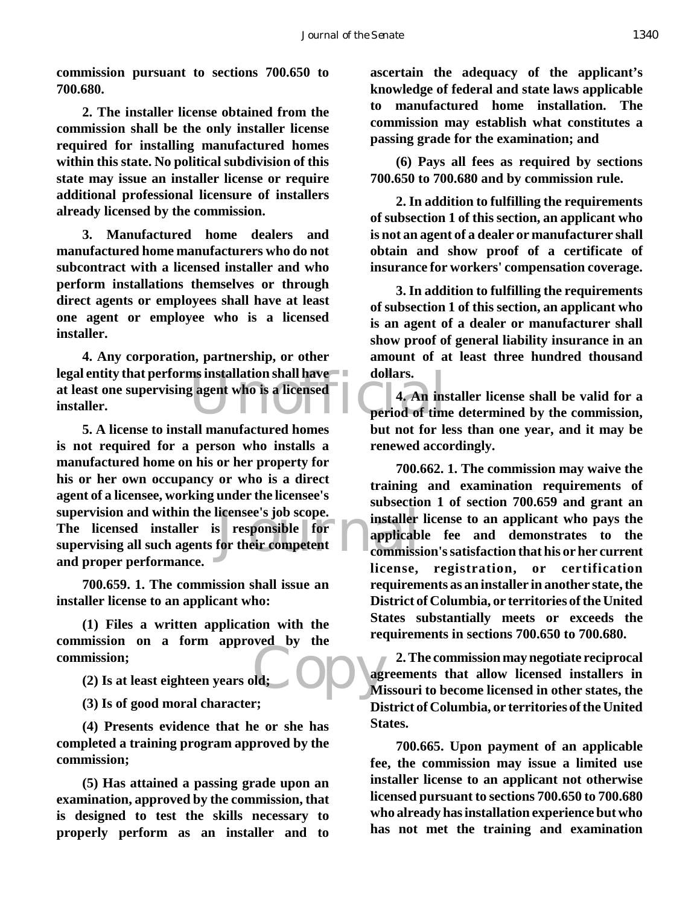**commission pursuant to sections 700.650 to 700.680.**

**2. The installer license obtained from the commission shall be the only installer license required for installing manufactured homes within this state. No political subdivision of this state may issue an installer license or require additional professional licensure of installers already licensed by the commission.**

**3. Manufactured home dealers and manufactured home manufacturers who do not subcontract with a licensed installer and who perform installations themselves or through direct agents or employees shall have at least one agent or employee who is a licensed installer.**

ms installation shall have dollars.<br>Example to the same of the period of time **4. Any corporation, partnership, or other legal entity that performs installation shall have at least one supervising agent who is a licensed installer.**

licensee's job scope.<br>
s responsible for applicable<br>
for their competent<br>
commissi **5. A license to install manufactured homes is not required for a person who installs a manufactured home on his or her property for his or her own occupancy or who is a direct agent of a licensee, working under the licensee's supervision and within the licensee's job scope. The licensed installer is responsible for supervising all such agents for their competent and proper performance.**

**700.659. 1. The commission shall issue an installer license to an applicant who:**

Mi De Mi **(1) Files a written application with the commission on a form approved by the commission;**

**(2) Is at least eighteen years old;**

**(3) Is of good moral character;**

**(4) Presents evidence that he or she has completed a training program approved by the commission;**

**(5) Has attained a passing grade upon an examination, approved by the commission, that is designed to test the skills necessary to properly perform as an installer and to**

**ascertain the adequacy of the applicant's knowledge of federal and state laws applicable to manufactured home installation. The commission may establish what constitutes a passing grade for the examination; and**

**(6) Pays all fees as required by sections 700.650 to 700.680 and by commission rule.**

**2. In addition to fulfilling the requirements of subsection 1 of this section, an applicant who is not an agent of a dealer or manufacturer shall obtain and show proof of a certificate of insurance for workers' compensation coverage.**

**3. In addition to fulfilling the requirements of subsection 1 of this section, an applicant who is an agent of a dealer or manufacturer shall show proof of general liability insurance in an amount of at least three hundred thousand dollars.**

**4. An installer license shall be valid for a period of time determined by the commission, but not for less than one year, and it may be renewed accordingly.**

**700.662. 1. The commission may waive the training and examination requirements of subsection 1 of section 700.659 and grant an installer license to an applicant who pays the applicable fee and demonstrates to the commission's satisfaction that his or her current license, registration, or certification requirements as an installer in another state, the District of Columbia, or territories of the United States substantially meets or exceeds the requirements in sections 700.650 to 700.680.**

**2. The commission may negotiate reciprocal agreements that allow licensed installers in Missouri to become licensed in other states, the District of Columbia, or territories of the United States.**

**700.665. Upon payment of an applicable fee, the commission may issue a limited use installer license to an applicant not otherwise licensed pursuant to sections 700.650 to 700.680 who already has installation experience but who has not met the training and examination**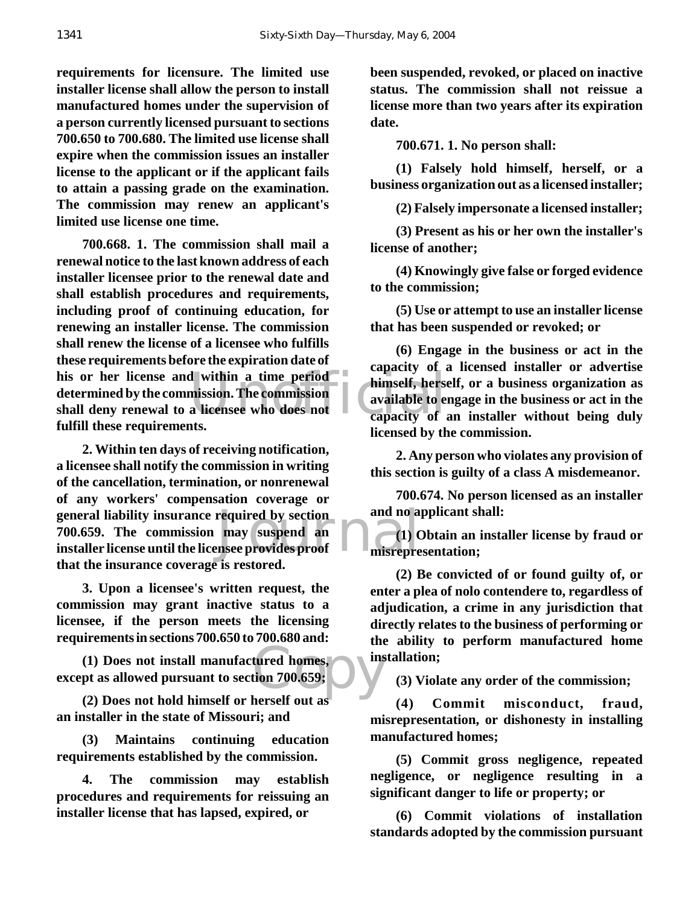**requirements for licensure. The limited use installer license shall allow the person to install manufactured homes under the supervision of a person currently licensed pursuant to sections 700.650 to 700.680. The limited use license shall expire when the commission issues an installer license to the applicant or if the applicant fails to attain a passing grade on the examination. The commission may renew an applicant's limited use license one time.**

his or her license and within a time period<br>determined by the commission. The commission<br>shall deny renewal to a licensee who does not<br>failed these nonvincing to a licensee who does not **700.668. 1. The commission shall mail a renewal notice to the last known address of each installer licensee prior to the renewal date and shall establish procedures and requirements, including proof of continuing education, for renewing an installer license. The commission shall renew the license of a licensee who fulfills these requirements before the expiration date of determined by the commission. The commission shall deny renewal to a licensee who does not fulfill these requirements.**

general liability insurance required by section<br> **700.659.** The commission may suspend an and 10 and 10 and 10 and 10 and 10 and 10 and 10 and 10 and 10 and 10 and 10 and 10 and 10 and 10 and 10 and 10 and 10 and 10 and 10 **2. Within ten days of receiving notification, a licensee shall notify the commission in writing of the cancellation, termination, or nonrenewal of any workers' compensation coverage or 700.659. The commission may suspend an installer license until the licensee provides proof that the insurance coverage is restored.**

**3. Upon a licensee's written request, the commission may grant inactive status to a licensee, if the person meets the licensing requirements in sections 700.650 to 700.680 and:**

tured homes,  $\overline{\phantom{0}}$  institution 700.659; **(1) Does not install manufactured homes, except as allowed pursuant to section 700.659;**

**(2) Does not hold himself or herself out as an installer in the state of Missouri; and**

**(3) Maintains continuing education requirements established by the commission.**

**4. The commission may establish procedures and requirements for reissuing an installer license that has lapsed, expired, or** 

**been suspended, revoked, or placed on inactive status. The commission shall not reissue a license more than two years after its expiration date.**

**700.671. 1. No person shall:**

**(1) Falsely hold himself, herself, or a business organization out as a licensed installer;**

**(2) Falsely impersonate a licensed installer;**

**(3) Present as his or her own the installer's license of another;**

**(4) Knowingly give false or forged evidence to the commission;**

**(5) Use or attempt to use an installer license that has been suspended or revoked; or**

**(6) Engage in the business or act in the capacity of a licensed installer or advertise himself, herself, or a business organization as available to engage in the business or act in the capacity of an installer without being duly licensed by the commission.**

**2. Any person who violates any provision of this section is guilty of a class A misdemeanor.**

**700.674. No person licensed as an installer and no applicant shall:**

**(1) Obtain an installer license by fraud or misrepresentation;**

**(2) Be convicted of or found guilty of, or enter a plea of nolo contendere to, regardless of adjudication, a crime in any jurisdiction that directly relates to the business of performing or the ability to perform manufactured home installation;**

**(3) Violate any order of the commission;**

**(4) Commit misconduct, fraud, misrepresentation, or dishonesty in installing manufactured homes;**

**(5) Commit gross negligence, repeated negligence, or negligence resulting in a significant danger to life or property; or**

**(6) Commit violations of installation standards adopted by the commission pursuant**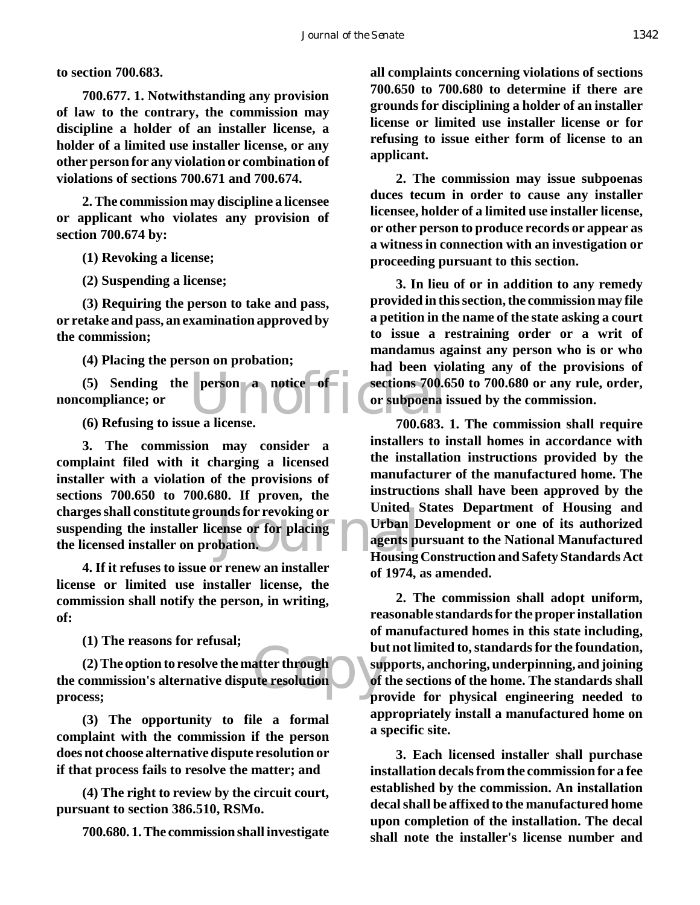**to section 700.683.**

**700.677. 1. Notwithstanding any provision of law to the contrary, the commission may discipline a holder of an installer license, a holder of a limited use installer license, or any other person for any violation or combination of violations of sections 700.671 and 700.674.**

**2. The commission may discipline a licensee or applicant who violates any provision of section 700.674 by:**

**(1) Revoking a license;**

**(2) Suspending a license;**

**(3) Requiring the person to take and pass, or retake and pass, an examination approved by the commission;**

**(4) Placing the person on probation;**

(5) Sending the person a notice of sections 700.6<br>
compliance; or<br>
(6) Refusing to issue a license.<br>
200.683 **noncompliance; or**

**(6) Refusing to issue a license.**

ands for revoking or<br>
ense or for placing<br>
bation.<br>
Housing **3. The commission may consider a complaint filed with it charging a licensed installer with a violation of the provisions of sections 700.650 to 700.680. If proven, the charges shall constitute grounds for revoking or suspending the installer license or for placing the licensed installer on probation.**

**4. If it refuses to issue or renew an installer license or limited use installer license, the commission shall notify the person, in writing, of:**

**(1) The reasons for refusal;**

bu<br>| atter through<br>| supplement of the resolution **(2) The option to resolve the matter through the commission's alternative dispute resolution process;**

**(3) The opportunity to file a formal complaint with the commission if the person does not choose alternative dispute resolution or if that process fails to resolve the matter; and**

**(4) The right to review by the circuit court, pursuant to section 386.510, RSMo.**

**700.680. 1. The commission shall investigate**

**all complaints concerning violations of sections 700.650 to 700.680 to determine if there are grounds for disciplining a holder of an installer license or limited use installer license or for refusing to issue either form of license to an applicant.**

**2. The commission may issue subpoenas duces tecum in order to cause any installer licensee, holder of a limited use installer license, or other person to produce records or appear as a witness in connection with an investigation or proceeding pursuant to this section.**

**3. In lieu of or in addition to any remedy provided in this section, the commission may file a petition in the name of the state asking a court to issue a restraining order or a writ of mandamus against any person who is or who had been violating any of the provisions of sections 700.650 to 700.680 or any rule, order, or subpoena issued by the commission.**

**700.683. 1. The commission shall require installers to install homes in accordance with the installation instructions provided by the manufacturer of the manufactured home. The instructions shall have been approved by the United States Department of Housing and Urban Development or one of its authorized agents pursuant to the National Manufactured Housing Construction and Safety Standards Act of 1974, as amended.**

**2. The commission shall adopt uniform, reasonable standards for the proper installation of manufactured homes in this state including, but not limited to, standards for the foundation, supports, anchoring, underpinning, and joining of the sections of the home. The standards shall provide for physical engineering needed to appropriately install a manufactured home on a specific site.**

**3. Each licensed installer shall purchase installation decals from the commission for a fee established by the commission. An installation decal shall be affixed to the manufactured home upon completion of the installation. The decal shall note the installer's license number and**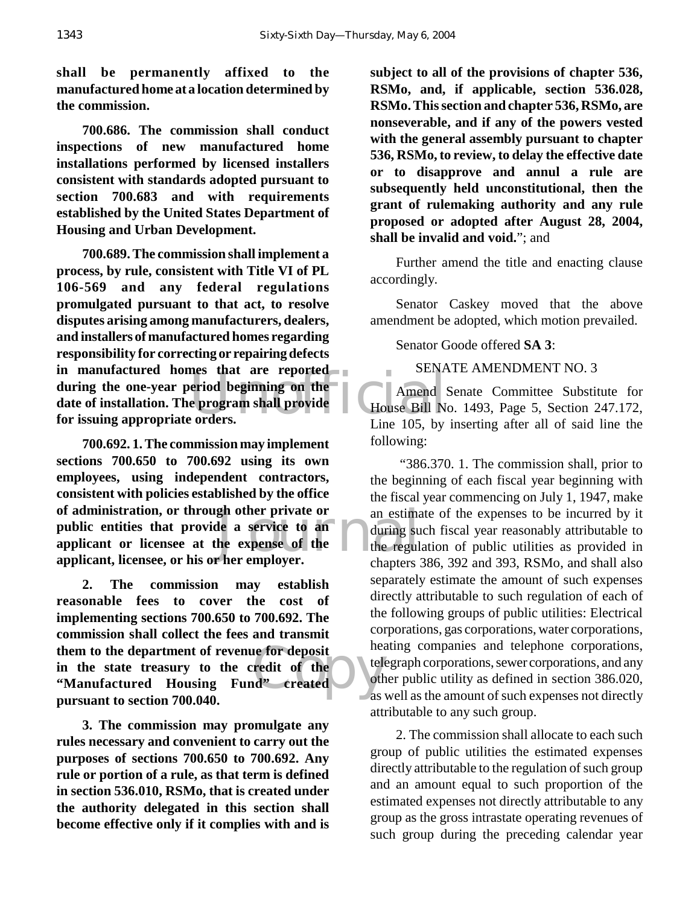**shall be permanently affixed to the manufactured home at a location determined by the commission.**

**700.686. The commission shall conduct inspections of new manufactured home installations performed by licensed installers consistent with standards adopted pursuant to section 700.683 and with requirements established by the United States Department of Housing and Urban Development.**

extend beginning on the<br>
e program shall provide<br>
Exercise the House Bill Ne orders. **700.689. The commission shall implement a process, by rule, consistent with Title VI of PL 106-569 and any federal regulations promulgated pursuant to that act, to resolve disputes arising among manufacturers, dealers, and installers of manufactured homes regarding responsibility for correcting or repairing defects in manufactured homes that are reported during the one-year period beginning on the date of installation. The program shall provide for issuing appropriate orders.**

gh other private or<br>
le a service to an during su<br>
he expense of the the regul<br>
r her employer. **700.692. 1. The commission may implement sections 700.650 to 700.692 using its own employees, using independent contractors, consistent with policies established by the office of administration, or through other private or public entities that provide a service to an applicant or licensee at the expense of the applicant, licensee, or his or her employer.**

e for deposit<br>
redit of the d<sup>tele</sup><br>
d' created diason **2. The commission may establish reasonable fees to cover the cost of implementing sections 700.650 to 700.692. The commission shall collect the fees and transmit them to the department of revenue for deposit in the state treasury to the credit of the "Manufactured Housing Fund" created pursuant to section 700.040.**

**3. The commission may promulgate any rules necessary and convenient to carry out the purposes of sections 700.650 to 700.692. Any rule or portion of a rule, as that term is defined in section 536.010, RSMo, that is created under the authority delegated in this section shall become effective only if it complies with and is**

**subject to all of the provisions of chapter 536, RSMo, and, if applicable, section 536.028, RSMo. This section and chapter 536, RSMo, are nonseverable, and if any of the powers vested with the general assembly pursuant to chapter 536, RSMo, to review, to delay the effective date or to disapprove and annul a rule are subsequently held unconstitutional, then the grant of rulemaking authority and any rule proposed or adopted after August 28, 2004, shall be invalid and void.**"; and

Further amend the title and enacting clause accordingly.

Senator Caskey moved that the above amendment be adopted, which motion prevailed.

Senator Goode offered **SA 3**:

SENATE AMENDMENT NO. 3

Amend Senate Committee Substitute for House Bill No. 1493, Page 5, Section 247.172, Line 105, by inserting after all of said line the following:

 "386.370. 1. The commission shall, prior to the beginning of each fiscal year beginning with the fiscal year commencing on July 1, 1947, make an estimate of the expenses to be incurred by it during such fiscal year reasonably attributable to the regulation of public utilities as provided in chapters 386, 392 and 393, RSMo, and shall also separately estimate the amount of such expenses directly attributable to such regulation of each of the following groups of public utilities: Electrical corporations, gas corporations, water corporations, heating companies and telephone corporations, telegraph corporations, sewer corporations, and any other public utility as defined in section 386.020, as well as the amount of such expenses not directly attributable to any such group.

2. The commission shall allocate to each such group of public utilities the estimated expenses directly attributable to the regulation of such group and an amount equal to such proportion of the estimated expenses not directly attributable to any group as the gross intrastate operating revenues of such group during the preceding calendar year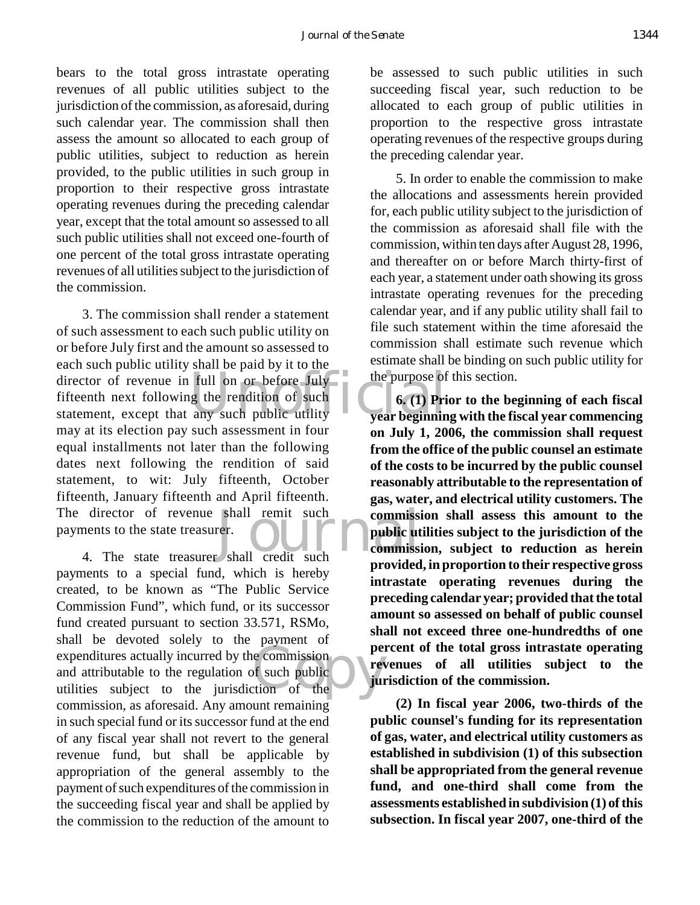bears to the total gross intrastate operating revenues of all public utilities subject to the jurisdiction of the commission, as aforesaid, during such calendar year. The commission shall then assess the amount so allocated to each group of public utilities, subject to reduction as herein provided, to the public utilities in such group in proportion to their respective gross intrastate operating revenues during the preceding calendar year, except that the total amount so assessed to all such public utilities shall not exceed one-fourth of one percent of the total gross intrastate operating revenues of all utilities subject to the jurisdiction of the commission.

director of revenue in full on or before July<br>
fifteenth next following the rendition of such<br>
statement, except that any such public utility<br> **Example 1999** director of revenue shall remit such<br>
ments to the state treasurer.<br>
4. The state treasurer shall credit such<br>
mentions 3. The commission shall render a statement of such assessment to each such public utility on or before July first and the amount so assessed to each such public utility shall be paid by it to the fifteenth next following the rendition of such statement, except that any such public utility may at its election pay such assessment in four equal installments not later than the following dates next following the rendition of said statement, to wit: July fifteenth, October fifteenth, January fifteenth and April fifteenth. The director of revenue shall remit such payments to the state treasurer.

e commission<br>of such public<br>tion of the payments to a special fund, which is hereby created, to be known as "The Public Service Commission Fund", which fund, or its successor fund created pursuant to section 33.571, RSMo, shall be devoted solely to the payment of expenditures actually incurred by the commission and attributable to the regulation of such public utilities subject to the jurisdiction of the commission, as aforesaid. Any amount remaining in such special fund or its successor fund at the end of any fiscal year shall not revert to the general revenue fund, but shall be applicable by appropriation of the general assembly to the payment of such expenditures of the commission in the succeeding fiscal year and shall be applied by the commission to the reduction of the amount to

be assessed to such public utilities in such succeeding fiscal year, such reduction to be allocated to each group of public utilities in proportion to the respective gross intrastate operating revenues of the respective groups during the preceding calendar year.

5. In order to enable the commission to make the allocations and assessments herein provided for, each public utility subject to the jurisdiction of the commission as aforesaid shall file with the commission, within ten days after August 28, 1996, and thereafter on or before March thirty-first of each year, a statement under oath showing its gross intrastate operating revenues for the preceding calendar year, and if any public utility shall fail to file such statement within the time aforesaid the commission shall estimate such revenue which estimate shall be binding on such public utility for the purpose of this section.

**6. (1) Prior to the beginning of each fiscal year beginning with the fiscal year commencing on July 1, 2006, the commission shall request from the office of the public counsel an estimate of the costs to be incurred by the public counsel reasonably attributable to the representation of gas, water, and electrical utility customers. The commission shall assess this amount to the public utilities subject to the jurisdiction of the commission, subject to reduction as herein provided, in proportion to their respective gross intrastate operating revenues during the preceding calendar year; provided that the total amount so assessed on behalf of public counsel shall not exceed three one-hundredths of one percent of the total gross intrastate operating revenues of all utilities subject to the jurisdiction of the commission.**

**(2) In fiscal year 2006, two-thirds of the public counsel's funding for its representation of gas, water, and electrical utility customers as established in subdivision (1) of this subsection shall be appropriated from the general revenue fund, and one-third shall come from the assessments established in subdivision (1) of this subsection. In fiscal year 2007, one-third of the**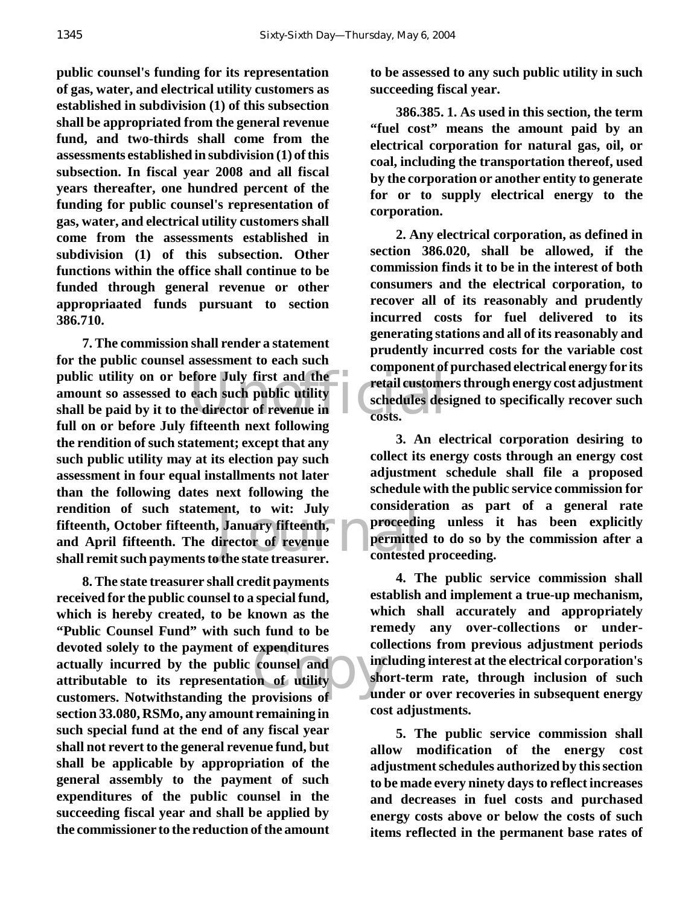**public counsel's funding for its representation of gas, water, and electrical utility customers as established in subdivision (1) of this subsection shall be appropriated from the general revenue fund, and two-thirds shall come from the assessments established in subdivision (1) of this subsection. In fiscal year 2008 and all fiscal years thereafter, one hundred percent of the funding for public counsel's representation of gas, water, and electrical utility customers shall come from the assessments established in subdivision (1) of this subsection. Other functions within the office shall continue to be funded through general revenue or other appropriaated funds pursuant to section 386.710.**

public utility on or before July first and the<br>
amount so assessed to each such public utility<br>
shall be paid by it to the director of revenue in<br>
full on on before July fifteenth next following ent, to wit: July<br>
January fifteenth, proceeding<br>
lirector of revenue<br>
the state treasurer. **7. The commission shall render a statement for the public counsel assessment to each such amount so assessed to each such public utility shall be paid by it to the director of revenue in full on or before July fifteenth next following the rendition of such statement; except that any such public utility may at its election pay such assessment in four equal installments not later than the following dates next following the rendition of such statement, to wit: July fifteenth, October fifteenth, January fifteenth, and April fifteenth. The director of revenue shall remit such payments to the state treasurer.**

expenditures conservation of utility and show and show and show and the show of the show of the show of the show of the show of the show of the show of the show of the show of the show of the show of the show of the show o **8. The state treasurer shall credit payments received for the public counsel to a special fund, which is hereby created, to be known as the "Public Counsel Fund" with such fund to be devoted solely to the payment of expenditures actually incurred by the public counsel and attributable to its representation of utility customers. Notwithstanding the provisions of section 33.080, RSMo, any amount remaining in such special fund at the end of any fiscal year shall not revert to the general revenue fund, but shall be applicable by appropriation of the general assembly to the payment of such expenditures of the public counsel in the succeeding fiscal year and shall be applied by the commissioner to the reduction of the amount**

**to be assessed to any such public utility in such succeeding fiscal year.**

**386.385. 1. As used in this section, the term "fuel cost" means the amount paid by an electrical corporation for natural gas, oil, or coal, including the transportation thereof, used by the corporation or another entity to generate for or to supply electrical energy to the corporation.**

**2. Any electrical corporation, as defined in section 386.020, shall be allowed, if the commission finds it to be in the interest of both consumers and the electrical corporation, to recover all of its reasonably and prudently incurred costs for fuel delivered to its generating stations and all of its reasonably and prudently incurred costs for the variable cost component of purchased electrical energy for its retail customers through energy cost adjustment schedules designed to specifically recover such costs.**

**3. An electrical corporation desiring to collect its energy costs through an energy cost adjustment schedule shall file a proposed schedule with the public service commission for consideration as part of a general rate proceeding unless it has been explicitly permitted to do so by the commission after a contested proceeding.**

**4. The public service commission shall establish and implement a true-up mechanism, which shall accurately and appropriately remedy any over-collections or undercollections from previous adjustment periods including interest at the electrical corporation's short-term rate, through inclusion of such under or over recoveries in subsequent energy cost adjustments.**

**5. The public service commission shall allow modification of the energy cost adjustment schedules authorized by this section to be made every ninety days to reflect increases and decreases in fuel costs and purchased energy costs above or below the costs of such items reflected in the permanent base rates of**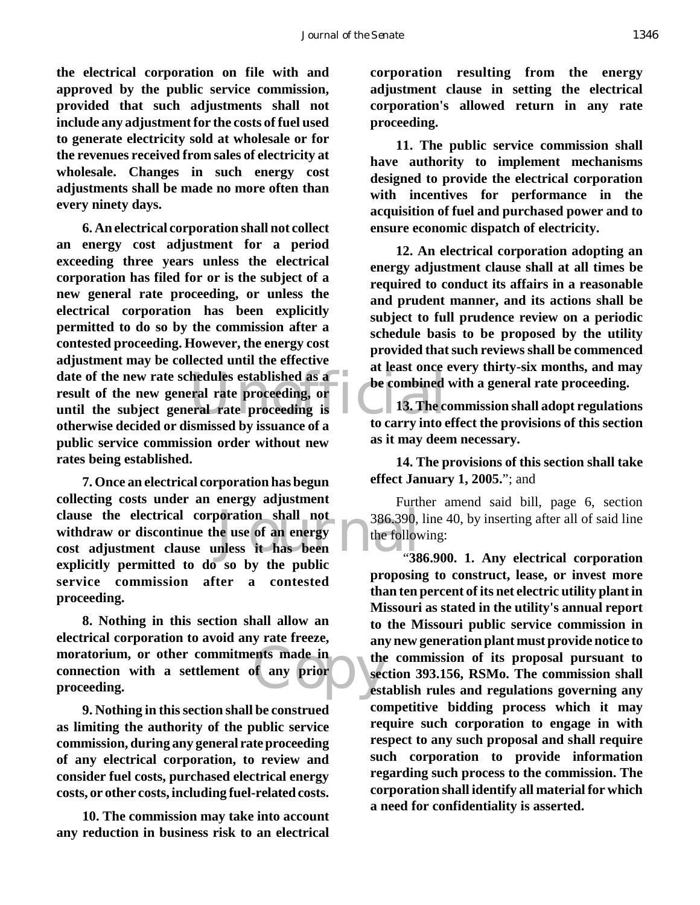**the electrical corporation on file with and approved by the public service commission, provided that such adjustments shall not include any adjustment for the costs of fuel used to generate electricity sold at wholesale or for the revenues received from sales of electricity at wholesale. Changes in such energy cost adjustments shall be made no more often than every ninety days.**

date of the new rate schedules established as a<br>
result of the new general rate proceeding, or<br>
until the subject general rate proceeding is<br>
athemics desided or dismissed by issues as for the carry into the **6. An electrical corporation shall not collect an energy cost adjustment for a period exceeding three years unless the electrical corporation has filed for or is the subject of a new general rate proceeding, or unless the electrical corporation has been explicitly permitted to do so by the commission after a contested proceeding. However, the energy cost adjustment may be collected until the effective result of the new general rate proceeding, or until the subject general rate proceeding is otherwise decided or dismissed by issuance of a public service commission order without new rates being established.**

clause the electrical corporation shall not<br>withdraw or discontinue the use of an energy<br>cost adjustment clause unless it has been<br>in the cost of the cost of the cost of the cost of the cost of the cost of the cost of the **7. Once an electrical corporation has begun collecting costs under an energy adjustment clause the electrical corporation shall not withdraw or discontinue the use of an energy explicitly permitted to do so by the public service commission after a contested proceeding.**

ents made in the the second was more than the second second second second second second second second second second second second second second second second second second second second second second second second second s **8. Nothing in this section shall allow an electrical corporation to avoid any rate freeze, moratorium, or other commitments made in connection with a settlement of any prior proceeding.**

**9. Nothing in this section shall be construed as limiting the authority of the public service commission, during any general rate proceeding of any electrical corporation, to review and consider fuel costs, purchased electrical energy costs, or other costs, including fuel-related costs.**

**10. The commission may take into account any reduction in business risk to an electrical**

**corporation resulting from the energy adjustment clause in setting the electrical corporation's allowed return in any rate proceeding.**

**11. The public service commission shall have authority to implement mechanisms designed to provide the electrical corporation with incentives for performance in the acquisition of fuel and purchased power and to ensure economic dispatch of electricity.**

**12. An electrical corporation adopting an energy adjustment clause shall at all times be required to conduct its affairs in a reasonable and prudent manner, and its actions shall be subject to full prudence review on a periodic schedule basis to be proposed by the utility provided that such reviews shall be commenced at least once every thirty-six months, and may be combined with a general rate proceeding.**

**13. The commission shall adopt regulations to carry into effect the provisions of this section as it may deem necessary.**

**14. The provisions of this section shall take effect January 1, 2005.**"; and

Further amend said bill, page 6, section 386.390, line 40, by inserting after all of said line the following:

 "**386.900. 1. Any electrical corporation proposing to construct, lease, or invest more than ten percent of its net electric utility plant in Missouri as stated in the utility's annual report to the Missouri public service commission in any new generation plant must provide notice to the commission of its proposal pursuant to section 393.156, RSMo. The commission shall establish rules and regulations governing any competitive bidding process which it may require such corporation to engage in with respect to any such proposal and shall require such corporation to provide information regarding such process to the commission. The corporation shall identify all material for which a need for confidentiality is asserted.**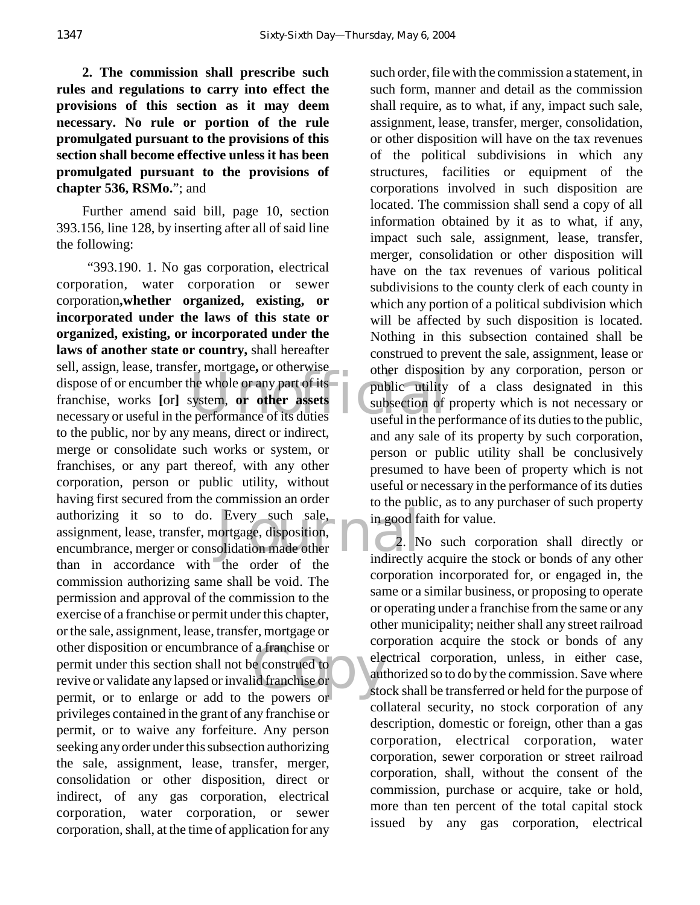**2. The commission shall prescribe such rules and regulations to carry into effect the provisions of this section as it may deem necessary. No rule or portion of the rule promulgated pursuant to the provisions of this section shall become effective unless it has been promulgated pursuant to the provisions of chapter 536, RSMo.**"; and

Further amend said bill, page 10, section 393.156, line 128, by inserting after all of said line the following:

dispose of or encumber the whole or any part of its<br>
franchise, works [or] system, **or other assets**<br>
mecessary or useful in the performance of its duties Every such sale, in good factor<br>ortgage, disposition, olidation made other 2. N<br>indirectly a franchise or<br>
e construed to<br>
id franchise or<br>
he nowers or "393.190. 1. No gas corporation, electrical corporation, water corporation or sewer corporation**,whether organized, existing, or incorporated under the laws of this state or organized, existing, or incorporated under the laws of another state or country,** shall hereafter sell, assign, lease, transfer, mortgage**,** or otherwise franchise, works **[**or**]** system, **or other assets** necessary or useful in the performance of its duties to the public, nor by any means, direct or indirect, merge or consolidate such works or system, or franchises, or any part thereof, with any other corporation, person or public utility, without having first secured from the commission an order authorizing it so to do. Every such sale, assignment, lease, transfer, mortgage, disposition, encumbrance, merger or consolidation made other than in accordance with the order of the commission authorizing same shall be void. The permission and approval of the commission to the exercise of a franchise or permit under this chapter, or the sale, assignment, lease, transfer, mortgage or other disposition or encumbrance of a franchise or permit under this section shall not be construed to revive or validate any lapsed or invalid franchise or permit, or to enlarge or add to the powers or privileges contained in the grant of any franchise or permit, or to waive any forfeiture. Any person seeking any order under this subsection authorizing the sale, assignment, lease, transfer, merger, consolidation or other disposition, direct or indirect, of any gas corporation, electrical corporation, water corporation, or sewer corporation, shall, at the time of application for any

such order, file with the commission a statement, in such form, manner and detail as the commission shall require, as to what, if any, impact such sale, assignment, lease, transfer, merger, consolidation, or other disposition will have on the tax revenues of the political subdivisions in which any structures, facilities or equipment of the corporations involved in such disposition are located. The commission shall send a copy of all information obtained by it as to what, if any, impact such sale, assignment, lease, transfer, merger, consolidation or other disposition will have on the tax revenues of various political subdivisions to the county clerk of each county in which any portion of a political subdivision which will be affected by such disposition is located. Nothing in this subsection contained shall be construed to prevent the sale, assignment, lease or other disposition by any corporation, person or public utility of a class designated in this subsection of property which is not necessary or useful in the performance of its duties to the public, and any sale of its property by such corporation, person or public utility shall be conclusively presumed to have been of property which is not useful or necessary in the performance of its duties to the public, as to any purchaser of such property in good faith for value.

2. No such corporation shall directly or indirectly acquire the stock or bonds of any other corporation incorporated for, or engaged in, the same or a similar business, or proposing to operate or operating under a franchise from the same or any other municipality; neither shall any street railroad corporation acquire the stock or bonds of any electrical corporation, unless, in either case, authorized so to do by the commission. Save where stock shall be transferred or held for the purpose of collateral security, no stock corporation of any description, domestic or foreign, other than a gas corporation, electrical corporation, water corporation, sewer corporation or street railroad corporation, shall, without the consent of the commission, purchase or acquire, take or hold, more than ten percent of the total capital stock issued by any gas corporation, electrical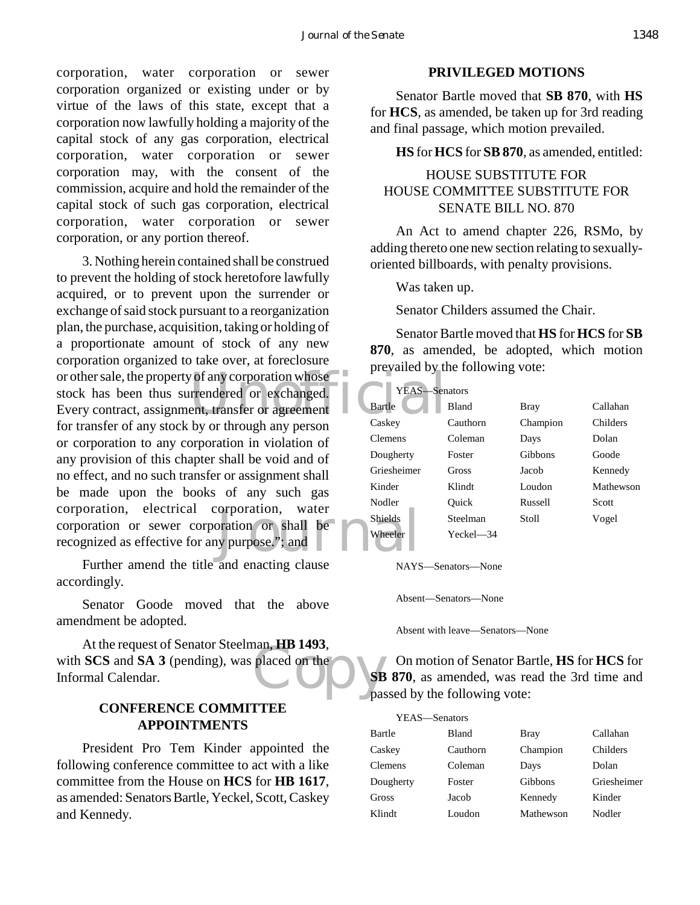corporation, water corporation or sewer corporation organized or existing under or by virtue of the laws of this state, except that a corporation now lawfully holding a majority of the capital stock of any gas corporation, electrical corporation, water corporation or sewer corporation may, with the consent of the commission, acquire and hold the remainder of the capital stock of such gas corporation, electrical corporation, water corporation or sewer corporation, or any portion thereof.

or other sale, the property of any corporation whose<br>
stock has been thus surrendered or exchanged.<br>
Every contract, assignment, transfer or agreement<br>
for transfer of any stock by or through any narrow. For Short Corporation, water<br>
Shields<br>
Internal Shields<br>
Wheeler 3. Nothing herein contained shall be construed to prevent the holding of stock heretofore lawfully acquired, or to prevent upon the surrender or exchange of said stock pursuant to a reorganization plan, the purchase, acquisition, taking or holding of a proportionate amount of stock of any new corporation organized to take over, at foreclosure stock has been thus surrendered or exchanged. Every contract, assignment, transfer or agreement for transfer of any stock by or through any person or corporation to any corporation in violation of any provision of this chapter shall be void and of no effect, and no such transfer or assignment shall be made upon the books of any such gas corporation, electrical corporation, water corporation or sewer corporation or shall be recognized as effective for any purpose."; and

Further amend the title and enacting clause accordingly.

Senator Goode moved that the above amendment be adopted.

placed on the place At the request of Senator Steelman, **HB 1493**, with **SCS** and **SA 3** (pending), was placed on the Informal Calendar.

## **CONFERENCE COMMITTEE APPOINTMENTS**

President Pro Tem Kinder appointed the following conference committee to act with a like committee from the House on **HCS** for **HB 1617**, as amended: Senators Bartle, Yeckel, Scott, Caskey and Kennedy.

#### **PRIVILEGED MOTIONS**

Senator Bartle moved that **SB 870**, with **HS** for **HCS**, as amended, be taken up for 3rd reading and final passage, which motion prevailed.

**HS** for **HCS** for **SB 870**, as amended, entitled:

## HOUSE SUBSTITUTE FOR HOUSE COMMITTEE SUBSTITUTE FOR SENATE BILL NO. 870

An Act to amend chapter 226, RSMo, by adding thereto one new section relating to sexuallyoriented billboards, with penalty provisions.

Was taken up.

Senator Childers assumed the Chair.

Senator Bartle moved that **HS** for **HCS** for **SB 870**, as amended, be adopted, which motion prevailed by the following vote:

| YEAS-          | –Senators    |          |                 |
|----------------|--------------|----------|-----------------|
| <b>Bartle</b>  | <b>Bland</b> | Bray     | Callahan        |
| Caskey         | Cauthorn     | Champion | <b>Childers</b> |
| <b>Clemens</b> | Coleman      | Days     | Dolan           |
| Dougherty      | Foster       | Gibbons  | Goode           |
| Griesheimer    | Gross        | Jacob    | Kennedy         |
| Kinder         | Klindt       | Loudon   | Mathewson       |
| Nodler         | Ouick        | Russell  | Scott           |
| <b>Shields</b> | Steelman     | Stoll    | Vogel           |
| Wheeler        | Yeckel—34    |          |                 |

NAYS—Senators—None

Absent—Senators—None

Absent with leave—Senators—None

On motion of Senator Bartle, **HS** for **HCS** for **SB 870**, as amended, was read the 3rd time and passed by the following vote:

| YEAS—Senators  |              |           |             |
|----------------|--------------|-----------|-------------|
| Bartle         | <b>Bland</b> | Bray      | Callahan    |
| Caskey         | Cauthorn     | Champion  | Childers    |
| <b>Clemens</b> | Coleman      | Days      | Dolan       |
| Dougherty      | Foster       | Gibbons   | Griesheimer |
| Gross          | Jacob        | Kennedy   | Kinder      |
| Klindt         | Loudon       | Mathewson | Nodler      |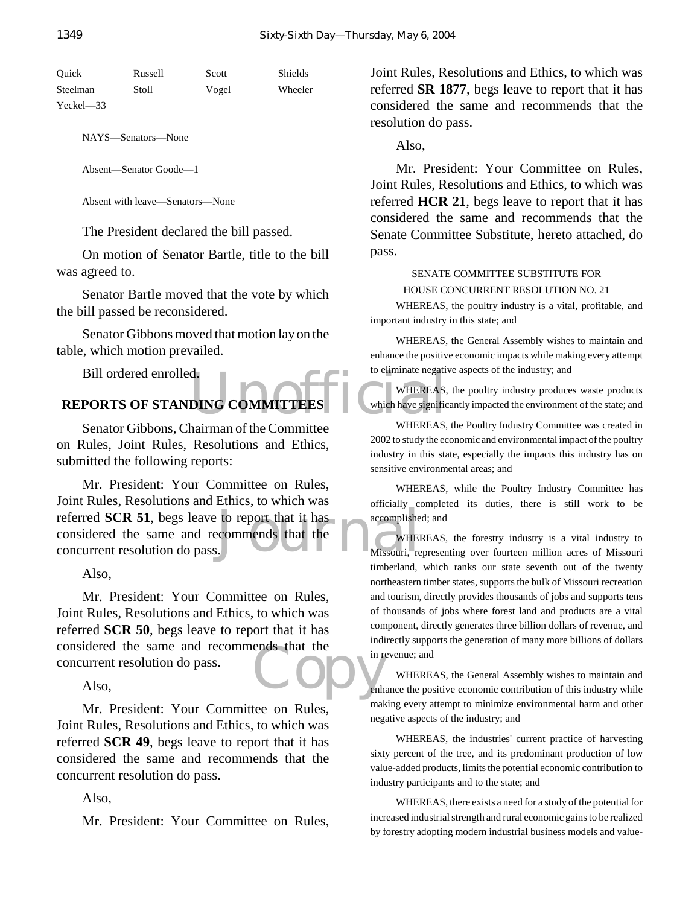| Ouick         | Russell | Scott | Shields |
|---------------|---------|-------|---------|
| Steelman      | Stoll   | Vogel | Wheeler |
| $Yeckel = 33$ |         |       |         |

NAYS—Senators—None

Absent—Senator Goode—1

Absent with leave—Senators—None

The President declared the bill passed.

On motion of Senator Bartle, title to the bill was agreed to.

Senator Bartle moved that the vote by which the bill passed be reconsidered.

Senator Gibbons moved that motion lay on the table, which motion prevailed.

Bill ordered enrolled.

# d.<br>DING COMMITTEES WHEREAS, WHEREAS, **REPORTS OF STANDING COMMITTEES**

Senator Gibbons, Chairman of the Committee on Rules, Joint Rules, Resolutions and Ethics, submitted the following reports:

to report that it has accomplishe commends that the Missouri, re Mr. President: Your Committee on Rules, Joint Rules, Resolutions and Ethics, to which was referred **SCR 51**, begs leave to report that it has considered the same and recommends that the concurrent resolution do pass.

Also,

ends that the in rules Mr. President: Your Committee on Rules, Joint Rules, Resolutions and Ethics, to which was referred **SCR 50**, begs leave to report that it has considered the same and recommends that the concurrent resolution do pass.

Also,

Mr. President: Your Committee on Rules, Joint Rules, Resolutions and Ethics, to which was referred **SCR 49**, begs leave to report that it has considered the same and recommends that the concurrent resolution do pass.

Also,

Mr. President: Your Committee on Rules,

Joint Rules, Resolutions and Ethics, to which was referred **SR 1877**, begs leave to report that it has considered the same and recommends that the resolution do pass.

Also,

Mr. President: Your Committee on Rules, Joint Rules, Resolutions and Ethics, to which was referred **HCR 21**, begs leave to report that it has considered the same and recommends that the Senate Committee Substitute, hereto attached, do pass.

#### SENATE COMMITTEE SUBSTITUTE FOR HOUSE CONCURRENT RESOLUTION NO. 21

WHEREAS, the poultry industry is a vital, profitable, and important industry in this state; and

WHEREAS, the General Assembly wishes to maintain and enhance the positive economic impacts while making every attempt to eliminate negative aspects of the industry; and

WHEREAS, the poultry industry produces waste products which have significantly impacted the environment of the state; and

WHEREAS, the Poultry Industry Committee was created in 2002 to study the economic and environmental impact of the poultry industry in this state, especially the impacts this industry has on sensitive environmental areas; and

WHEREAS, while the Poultry Industry Committee has officially completed its duties, there is still work to be accomplished; and

WHEREAS, the forestry industry is a vital industry to Missouri, representing over fourteen million acres of Missouri timberland, which ranks our state seventh out of the twenty northeastern timber states, supports the bulk of Missouri recreation and tourism, directly provides thousands of jobs and supports tens of thousands of jobs where forest land and products are a vital component, directly generates three billion dollars of revenue, and indirectly supports the generation of many more billions of dollars in revenue; and

WHEREAS, the General Assembly wishes to maintain and enhance the positive economic contribution of this industry while making every attempt to minimize environmental harm and other negative aspects of the industry; and

WHEREAS, the industries' current practice of harvesting sixty percent of the tree, and its predominant production of low value-added products, limits the potential economic contribution to industry participants and to the state; and

WHEREAS, there exists a need for a study of the potential for increased industrial strength and rural economic gains to be realized by forestry adopting modern industrial business models and value-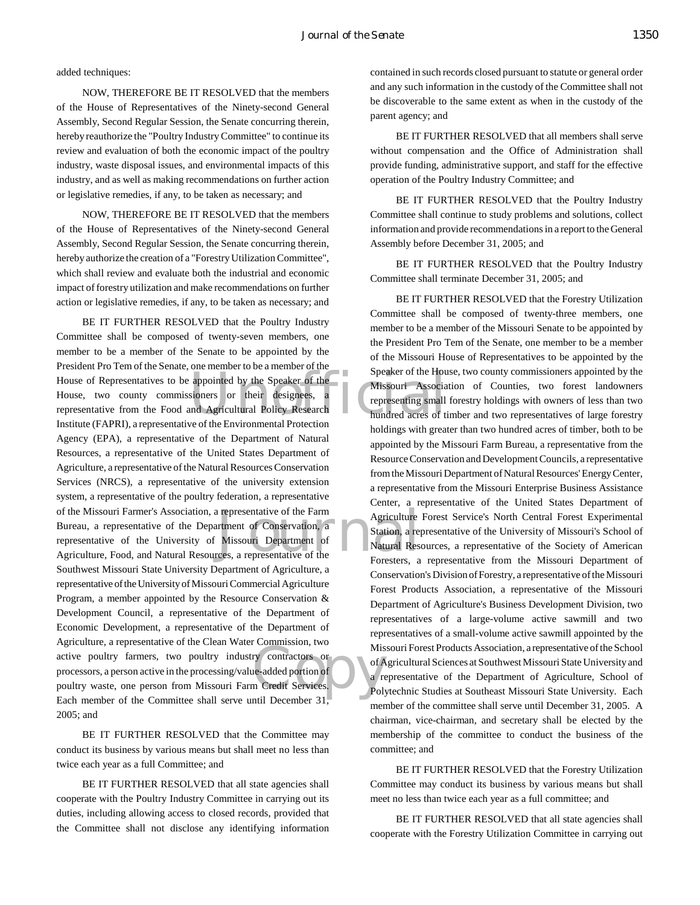#### added techniques:

NOW, THEREFORE BE IT RESOLVED that the members of the House of Representatives of the Ninety-second General Assembly, Second Regular Session, the Senate concurring therein, hereby reauthorize the "Poultry Industry Committee" to continue its review and evaluation of both the economic impact of the poultry industry, waste disposal issues, and environmental impacts of this industry, and as well as making recommendations on further action or legislative remedies, if any, to be taken as necessary; and

NOW, THEREFORE BE IT RESOLVED that the members of the House of Representatives of the Ninety-second General Assembly, Second Regular Session, the Senate concurring therein, hereby authorize the creation of a "Forestry Utilization Committee", which shall review and evaluate both the industrial and economic impact of forestry utilization and make recommendations on further action or legislative remedies, if any, to be taken as necessary; and

Speaker of the Hours<br>sioners or their designees, a<br>lund Agricultural Policy Research<br>the Environmental Protection<br>the Speaker of the Hours<br>of the Environmental Protection Exercise of the Farm<br>
Internal Meridian Conservation, a<br>
Missouri Department of<br>
Matural Research Conservative of the<br>
Foresters a Examples of Alis<br>
ry contractors or<br>
incredit Services<br>
Polynomy 31 BE IT FURTHER RESOLVED that the Poultry Industry Committee shall be composed of twenty-seven members, one member to be a member of the Senate to be appointed by the President Pro Tem of the Senate, one member to be a member of the House of Representatives to be appointed by the Speaker of the House, two county commissioners or their designees, representative from the Food and Agricultural Policy Research Institute (FAPRI), a representative of the Environmental Protection Agency (EPA), a representative of the Department of Natural Resources, a representative of the United States Department of Agriculture, a representative of the Natural Resources Conservation Services (NRCS), a representative of the university extension system, a representative of the poultry federation, a representative of the Missouri Farmer's Association, a representative of the Farm Bureau, a representative of the Department of Conservation, a representative of the University of Missouri Department of Agriculture, Food, and Natural Resources, a representative of the Southwest Missouri State University Department of Agriculture, a representative of the University of Missouri Commercial Agriculture Program, a member appointed by the Resource Conservation & Development Council, a representative of the Department of Economic Development, a representative of the Department of Agriculture, a representative of the Clean Water Commission, two active poultry farmers, two poultry industry contractors or processors, a person active in the processing/value-added portion of poultry waste, one person from Missouri Farm Credit Services. Each member of the Committee shall serve until December 31, 2005; and

BE IT FURTHER RESOLVED that the Committee may conduct its business by various means but shall meet no less than twice each year as a full Committee; and

BE IT FURTHER RESOLVED that all state agencies shall cooperate with the Poultry Industry Committee in carrying out its duties, including allowing access to closed records, provided that the Committee shall not disclose any identifying information contained in such records closed pursuant to statute or general order and any such information in the custody of the Committee shall not be discoverable to the same extent as when in the custody of the parent agency; and

BE IT FURTHER RESOLVED that all members shall serve without compensation and the Office of Administration shall provide funding, administrative support, and staff for the effective operation of the Poultry Industry Committee; and

BE IT FURTHER RESOLVED that the Poultry Industry Committee shall continue to study problems and solutions, collect information and provide recommendations in a report to the General Assembly before December 31, 2005; and

BE IT FURTHER RESOLVED that the Poultry Industry Committee shall terminate December 31, 2005; and

BE IT FURTHER RESOLVED that the Forestry Utilization Committee shall be composed of twenty-three members, one member to be a member of the Missouri Senate to be appointed by the President Pro Tem of the Senate, one member to be a member of the Missouri House of Representatives to be appointed by the Speaker of the House, two county commissioners appointed by the Missouri Association of Counties, two forest landowners representing small forestry holdings with owners of less than two hundred acres of timber and two representatives of large forestry holdings with greater than two hundred acres of timber, both to be appointed by the Missouri Farm Bureau, a representative from the Resource Conservation and Development Councils, a representative from the Missouri Department of Natural Resources' Energy Center, a representative from the Missouri Enterprise Business Assistance Center, a representative of the United States Department of Agriculture Forest Service's North Central Forest Experimental Station, a representative of the University of Missouri's School of Natural Resources, a representative of the Society of American Foresters, a representative from the Missouri Department of Conservation's Division of Forestry, a representative of the Missouri Forest Products Association, a representative of the Missouri Department of Agriculture's Business Development Division, two representatives of a large-volume active sawmill and two representatives of a small-volume active sawmill appointed by the Missouri Forest Products Association, a representative of the School of Agricultural Sciences at Southwest Missouri State University and a representative of the Department of Agriculture, School of Polytechnic Studies at Southeast Missouri State University. Each member of the committee shall serve until December 31, 2005. A chairman, vice-chairman, and secretary shall be elected by the membership of the committee to conduct the business of the committee; and

BE IT FURTHER RESOLVED that the Forestry Utilization Committee may conduct its business by various means but shall meet no less than twice each year as a full committee; and

BE IT FURTHER RESOLVED that all state agencies shall cooperate with the Forestry Utilization Committee in carrying out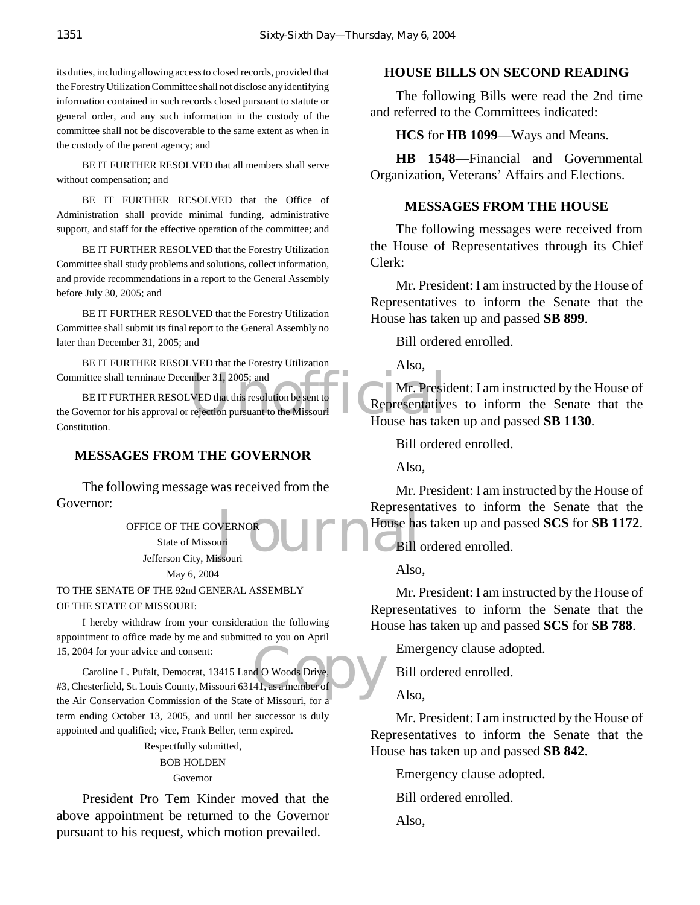its duties, including allowing access to closed records, provided that the Forestry Utilization Committee shall not disclose any identifying information contained in such records closed pursuant to statute or general order, and any such information in the custody of the committee shall not be discoverable to the same extent as when in the custody of the parent agency; and

BE IT FURTHER RESOLVED that all members shall serve without compensation; and

BE IT FURTHER RESOLVED that the Office of Administration shall provide minimal funding, administrative support, and staff for the effective operation of the committee; and

BE IT FURTHER RESOLVED that the Forestry Utilization Committee shall study problems and solutions, collect information, and provide recommendations in a report to the General Assembly before July 30, 2005; and

BE IT FURTHER RESOLVED that the Forestry Utilization Committee shall submit its final report to the General Assembly no later than December 31, 2005; and

BE IT FURTHER RESOLVED that the Forestry Utilization Committee shall terminate December 31, 2005; and

mber 31, 2005; and<br>VED that this resolution be sent to<br>rejection pursuant to the Missouri<br>House has take BE IT FURTHER RESOLVED that this resolution be sent to the Governor for his approval or rejection pursuant to the Missouri Constitution.

#### **MESSAGES FROM THE GOVERNOR**

The following message was received from the Governor:

WERNOR JUMPED House ha OFFICE OF THE GOVERNOR State of Missouri Jefferson City, Missouri

May 6, 2004

TO THE SENATE OF THE 92nd GENERAL ASSEMBLY

OF THE STATE OF MISSOURI:

I hereby withdraw from your consideration the following appointment to office made by me and submitted to you on April 15, 2004 for your advice and consent:

d O Woods Drive, Caroline L. Pufalt, Democrat, 13415 Land O Woods Drive, #3, Chesterfield, St. Louis County, Missouri 63141, as a member of the Air Conservation Commission of the State of Missouri, for a term ending October 13, 2005, and until her successor is duly appointed and qualified; vice, Frank Beller, term expired.

> Respectfully submitted, BOB HOLDEN Governor

President Pro Tem Kinder moved that the above appointment be returned to the Governor pursuant to his request, which motion prevailed.

#### **HOUSE BILLS ON SECOND READING**

The following Bills were read the 2nd time and referred to the Committees indicated:

#### **HCS** for **HB 1099**—Ways and Means.

**HB 1548**—Financial and Governmental Organization, Veterans' Affairs and Elections.

#### **MESSAGES FROM THE HOUSE**

The following messages were received from the House of Representatives through its Chief Clerk:

Mr. President: I am instructed by the House of Representatives to inform the Senate that the House has taken up and passed **SB 899**.

Bill ordered enrolled.

Also,

Mr. President: I am instructed by the House of Representatives to inform the Senate that the House has taken up and passed **SB 1130**.

Bill ordered enrolled.

Also,

Mr. President: I am instructed by the House of Representatives to inform the Senate that the House has taken up and passed **SCS** for **SB 1172**.

Bill ordered enrolled.

Also,

Mr. President: I am instructed by the House of Representatives to inform the Senate that the House has taken up and passed **SCS** for **SB 788**.

Emergency clause adopted.

Bill ordered enrolled.

Also,

Mr. President: I am instructed by the House of Representatives to inform the Senate that the House has taken up and passed **SB 842**.

Emergency clause adopted.

Bill ordered enrolled.

Also,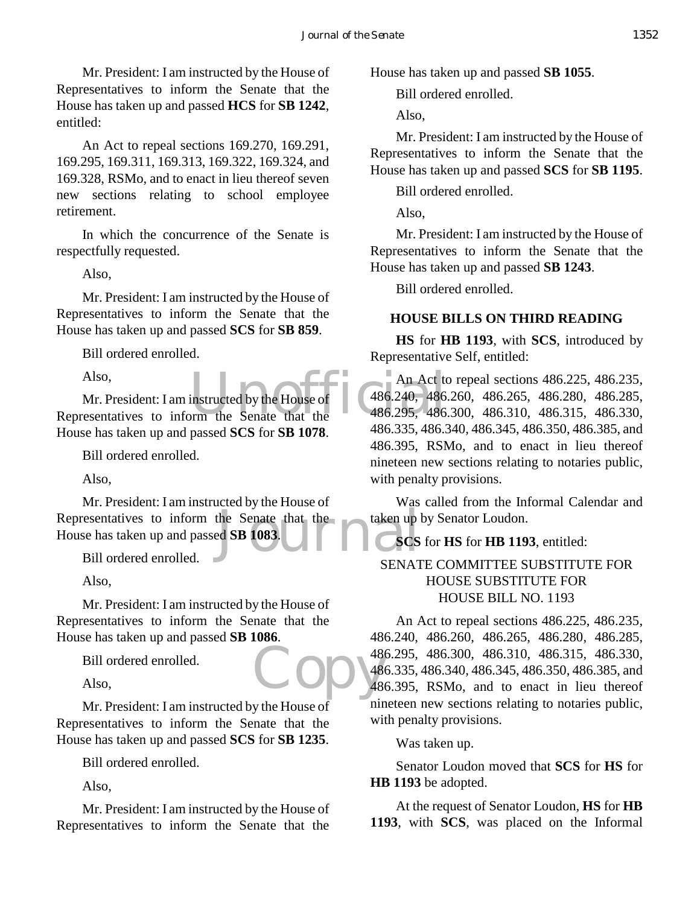Mr. President: I am instructed by the House of Representatives to inform the Senate that the House has taken up and passed **HCS** for **SB 1242**, entitled:

An Act to repeal sections 169.270, 169.291, 169.295, 169.311, 169.313, 169.322, 169.324, and 169.328, RSMo, and to enact in lieu thereof seven new sections relating to school employee retirement.

In which the concurrence of the Senate is respectfully requested.

Also,

Mr. President: I am instructed by the House of Representatives to inform the Senate that the House has taken up and passed **SCS** for **SB 859**.

Bill ordered enrolled.

Also,

Also, An Act to Mr. President: I am instructed by the House of A86.240, 486.<br>Representatives to inform the Senate that the 486.295, 486. Mr. President: I am instructed by the House of House has taken up and passed **SCS** for **SB 1078**.

Bill ordered enrolled.

Also,

Representatives to inform the Senate that the House has taken up and passed SB 1083.<br>Bill ordered enrolled. Mr. President: I am instructed by the House of House has taken up and passed **SB 1083**.

Bill ordered enrolled.

Also,

Mr. President: I am instructed by the House of Representatives to inform the Senate that the House has taken up and passed **SB 1086**.

Bill ordered enrolled.

Also,

Mr. President: I am instructed by the House of Representatives to inform the Senate that the House has taken up and passed **SCS** for **SB 1235**.

Bill ordered enrolled.

Also,

Mr. President: I am instructed by the House of Representatives to inform the Senate that the

House has taken up and passed **SB 1055**.

Bill ordered enrolled.

Also,

Mr. President: I am instructed by the House of Representatives to inform the Senate that the House has taken up and passed **SCS** for **SB 1195**.

Bill ordered enrolled.

Also,

Mr. President: I am instructed by the House of Representatives to inform the Senate that the House has taken up and passed **SB 1243**.

Bill ordered enrolled.

## **HOUSE BILLS ON THIRD READING**

**HS** for **HB 1193**, with **SCS**, introduced by Representative Self, entitled:

An Act to repeal sections 486.225, 486.235, 486.240, 486.260, 486.265, 486.280, 486.285, 486.295, 486.300, 486.310, 486.315, 486.330, 486.335, 486.340, 486.345, 486.350, 486.385, and 486.395, RSMo, and to enact in lieu thereof nineteen new sections relating to notaries public, with penalty provisions.

Was called from the Informal Calendar and taken up by Senator Loudon.

# **SCS** for **HS** for **HB 1193**, entitled:

# SENATE COMMITTEE SUBSTITUTE FOR HOUSE SUBSTITUTE FOR HOUSE BILL NO. 1193

Copy  $\frac{486}{480}$ An Act to repeal sections 486.225, 486.235, 486.240, 486.260, 486.265, 486.280, 486.285, 486.295, 486.300, 486.310, 486.315, 486.330, 486.335, 486.340, 486.345, 486.350, 486.385, and 486.395, RSMo, and to enact in lieu thereof nineteen new sections relating to notaries public, with penalty provisions.

Was taken up.

Senator Loudon moved that **SCS** for **HS** for **HB 1193** be adopted.

At the request of Senator Loudon, **HS** for **HB 1193**, with **SCS**, was placed on the Informal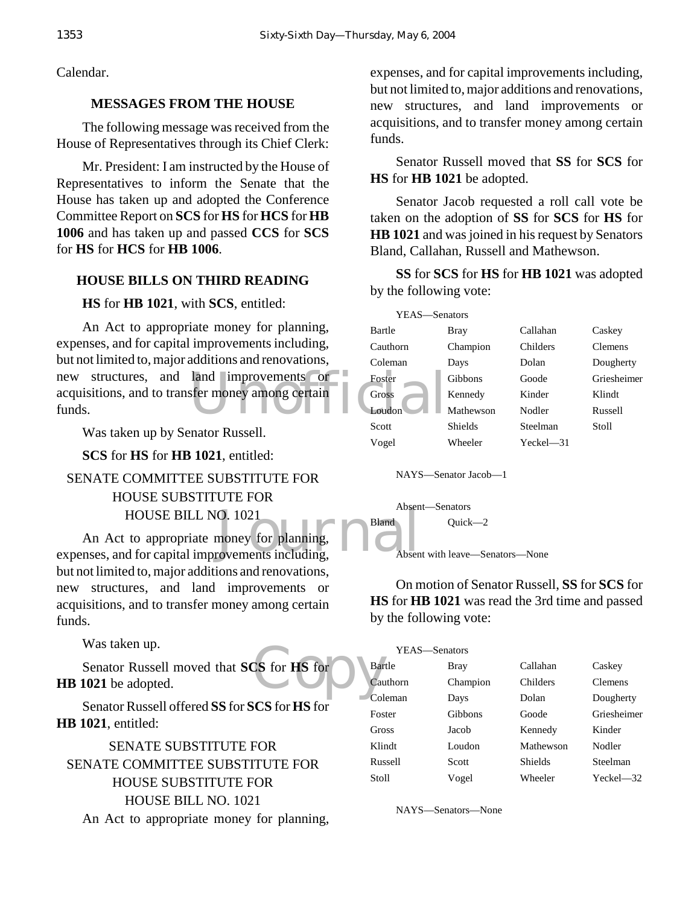Calendar.

#### **MESSAGES FROM THE HOUSE**

The following message was received from the House of Representatives through its Chief Clerk:

Mr. President: I am instructed by the House of Representatives to inform the Senate that the House has taken up and adopted the Conference Committee Report on **SCS** for **HS** for **HCS** for **HB 1006** and has taken up and passed **CCS** for **SCS** for **HS** for **HCS** for **HB 1006**.

## **HOUSE BILLS ON THIRD READING**

#### **HS** for **HB 1021**, with **SCS**, entitled:

new structures, and land improvements or soster acquisitions, and to transfer money among certain Gross An Act to appropriate money for planning, expenses, and for capital improvements including, but not limited to, major additions and renovations, acquisitions, and to transfer money among certain funds.

Was taken up by Senator Russell.

**SCS** for **HS** for **HB 1021**, entitled:

# SENATE COMMITTEE SUBSTITUTE FOR HOUSE SUBSTITUTE FOR HOUSE BILL NO. 1021

HOUSE BILL NO. 1021<br>
An Act to appropriate money for planning,<br>
expenses, and for capital improvements including, An Act to appropriate money for planning, but not limited to, major additions and renovations, new structures, and land improvements or acquisitions, and to transfer money among certain funds.

Was taken up.

 $\begin{array}{c} \text{CS for HS for} \\ \text{Cou} \end{array}$ Senator Russell moved that **SCS** for **HS** for **HB 1021** be adopted.

Senator Russell offered **SS** for **SCS** for **HS** for **HB 1021**, entitled:

SENATE SUBSTITUTE FOR SENATE COMMITTEE SUBSTITUTE FOR HOUSE SUBSTITUTE FOR HOUSE BILL NO. 1021 An Act to appropriate money for planning,

expenses, and for capital improvements including, but not limited to, major additions and renovations, new structures, and land improvements or acquisitions, and to transfer money among certain funds.

Senator Russell moved that **SS** for **SCS** for **HS** for **HB 1021** be adopted.

Senator Jacob requested a roll call vote be taken on the adoption of **SS** for **SCS** for **HS** for **HB 1021** and was joined in his request by Senators Bland, Callahan, Russell and Mathewson.

**SS** for **SCS** for **HS** for **HB 1021** was adopted by the following vote:

| YEAS—Senators |                      |             |                |
|---------------|----------------------|-------------|----------------|
| Bartle        | Bray                 | Callahan    | Caskey         |
| Cauthorn      | Champion             | Childers    | <b>Clemens</b> |
| Coleman       | Days                 | Dolan       | Dougherty      |
| Foster        | Gibbons              | Goode       | Griesheimer    |
| Gross         | Kennedy              | Kinder      | Klindt         |
| Loudon        | Mathewson            | Nodler      | Russell        |
| Scott         | Shields              | Steelman    | Stoll          |
| Vogel         | Wheeler              | $Yech = 31$ |                |
|               |                      |             |                |
|               | NAYS-Senator Jacob-1 |             |                |

Absent—Senators

Bland Quick-2



On motion of Senator Russell, **SS** for **SCS** for **HS** for **HB 1021** was read the 3rd time and passed by the following vote:

|               | YEAS—Senators |           |                |
|---------------|---------------|-----------|----------------|
| <b>Bartle</b> | Bray          | Callahan  | Caskey         |
| Cauthorn      | Champion      | Childers  | <b>Clemens</b> |
| Coleman       | Days          | Dolan     | Dougherty      |
| Foster        | Gibbons       | Goode     | Griesheimer    |
| Gross         | Jacob         | Kennedy   | Kinder         |
| Klindt        | Loudon        | Mathewson | Nodler         |
| Russell       | Scott         | Shields   | Steelman       |
| Stoll         | Vogel         | Wheeler   | $Yech = 32$    |

NAYS—Senators—None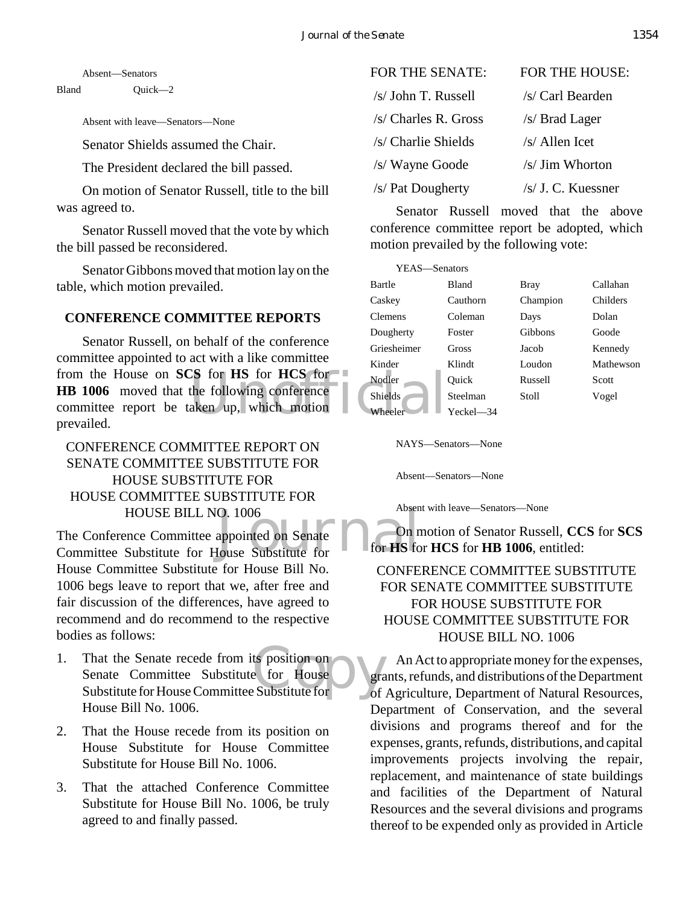Absent—Senators

Bland Quick—2

Absent with leave—Senators—None

Senator Shields assumed the Chair.

The President declared the bill passed.

On motion of Senator Russell, title to the bill was agreed to.

Senator Russell moved that the vote by which the bill passed be reconsidered.

Senator Gibbons moved that motion lay on the table, which motion prevailed.

## **CONFERENCE COMMITTEE REPORTS**

from the House on **SCS** for **HS** for **HCS** for Nodler<br> **HB** 1006 moved that the following conference<br>
committee report be taken up, which motion<br>
prevailed Senator Russell, on behalf of the conference committee appointed to act with a like committee **HB 1006** moved that the following conference committee report be taken up, which motion prevailed.

CONFERENCE COMMITTEE REPORT ON SENATE COMMITTEE SUBSTITUTE FOR HOUSE SUBSTITUTE FOR HOUSE COMMITTEE SUBSTITUTE FOR HOUSE BILL NO. 1006

O. 1006<br>appointed on Senate<br>Iouse Substitute for for HS fo The Conference Committee appointed on Senate Committee Substitute for House Substitute for House Committee Substitute for House Bill No. 1006 begs leave to report that we, after free and fair discussion of the differences, have agreed to recommend and do recommend to the respective bodies as follows:

- That the Senate recede from its position on<br>
Senate Committee Substitute for House<br>
Substitute for House Committee Substitute for of 1. That the Senate recede from its position on Senate Committee Substitute for House House Bill No. 1006.
- 2. That the House recede from its position on House Substitute for House Committee Substitute for House Bill No. 1006.
- 3. That the attached Conference Committee Substitute for House Bill No. 1006, be truly agreed to and finally passed.

| FOR THE SENATE:      | FOR THE HOUSE:     |
|----------------------|--------------------|
| /s/ John T. Russell  | /s/ Carl Bearden   |
| /s/ Charles R. Gross | /s/ Brad Lager     |
| /s/ Charlie Shields  | /s/ Allen Icet     |
| /s/ Wayne Goode      | /s/ Jim Whorton    |
| /s/ Pat Dougherty    | /s/ J. C. Kuessner |

Senator Russell moved that the above conference committee report be adopted, which motion prevailed by the following vote:

| YEAS-Senators  |           |             |           |
|----------------|-----------|-------------|-----------|
| Bartle         | Bland     | <b>Bray</b> | Callahan  |
| Caskey         | Cauthorn  | Champion    | Childers  |
| <b>Clemens</b> | Coleman   | Days        | Dolan     |
| Dougherty      | Foster    | Gibbons     | Goode     |
| Griesheimer    | Gross     | Jacob       | Kennedy   |
| Kinder         | Klindt    | Loudon      | Mathewson |
| Nodler         | Ouick     | Russell     | Scott     |
| <b>Shields</b> | Steelman  | Stoll       | Vogel     |
| Wheeler        | Yeckel—34 |             |           |

NAYS—Senators—None

Absent—Senators—None

Absent with leave—Senators—None

On motion of Senator Russell, **CCS** for **SCS** for **HS** for **HCS** for **HB 1006**, entitled:

# CONFERENCE COMMITTEE SUBSTITUTE FOR SENATE COMMITTEE SUBSTITUTE FOR HOUSE SUBSTITUTE FOR HOUSE COMMITTEE SUBSTITUTE FOR HOUSE BILL NO. 1006

An Act to appropriate money for the expenses, grants, refunds, and distributions of the Department of Agriculture, Department of Natural Resources, Department of Conservation, and the several divisions and programs thereof and for the expenses, grants, refunds, distributions, and capital improvements projects involving the repair, replacement, and maintenance of state buildings and facilities of the Department of Natural Resources and the several divisions and programs thereof to be expended only as provided in Article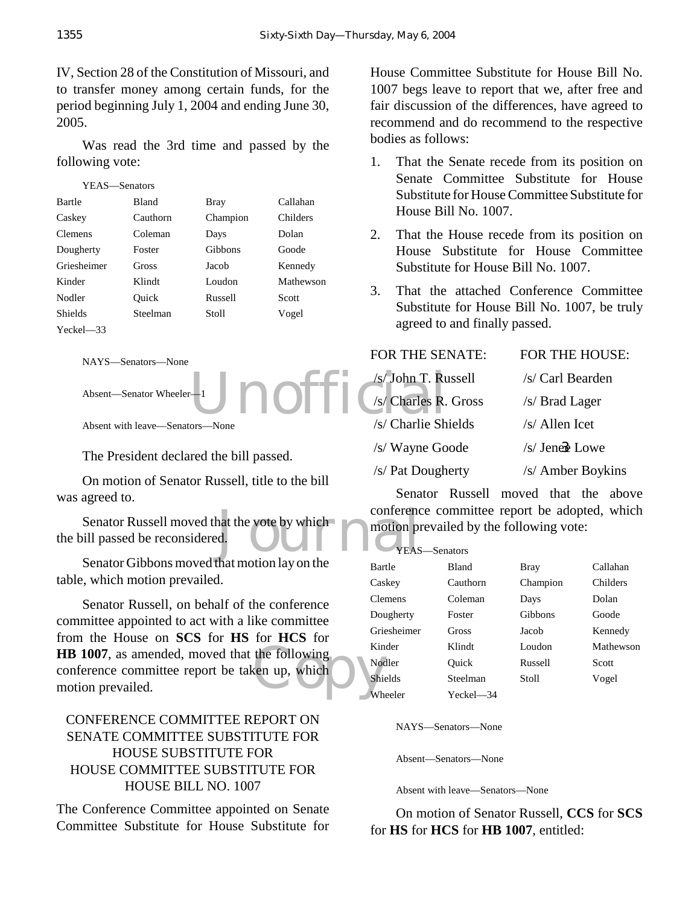IV, Section 28 of the Constitution of Missouri, and to transfer money among certain funds, for the period beginning July 1, 2004 and ending June 30, 2005.

Was read the 3rd time and passed by the following vote:

| YEAS—Senators  |              |          |           |
|----------------|--------------|----------|-----------|
| Bartle         | <b>Bland</b> | Bray     | Callahan  |
| Caskey         | Cauthorn     | Champion | Childers  |
| <b>Clemens</b> | Coleman      | Days     | Dolan     |
| Dougherty      | Foster       | Gibbons  | Goode     |
| Griesheimer    | Gross        | Jacob    | Kennedy   |
| Kinder         | Klindt       | Loudon   | Mathewson |
| Nodler         | Ouick        | Russell  | Scott     |
| Shields        | Steelman     | Stoll    | Vogel     |
| $Yech = 33$    |              |          |           |
|                |              |          |           |

```
NAYS—Senators—None
```
Absent—Senator Wheeler—1

Absent with leave—Senators—None

The President declared the bill passed.

On motion of Senator Russell, title to the bill was agreed to.

Jnoffi

conference<br>d. (d. ) which and the motion property of the structure of the street of the street of the street of the street of the street of the street of the street of the street of the street of the street of the street o Senator Russell moved that the vote by which the bill passed be reconsidered.

Senator Gibbons moved that motion lay on the table, which motion prevailed.

**HB 1007**, as amended, moved that the following<br>
conference committee report be taken up, which<br>
motion prevailed. Senator Russell, on behalf of the conference committee appointed to act with a like committee from the House on **SCS** for **HS** for **HCS** for conference committee report be taken up, which motion prevailed.

## CONFERENCE COMMITTEE REPORT ON SENATE COMMITTEE SUBSTITUTE FOR HOUSE SUBSTITUTE FOR HOUSE COMMITTEE SUBSTITUTE FOR HOUSE BILL NO. 1007

The Conference Committee appointed on Senate Committee Substitute for House Substitute for House Committee Substitute for House Bill No. 1007 begs leave to report that we, after free and fair discussion of the differences, have agreed to recommend and do recommend to the respective bodies as follows:

- 1. That the Senate recede from its position on Senate Committee Substitute for House Substitute for House Committee Substitute for House Bill No. 1007.
- 2. That the House recede from its position on House Substitute for House Committee Substitute for House Bill No. 1007.
- 3. That the attached Conference Committee Substitute for House Bill No. 1007, be truly agreed to and finally passed.

| <b>FOR THE SENATE:</b> | FOR THE HOUSE:    |
|------------------------|-------------------|
| /s/John T. Russell     | /s/ Carl Bearden  |
| /s/ Charles R. Gross   | /s/ Brad Lager    |
| /s/ Charlie Shields    | /s/ Allen Icet    |
| /s/ Wayne Goode        | $/s/$ Jenes Lowe  |
| /s/ Pat Dougherty      | /s/ Amber Boykins |

Senator Russell moved that the above conference committee report be adopted, which motion prevailed by the following vote:

| YEAS-Senators  |              |          |           |
|----------------|--------------|----------|-----------|
| Bartle         | <b>Bland</b> | Bray     | Callahan  |
| Caskey         | Cauthorn     | Champion | Childers  |
| <b>Clemens</b> | Coleman      | Days     | Dolan     |
| Dougherty      | Foster       | Gibbons  | Goode     |
| Griesheimer    | Gross        | Jacob    | Kennedy   |
| Kinder         | Klindt       | Loudon   | Mathewson |
| Nodler         | Ouick        | Russell  | Scott     |
| <b>Shields</b> | Steelman     | Stoll    | Vogel     |
| Wheeler        | Yeckel—34    |          |           |

NAYS—Senators—None

Absent—Senators—None

Absent with leave—Senators—None

On motion of Senator Russell, **CCS** for **SCS** for **HS** for **HCS** for **HB 1007**, entitled: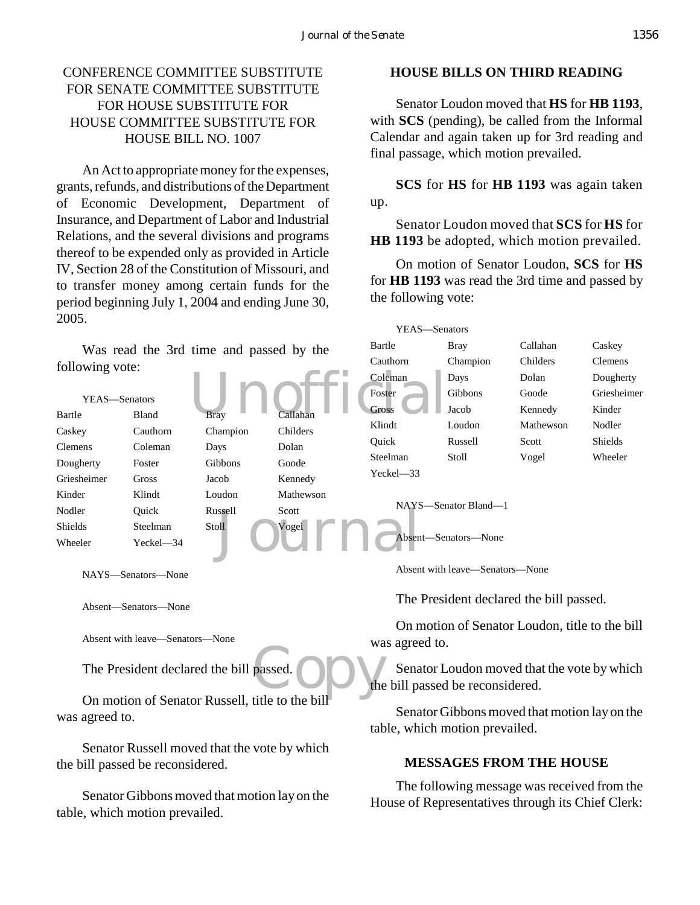## CONFERENCE COMMITTEE SUBSTITUTE FOR SENATE COMMITTEE SUBSTITUTE FOR HOUSE SUBSTITUTE FOR HOUSE COMMITTEE SUBSTITUTE FOR HOUSE BILL NO. 1007

An Act to appropriate money for the expenses, grants, refunds, and distributions of the Department of Economic Development, Department of Insurance, and Department of Labor and Industrial Relations, and the several divisions and programs thereof to be expended only as provided in Article IV, Section 28 of the Constitution of Missouri, and to transfer money among certain funds for the period beginning July 1, 2004 and ending June 30, 2005.

#### **HOUSE BILLS ON THIRD READING**

Senator Loudon moved that **HS** for **HB 1193**, with **SCS** (pending), be called from the Informal Calendar and again taken up for 3rd reading and final passage, which motion prevailed.

**SCS** for **HS** for **HB 1193** was again taken up.

Senator Loudon moved that **SCS** for **HS** for **HB 1193** be adopted, which motion prevailed.

On motion of Senator Loudon, **SCS** for **HS** for **HB 1193** was read the 3rd time and passed by the following vote:

YEAS—Senators

| Was read the 3rd time and passed by the<br>following vote:                       |                                            | Bartle<br>Cauthorn<br>Coleman                   | <b>Bray</b><br>Champion<br>Days | Callahan<br>Childers<br>Dolan                  | Caskey<br><b>Clemens</b><br>Dougherty                                           |           |             |
|----------------------------------------------------------------------------------|--------------------------------------------|-------------------------------------------------|---------------------------------|------------------------------------------------|---------------------------------------------------------------------------------|-----------|-------------|
|                                                                                  |                                            |                                                 |                                 | Foster                                         | Gibbons                                                                         | Goode     | Griesheimer |
| YEAS-Senators                                                                    |                                            |                                                 |                                 | <b>Gross</b>                                   | Jacob                                                                           | Kennedy   | Kinder      |
| Bartle                                                                           | Bland                                      | Brav                                            | `allahan                        | Klindt                                         | Loudon                                                                          | Mathewson | Nodler      |
| Caskey                                                                           | Cauthorn                                   | Champion                                        | Childers                        | Quick                                          | Russell                                                                         | Scott     | Shields     |
| Clemens                                                                          | Coleman                                    | Days                                            | Dolan                           | Steelman                                       | Stoll                                                                           | Vogel     | Wheeler     |
| Dougherty                                                                        | Foster                                     | Gibbons                                         | Goode                           |                                                |                                                                                 |           |             |
| Griesheimer                                                                      | <b>Gross</b>                               | Jacob                                           | Kennedy                         | Yeckel-33                                      |                                                                                 |           |             |
| Kinder                                                                           | Klindt                                     | Loudon                                          | Mathewson                       |                                                |                                                                                 |           |             |
| Nodler                                                                           | Quick                                      | Russell -                                       | Scott                           |                                                | NAYS-Senator Bland-1                                                            |           |             |
| Shields                                                                          | Steelman                                   | Stoll                                           | Vogēl                           |                                                |                                                                                 |           |             |
| Wheeler                                                                          | Yeckel-34                                  |                                                 |                                 |                                                | Absent-Senators-None                                                            |           |             |
|                                                                                  | NAYS-Senators-None<br>Absent-Senators-None |                                                 |                                 |                                                | Absent with leave—Senators—None<br>The President declared the bill passed.      |           |             |
| Absent with leave—Senators—None                                                  |                                            |                                                 | was agreed to.                  | On motion of Senator Loudon, title to the bill |                                                                                 |           |             |
|                                                                                  |                                            | The President declared the bill passed.         |                                 |                                                | Senator Loudon moved that the vote by which<br>the bill passed be reconsidered. |           |             |
| was agreed to.                                                                   |                                            | On motion of Senator Russell, title to the bill |                                 |                                                | Senator Gibbons moved that motion lay on the<br>table, which motion prevailed.  |           |             |
| Senator Russell moved that the vote by which<br>the bill passed be reconsidered. |                                            |                                                 | <b>MESSAGES FROM THE HOUSE</b>  |                                                |                                                                                 |           |             |

Senator Gibbons moved that motion lay on the table, which motion prevailed.

The following message was received from the House of Representatives through its Chief Clerk: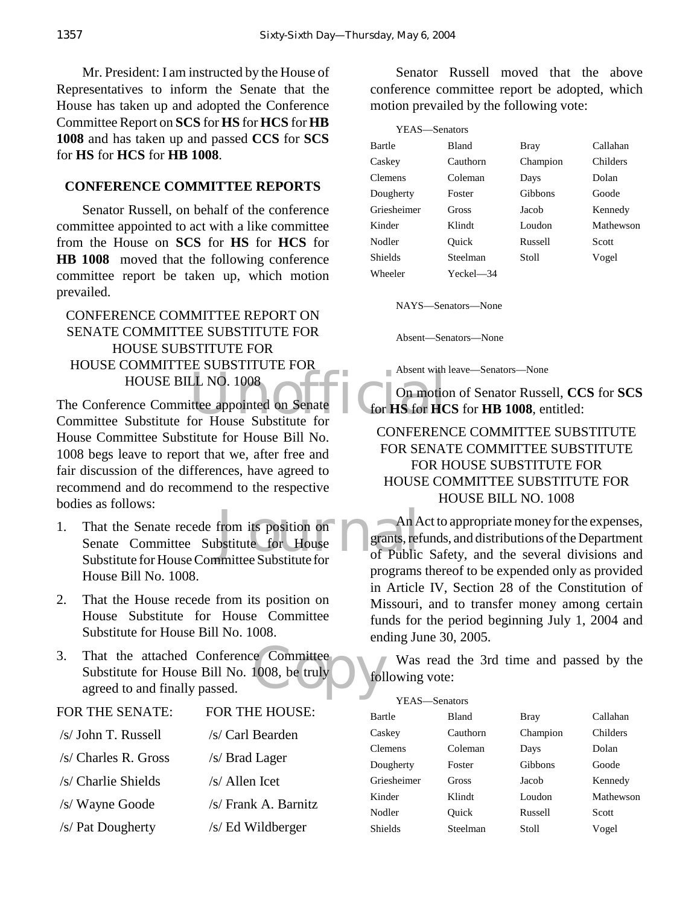Mr. President: I am instructed by the House of Representatives to inform the Senate that the House has taken up and adopted the Conference Committee Report on **SCS** for **HS** for **HCS** for **HB 1008** and has taken up and passed **CCS** for **SCS** for **HS** for **HCS** for **HB 1008**.

#### **CONFERENCE COMMITTEE REPORTS**

Senator Russell, on behalf of the conference committee appointed to act with a like committee from the House on **SCS** for **HS** for **HCS** for **HB 1008** moved that the following conference committee report be taken up, which motion prevailed.

# CONFERENCE COMMITTEE REPORT ON SENATE COMMITTEE SUBSTITUTE FOR HOUSE SUBSTITUTE FOR HOUSE COMMITTEE SUBSTITUTE FOR HOUSE BILL NO. 1008

LL NO. 1008<br>
ittee appointed on Senate<br>
for HS for HC<br>
for HO Green Conduction The Conference Committee appointed on Senate Committee Substitute for House Substitute for House Committee Substitute for House Bill No. 1008 begs leave to report that we, after free and fair discussion of the differences, have agreed to recommend and do recommend to the respective bodies as follows:

- from its position on<br>bstitute for House Parants, ref 1. That the Senate recede from its position on Senate Committee Substitute for House Substitute for House Committee Substitute for House Bill No. 1008.
- 2. That the House recede from its position on House Substitute for House Committee Substitute for House Bill No. 1008.
- e Committee<br>1008, be truly<br>fol 3. That the attached Conference Committee Substitute for House Bill No. 1008, be truly agreed to and finally passed.

| FOR THE SENATE:      | FOR THE HOUSE:       |
|----------------------|----------------------|
| /s/ John T. Russell  | /s/ Carl Bearden     |
| /s/ Charles R. Gross | /s/ Brad Lager       |
| /s/ Charlie Shields  | $/s/$ Allen Icet     |
| /s/ Wayne Goode      | /s/ Frank A. Barnitz |
| /s/ Pat Dougherty    | /s/ Ed Wildberger    |

Senator Russell moved that the above conference committee report be adopted, which motion prevailed by the following vote:

| YEAS—Senators  |           |             |           |
|----------------|-----------|-------------|-----------|
| Bartle         | Bland     | <b>Bray</b> | Callahan  |
| Caskey         | Cauthorn  | Champion    | Childers  |
| <b>Clemens</b> | Coleman   | Days        | Dolan     |
| Dougherty      | Foster    | Gibbons     | Goode     |
| Griesheimer    | Gross     | Jacob       | Kennedy   |
| Kinder         | Klindt    | Loudon      | Mathewson |
| Nodler         | Ouick     | Russell     | Scott     |
| <b>Shields</b> | Steelman  | Stoll       | Vogel     |
| Wheeler        | Yeckel—34 |             |           |

NAYS—Senators—None

Absent—Senators—None

Absent with leave—Senators—None

On motion of Senator Russell, **CCS** for **SCS** for **HS** for **HCS** for **HB 1008**, entitled:

## CONFERENCE COMMITTEE SUBSTITUTE FOR SENATE COMMITTEE SUBSTITUTE FOR HOUSE SUBSTITUTE FOR HOUSE COMMITTEE SUBSTITUTE FOR HOUSE BILL NO. 1008

An Act to appropriate money for the expenses, grants, refunds, and distributions of the Department of Public Safety, and the several divisions and programs thereof to be expended only as provided in Article IV, Section 28 of the Constitution of Missouri, and to transfer money among certain funds for the period beginning July 1, 2004 and ending June 30, 2005.

Was read the 3rd time and passed by the following vote:

 $\overline{y}$ 

| YEAS—Senators  |          |             |           |
|----------------|----------|-------------|-----------|
| Bartle         | Bland    | <b>Bray</b> | Callahan  |
| Caskey         | Cauthorn | Champion    | Childers  |
| <b>Clemens</b> | Coleman  | Days        | Dolan     |
| Dougherty      | Foster   | Gibbons     | Goode     |
| Griesheimer    | Gross    | Jacob       | Kennedy   |
| Kinder         | Klindt   | Loudon      | Mathewson |
| Nodler         | Ouick    | Russell     | Scott     |
| <b>Shields</b> | Steelman | Stoll       | Vogel     |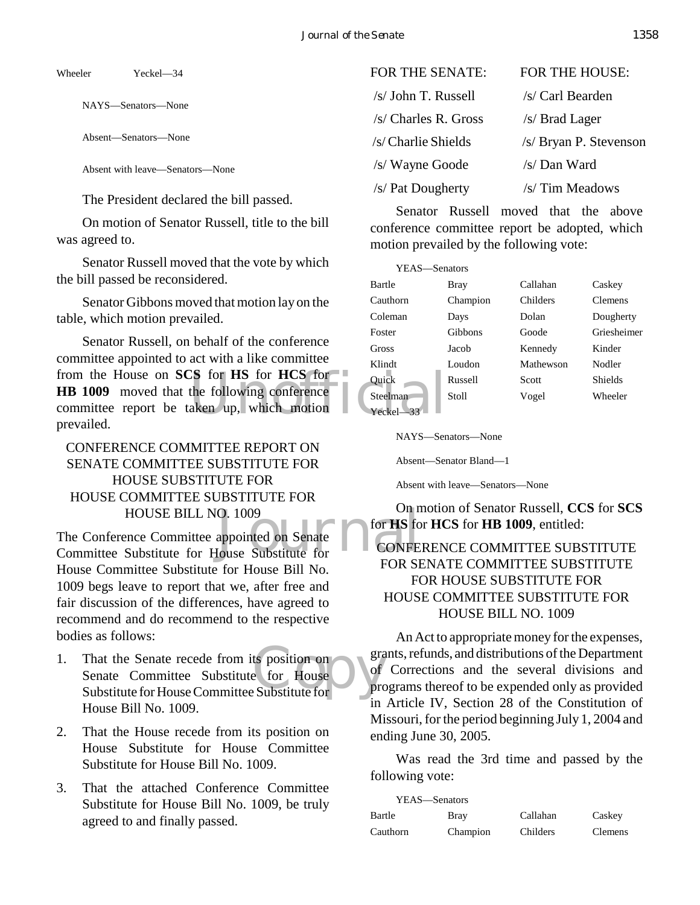Wheeler Yeckel—34

NAYS—Senators—None

Absent—Senators—None

Absent with leave—Senators—None

The President declared the bill passed.

On motion of Senator Russell, title to the bill was agreed to.

Senator Russell moved that the vote by which the bill passed be reconsidered.

Senator Gibbons moved that motion lay on the table, which motion prevailed.

 $\begin{array}{ccc}\n\text{CS}\n\text{for}\n\text{HS}\n\text{for}\n\text{HCS}\n\text{for}\n\text{Quiek}\n\text{the following conference}\n\text{aken up, which motion}\n\end{array}\n\quad\n\begin{array}{ccc}\n\text{Steelman}\n\text{Seeelman}\n\text{Yeckel}\n\end{array}\n\quad\n\begin{array}{ccc}\n\text{Steelman}\n\end{array}\n\quad\n\begin{array}{ccc}\n\text{Steelman}\n\end{array}\n\quad\n\begin{array}{ccc}\n\text{Steelman}\n\end{array}\n\quad\n\end{array}\n\quad\n\begin{array}{ccc}\n\text{Steelman$ Senator Russell, on behalf of the conference committee appointed to act with a like committee from the House on **SCS** for **HS** for **HCS** for **HB 1009** moved that the following conference committee report be taken up, which motion prevailed.

# CONFERENCE COMMITTEE REPORT ON SENATE COMMITTEE SUBSTITUTE FOR HOUSE SUBSTITUTE FOR HOUSE COMMITTEE SUBSTITUTE FOR HOUSE BILL NO. 1009

O. 1009<br>appointed on Senate<br>Jouse Substitute for<br>EOD SU The Conference Committee appointed on Senate Committee Substitute for House Substitute for House Committee Substitute for House Bill No. 1009 begs leave to report that we, after free and fair discussion of the differences, have agreed to recommend and do recommend to the respective bodies as follows:

- ts position on<br>
e for House<br>
Substitute for 1. That the Senate recede from its position on Senate Committee Substitute for House Substitute for House Committee Substitute for House Bill No. 1009.
- 2. That the House recede from its position on House Substitute for House Committee Substitute for House Bill No. 1009.
- 3. That the attached Conference Committee Substitute for House Bill No. 1009, be truly agreed to and finally passed.

| FOR THE SENATE:       | <b>FOR THE HOUSE:</b>  |
|-----------------------|------------------------|
| /s/ John T. Russell   | /s/ Carl Bearden       |
| $/s$ Charles R. Gross | /s/ Brad Lager         |
| /s/ Charlie Shields   | /s/ Bryan P. Stevenson |
| /s/ Wayne Goode       | /s/ Dan Ward           |
| /s/ Pat Dougherty     | /s/ Tim Meadows        |

Senator Russell moved that the above conference committee report be adopted, which motion prevailed by the following vote:

| YEAS-Senators   |          |           |                |
|-----------------|----------|-----------|----------------|
| Bartle          | Bray     | Callahan  | Caskey         |
| Cauthorn        | Champion | Childers  | <b>Clemens</b> |
| Coleman         | Days     | Dolan     | Dougherty      |
| Foster          | Gibbons  | Goode     | Griesheimer    |
| Gross           | Jacob    | Kennedy   | Kinder         |
| Klindt          | Loudon   | Mathewson | Nodler         |
| Ouick           | Russell  | Scott     | Shields        |
| <b>Steelman</b> | Stoll    | Vogel     | Wheeler        |
| $Yech-33$       |          |           |                |

NAYS—Senators—None

Absent—Senator Bland—1

Absent with leave—Senators—None

On motion of Senator Russell, **CCS** for **SCS** for **HS** for **HCS** for **HB 1009**, entitled: CONFERENCE COMMITTEE SUBSTITUTE

# FOR SENATE COMMITTEE SUBSTITUTE FOR HOUSE SUBSTITUTE FOR HOUSE COMMITTEE SUBSTITUTE FOR HOUSE BILL NO. 1009

An Act to appropriate money for the expenses, grants, refunds, and distributions of the Department of Corrections and the several divisions and programs thereof to be expended only as provided in Article IV, Section 28 of the Constitution of Missouri, for the period beginning July 1, 2004 and ending June 30, 2005.

Was read the 3rd time and passed by the following vote:

| YEAS—Senators |             |          |                |
|---------------|-------------|----------|----------------|
| Bartle        | <b>Bray</b> | Callahan | Caskey         |
| Cauthorn      | Champion    | Childers | <b>Clemens</b> |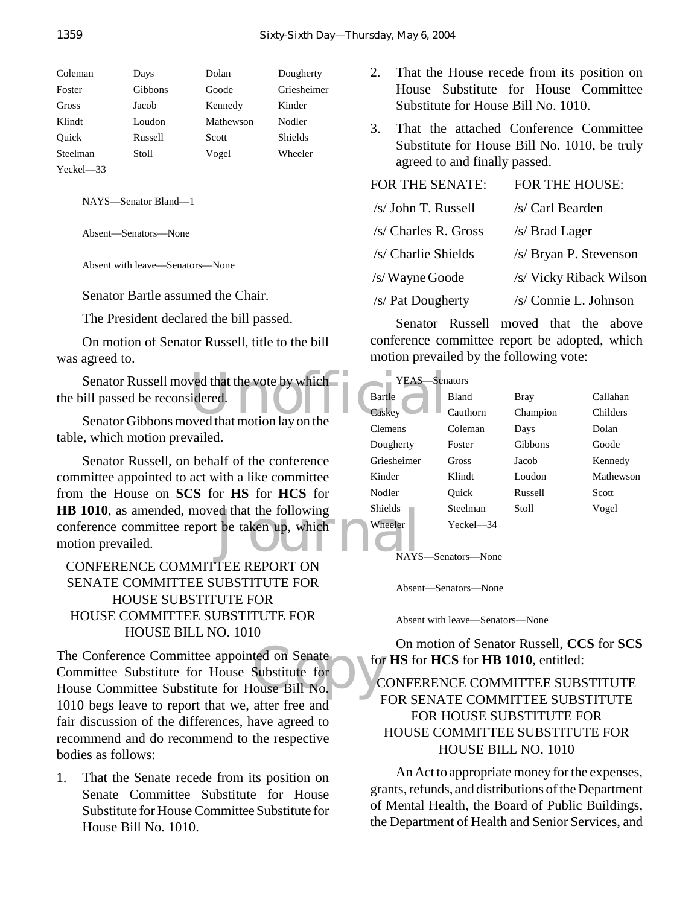| Coleman     | Days           | Dolan     | Dougherty      |
|-------------|----------------|-----------|----------------|
| Foster      | <b>Gibbons</b> | Goode     | Griesheimer    |
| Gross       | Jacob          | Kennedy   | Kinder         |
| Klindt      | Loudon         | Mathewson | Nodler         |
| Ouick       | Russell        | Scott     | <b>Shields</b> |
| Steelman    | Stoll          | Vogel     | Wheeler        |
| $Yech = 33$ |                |           |                |

NAYS—Senator Bland—1

Absent—Senators—None

Absent with leave—Senators—None

Senator Bartle assumed the Chair.

The President declared the bill passed.

On motion of Senator Russell, title to the bill was agreed to.

Senator Russell moved that the vote by which<br>
ill passed be reconsidered.<br>
Senator Gibbons moved that motion lay on the<br>
Caskey the bill passed be reconsidered.

Senator Gibbons moved that motion lay on the table, which motion prevailed.

Example of that the following<br>Like taken up, which<br>The property of the state of the MAYS Senator Russell, on behalf of the conference committee appointed to act with a like committee from the House on **SCS** for **HS** for **HCS** for **HB 1010**, as amended, moved that the following conference committee report be taken up, which motion prevailed.

# CONFERENCE COMMITTEE REPORT ON SENATE COMMITTEE SUBSTITUTE FOR HOUSE SUBSTITUTE FOR HOUSE COMMITTEE SUBSTITUTE FOR HOUSE BILL NO. 1010

The Conference Committee appointed on Senate<br>
Committee Substitute for House Substitute for<br>
House Committee Substitute for House Bill No. The Conference Committee appointed on Senate Committee Substitute for House Substitute for 1010 begs leave to report that we, after free and fair discussion of the differences, have agreed to recommend and do recommend to the respective bodies as follows:

1. That the Senate recede from its position on Senate Committee Substitute for House Substitute for House Committee Substitute for House Bill No. 1010.

- 2. That the House recede from its position on House Substitute for House Committee Substitute for House Bill No. 1010.
- 3. That the attached Conference Committee Substitute for House Bill No. 1010, be truly agreed to and finally passed.

# FOR THE SENATE: FOR THE HOUSE:  $/s$  John T. Russell  $/s$  Carl Bearden  $\sqrt{s/Dn}$  Charles **P.** Gross  $\sqrt{s/Dn}$  Lager

| /S/ Charles R. Gross | /S/ Diau Lager          |
|----------------------|-------------------------|
| /s/ Charlie Shields  | /s/ Bryan P. Stevenson  |
| /s/Wayne Goode       | /s/ Vicky Riback Wilson |
|                      |                         |

/s/ Pat Dougherty /s/ Connie L. Johnson

Senator Russell moved that the above conference committee report be adopted, which motion prevailed by the following vote:

| YEAS—Senators  |           |          |           |
|----------------|-----------|----------|-----------|
| Bartle         | Bland     | Bray     | Callahan  |
| Caskey         | Cauthorn  | Champion | Childers  |
| <b>Clemens</b> | Coleman   | Days     | Dolan     |
| Dougherty      | Foster    | Gibbons  | Goode     |
| Griesheimer    | Gross     | Jacob    | Kennedy   |
| Kinder         | Klindt    | Loudon   | Mathewson |
| Nodler         | Ouick     | Russell  | Scott     |
| <b>Shields</b> | Steelman  | Stoll    | Vogel     |
| Wheeler        | Yeckel—34 |          |           |

NAYS—Senators—None

Absent—Senators—None

Absent with leave—Senators—None

On motion of Senator Russell, **CCS** for **SCS** for **HS** for **HCS** for **HB 1010**, entitled:

## CONFERENCE COMMITTEE SUBSTITUTE FOR SENATE COMMITTEE SUBSTITUTE FOR HOUSE SUBSTITUTE FOR HOUSE COMMITTEE SUBSTITUTE FOR HOUSE BILL NO. 1010

An Act to appropriate money for the expenses, grants, refunds, and distributions of the Department of Mental Health, the Board of Public Buildings, the Department of Health and Senior Services, and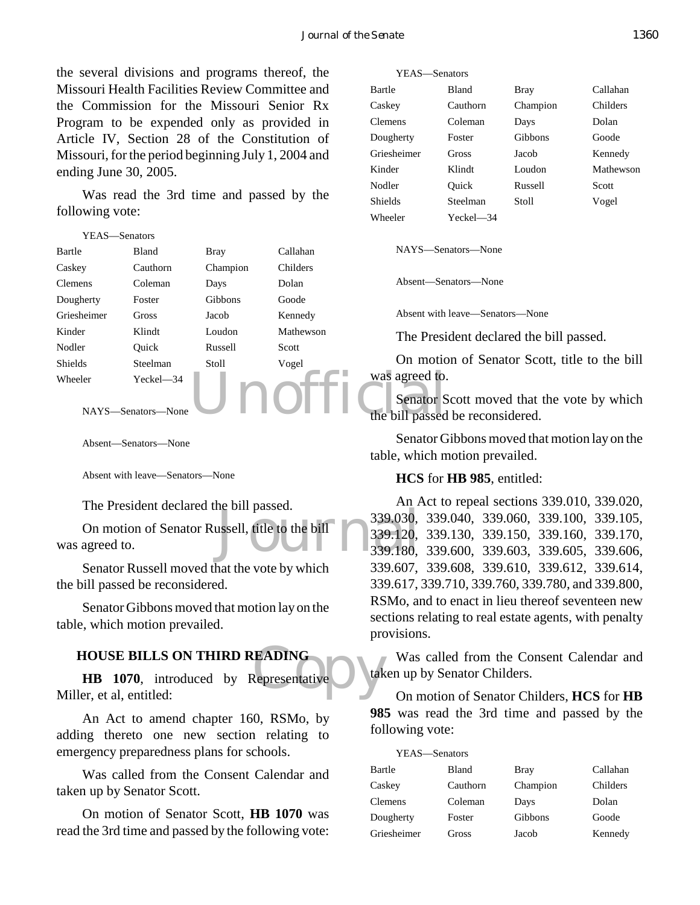the several divisions and programs thereof, the Missouri Health Facilities Review Committee and the Commission for the Missouri Senior Rx Program to be expended only as provided in Article IV, Section 28 of the Constitution of Missouri, for the period beginning July 1, 2004 and ending June 30, 2005.

Was read the 3rd time and passed by the following vote:

| YEAS-Senators  |                    |             |           |                              |
|----------------|--------------------|-------------|-----------|------------------------------|
| Bartle         | <b>Bland</b>       | <b>Bray</b> | Callahan  | NAYS-Sen                     |
| Caskey         | Cauthorn           | Champion    | Childers  |                              |
| <b>Clemens</b> | Coleman            | Days        | Dolan     | Absent—Ser                   |
| Dougherty      | Foster             | Gibbons     | Goode     |                              |
| Griesheimer    | Gross              | Jacob       | Kennedy   | Absent with                  |
| Kinder         | Klindt             | Loudon      | Mathewson | The Presi                    |
| Nodler         | Ouick              | Russell     | Scott     |                              |
| <b>Shields</b> | Steelman           | Stoll       | Vogel     | On motic                     |
| Wheeler        | Yeckel-34          |             |           | was agreed to.               |
|                | NAYS—Senators—None |             |           | Senator S<br>the bill passed |

Absent—Senators—None

Absent with leave—Senators—None

The President declared the bill passed.

de on passed.<br>
ussell, title to the bill<br>
339.120,<br>
339.180, On motion of Senator Russell, title to the bill was agreed to.

Senator Russell moved that the vote by which the bill passed be reconsidered.

Senator Gibbons moved that motion lay on the table, which motion prevailed.

#### **HOUSE BILLS ON THIRD READING**

EADING<br>Representative tak **HB 1070**, introduced by Representative Miller, et al, entitled:

An Act to amend chapter 160, RSMo, by adding thereto one new section relating to emergency preparedness plans for schools.

Was called from the Consent Calendar and taken up by Senator Scott.

On motion of Senator Scott, **HB 1070** was read the 3rd time and passed by the following vote:

YEAS—Senators Bartle Bland Bray Callahan Caskey Cauthorn Champion Childers Clemens Coleman Days Dolan Dougherty Foster Gibbons Goode Griesheimer Gross Jacob Kennedy Kinder Klindt Loudon Mathewson Nodler Ouick Russell Scott Shields Steelman Stoll Vogel Wheeler Yeckel—34

NAYS—Senators—None

Absent—Senators—None

Absent with leave—Senators—None

The President declared the bill passed.

On motion of Senator Scott, title to the bill was agreed to.

Senator Scott moved that the vote by which the bill passed be reconsidered.

Senator Gibbons moved that motion lay on the table, which motion prevailed.

#### **HCS** for **HB 985**, entitled:

An Act to repeal sections 339.010, 339.020, 339.030, 339.040, 339.060, 339.100, 339.105, 339.120, 339.130, 339.150, 339.160, 339.170, 339.180, 339.600, 339.603, 339.605, 339.606, 339.607, 339.608, 339.610, 339.612, 339.614, 339.617, 339.710, 339.760, 339.780, and 339.800, RSMo, and to enact in lieu thereof seventeen new sections relating to real estate agents, with penalty provisions.

Was called from the Consent Calendar and taken up by Senator Childers.

On motion of Senator Childers, **HCS** for **HB 985** was read the 3rd time and passed by the following vote:

| YEAS-Senators |                |          |
|---------------|----------------|----------|
| <b>Bland</b>  | <b>Bray</b>    | Callahan |
| Cauthorn      | Champion       | Childers |
| Coleman       | Days           | Dolan    |
| Foster        | <b>Gibbons</b> | Goode    |
| Gross         | Jacob          | Kennedy  |
|               |                |          |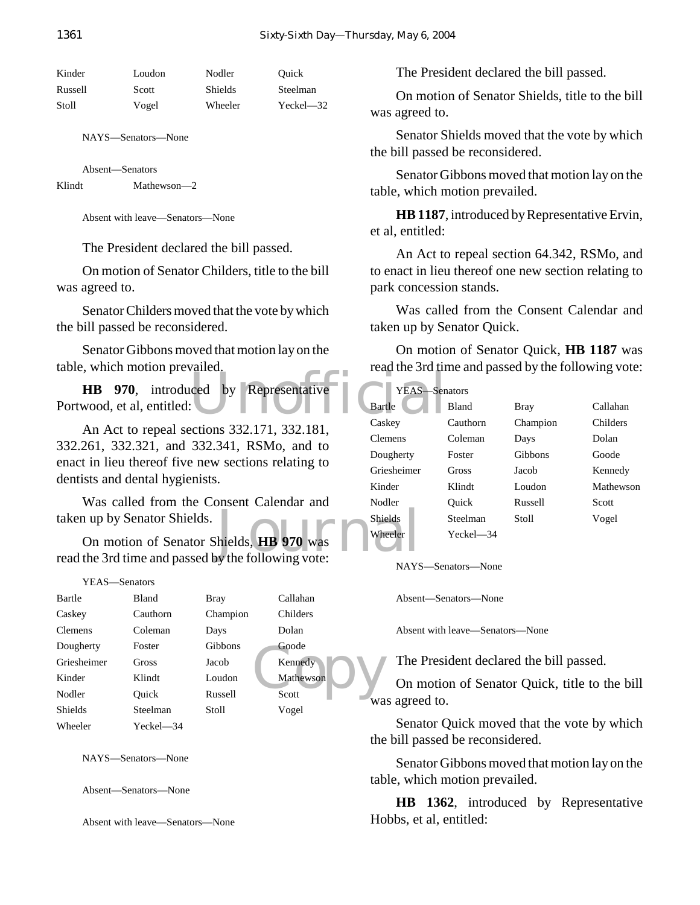| Kinder  | Loudon | Nodler         | Ouick         |
|---------|--------|----------------|---------------|
| Russell | Scott  | <b>Shields</b> | Steelman      |
| Stoll   | Vogel  | Wheeler        | $Yeckel - 32$ |

NAYS—Senators—None

Absent—Senators Klindt Mathewson—2

Absent with leave—Senators—None

The President declared the bill passed.

On motion of Senator Childers, title to the bill was agreed to.

Senator Childers moved that the vote by which the bill passed be reconsidered.

Senator Gibbons moved that motion lay on the table, which motion prevailed.

Unofficial **HB 970**, introduced by Representative Portwood, et al, entitled:

An Act to repeal sections 332.171, 332.181, 332.261, 332.321, and 332.341, RSMo, and to enact in lieu thereof five new sections relating to dentists and dental hygienists.

Was called from the Consent Calendar and taken up by Senator Shields.

Shields<br>hields, **HB** 970 was<br>wheeler<br>wheeler<br>wheeler On motion of Senator Shields, **HB 970** was read the 3rd time and passed by the following vote:

| YEAS—Senators  |              |             |             |
|----------------|--------------|-------------|-------------|
| Bartle         | <b>Bland</b> | <b>Bray</b> | Callahan    |
| Caskey         | Cauthorn     | Champion    | Childers    |
| <b>Clemens</b> | Coleman      | Days        | Dolan       |
| Dougherty      | Foster       | Gibbons     | Goode       |
| Griesheimer    | Gross        | Jacob       | Kennedy     |
| Kinder         | Klindt       | Loudon      | Mathewson   |
| Nodler         | Ouick        | Russell     | Scott<br>wa |
| <b>Shields</b> | Steelman     | Stoll       | Vogel       |
| Wheeler        | Yeckel—34    |             |             |

NAYS—Senators—None

Absent—Senators—None

Absent with leave—Senators—None

The President declared the bill passed.

On motion of Senator Shields, title to the bill was agreed to.

Senator Shields moved that the vote by which the bill passed be reconsidered.

Senator Gibbons moved that motion lay on the table, which motion prevailed.

**HB 1187**, introduced by Representative Ervin, et al, entitled:

An Act to repeal section 64.342, RSMo, and to enact in lieu thereof one new section relating to park concession stands.

Was called from the Consent Calendar and taken up by Senator Quick.

On motion of Senator Quick, **HB 1187** was read the 3rd time and passed by the following vote:

| YEAS-          | –Senators    |             |           |
|----------------|--------------|-------------|-----------|
| Bartle         | Bland        | <b>Bray</b> | Callahan  |
| Caskey         | Cauthorn     | Champion    | Childers  |
| <b>Clemens</b> | Coleman      | Days        | Dolan     |
| Dougherty      | Foster       | Gibbons     | Goode     |
| Griesheimer    | Gross        | Jacob       | Kennedy   |
| Kinder         | Klindt       | Loudon      | Mathewson |
| Nodler         | Ouick        | Russell     | Scott     |
| <b>Shields</b> | Steelman     | Stoll       | Vogel     |
| Wheeler        | $Yeckel$ —34 |             |           |

NAYS—Senators—None

Absent—Senators—None

Absent with leave—Senators—None

The President declared the bill passed.

On motion of Senator Quick, title to the bill was agreed to.

Senator Quick moved that the vote by which the bill passed be reconsidered.

Senator Gibbons moved that motion lay on the table, which motion prevailed.

**HB 1362**, introduced by Representative Hobbs, et al, entitled: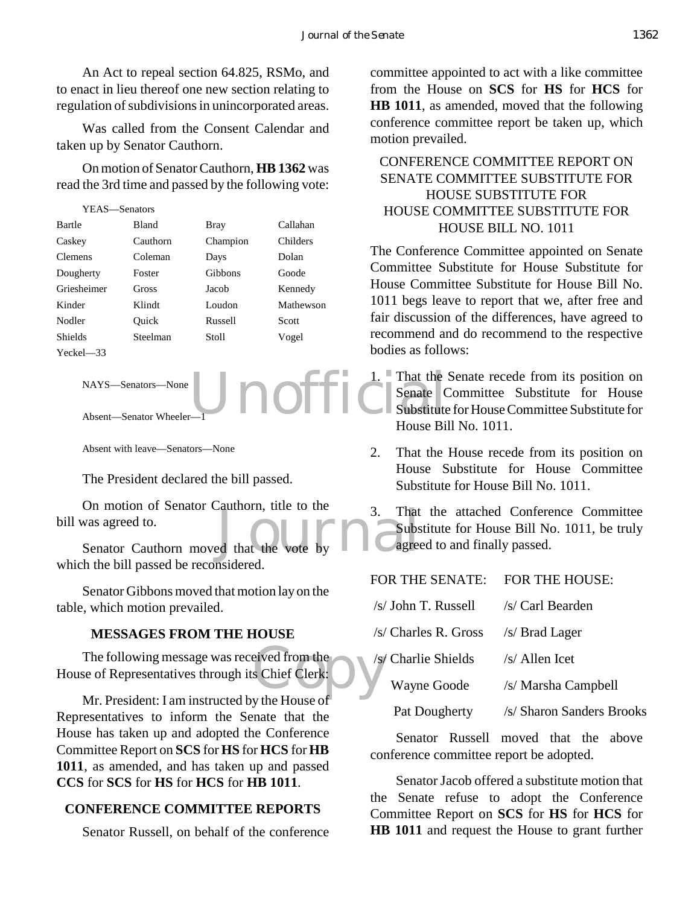An Act to repeal section 64.825, RSMo, and to enact in lieu thereof one new section relating to regulation of subdivisions in unincorporated areas.

Was called from the Consent Calendar and taken up by Senator Cauthorn.

On motion of Senator Cauthorn, **HB 1362** was read the 3rd time and passed by the following vote:

| YEAS—Senators |          |           |  |
|---------------|----------|-----------|--|
| <b>Bland</b>  | Bray     | Callahan  |  |
| Cauthorn      | Champion | Childers  |  |
| Coleman       | Days     | Dolan     |  |
| Foster        | Gibbons  | Goode     |  |
| Gross         | Jacob    | Kennedy   |  |
| Klindt        | Loudon   | Mathewson |  |
| Ouick         | Russell  | Scott     |  |
| Steelman      | Stoll    | Vogel     |  |
|               |          |           |  |
|               |          |           |  |

NAYS—Senators—None

Absent—Senator Wheeler-

Absent with leave—Senators—None

The President declared the bill passed.

Senator Cauthorn moved that the vote by a subset of the senator Cauthorn moved that the vote by agree On motion of Senator Cauthorn, title to the bill was agreed to.

which the bill passed be reconsidered.

Senator Gibbons moved that motion lay on the table, which motion prevailed.

#### **MESSAGES FROM THE HOUSE**

eived from the<br>s Chief Clerk: The following message was received from the House of Representatives through its Chief Clerk:

Mr. President: I am instructed by the House of Representatives to inform the Senate that the House has taken up and adopted the Conference Committee Report on **SCS** for **HS** for **HCS** for **HB 1011**, as amended, and has taken up and passed **CCS** for **SCS** for **HS** for **HCS** for **HB 1011**.

#### **CONFERENCE COMMITTEE REPORTS**

Senator Russell, on behalf of the conference

committee appointed to act with a like committee from the House on **SCS** for **HS** for **HCS** for **HB 1011**, as amended, moved that the following conference committee report be taken up, which motion prevailed.

## CONFERENCE COMMITTEE REPORT ON SENATE COMMITTEE SUBSTITUTE FOR HOUSE SUBSTITUTE FOR HOUSE COMMITTEE SUBSTITUTE FOR HOUSE BILL NO. 1011

The Conference Committee appointed on Senate Committee Substitute for House Substitute for House Committee Substitute for House Bill No. 1011 begs leave to report that we, after free and fair discussion of the differences, have agreed to recommend and do recommend to the respective bodies as follows:

Unoffic Senate C 1. That the Senate recede from its position on Senate Committee Substitute for House Substitute for House Committee Substitute for House Bill No. 1011.

> 2. That the House recede from its position on House Substitute for House Committee Substitute for House Bill No. 1011.

> 3. That the attached Conference Committee Substitute for House Bill No. 1011, be truly agreed to and finally passed.

 $\overline{O}D$  THE GENATE

| FOR THE SENATE: FOR THE HOUSE: |                           |
|--------------------------------|---------------------------|
| $/s$ John T. Russell           | /s/ Carl Bearden          |
| $/s$ Charles R. Gross          | /s/ Brad Lager            |
| /s/ Charlie Shields            | $/s/$ Allen Icet          |
| Wayne Goode                    | /s/ Marsha Campbell       |
| Pat Dougherty                  | /s/ Sharon Sanders Brooks |

Senator Russell moved that the above conference committee report be adopted.

Senator Jacob offered a substitute motion that the Senate refuse to adopt the Conference Committee Report on **SCS** for **HS** for **HCS** for **HB 1011** and request the House to grant further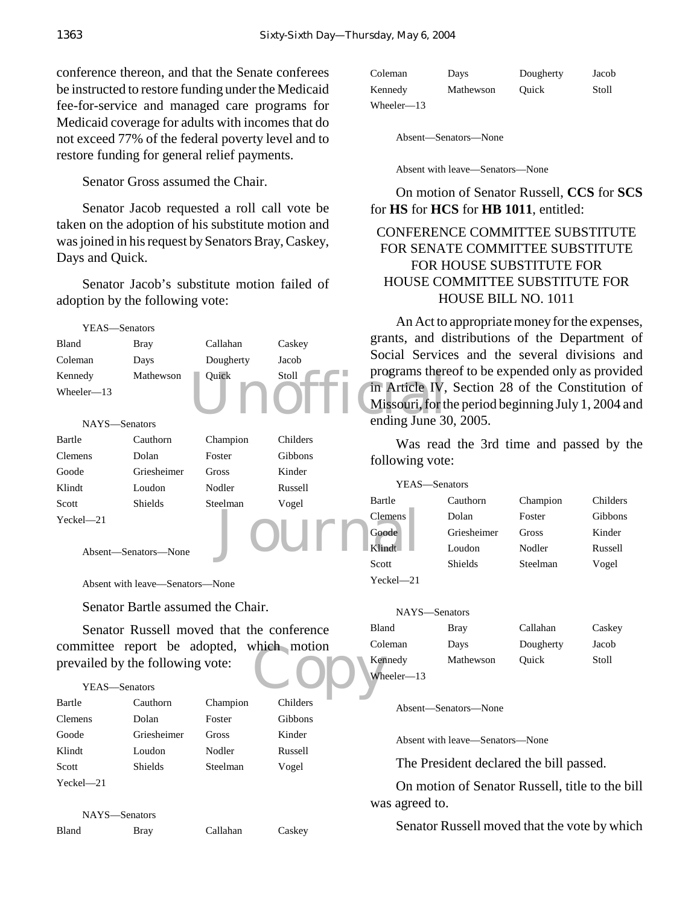conference thereon, and that the Senate conferees be instructed to restore funding under the Medicaid fee-for-service and managed care programs for Medicaid coverage for adults with incomes that do not exceed 77% of the federal poverty level and to restore funding for general relief payments.

Senator Gross assumed the Chair.

Senator Jacob requested a roll call vote be taken on the adoption of his substitute motion and was joined in his request by Senators Bray, Caskey, Days and Quick.

Senator Jacob's substitute motion failed of adoption by the following vote:



| Coleman       | Davs      | Dougherty | Jacob |
|---------------|-----------|-----------|-------|
| Kennedy       | Mathewson | Ouick     | Stoll |
| Wheeler— $13$ |           |           |       |

Absent—Senators—None

Absent with leave—Senators—None

On motion of Senator Russell, **CCS** for **SCS** for **HS** for **HCS** for **HB 1011**, entitled:

## CONFERENCE COMMITTEE SUBSTITUTE FOR SENATE COMMITTEE SUBSTITUTE FOR HOUSE SUBSTITUTE FOR HOUSE COMMITTEE SUBSTITUTE FOR HOUSE BILL NO. 1011

An Act to appropriate money for the expenses, grants, and distributions of the Department of Social Services and the several divisions and programs thereof to be expended only as provided in Article IV, Section 28 of the Constitution of Missouri, for the period beginning July 1, 2004 and ending June 30, 2005.

Was read the 3rd time and passed by the following vote:

| YEAS—Senators  |             |          |          |
|----------------|-------------|----------|----------|
| Bartle         | Cauthorn    | Champion | Childers |
| <b>Clemens</b> | Dolan       | Foster   | Gibbons  |
| Goode          | Griesheimer | Gross    | Kinder   |
| Klindt         | Loudon      | Nodler   | Russell  |
| Scott          | Shields     | Steelman | Vogel    |
| $Yeckel - 21$  |             |          |          |

| NAYS-Senators |             |           |        |
|---------------|-------------|-----------|--------|
| Bland         | <b>Bray</b> | Callahan  | Caskey |
| Coleman       | Days        | Dougherty | Jacob  |
| Kennedy       | Mathewson   | Ouick     | Stoll  |
| Wheeler-13    |             |           |        |

Absent—Senators—None

Absent with leave—Senators—None

The President declared the bill passed.

On motion of Senator Russell, title to the bill was agreed to.

Senator Russell moved that the vote by which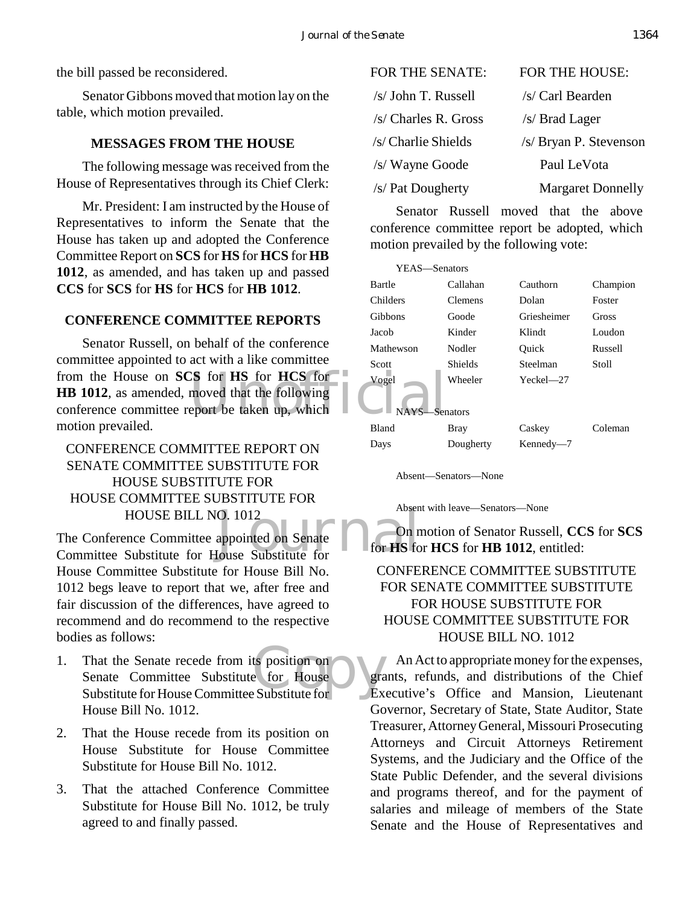the bill passed be reconsidered.

Senator Gibbons moved that motion lay on the table, which motion prevailed.

## **MESSAGES FROM THE HOUSE**

The following message was received from the House of Representatives through its Chief Clerk:

Mr. President: I am instructed by the House of Representatives to inform the Senate that the House has taken up and adopted the Conference Committee Report on **SCS** for **HS** for **HCS** for **HB 1012**, as amended, and has taken up and passed **CCS** for **SCS** for **HS** for **HCS** for **HB 1012**.

## **CONFERENCE COMMITTEE REPORTS**

from the House on **SCS** for **HS** for **HCS** for **NCS**  $\frac{1}{\sqrt{2}}$  vogel<br> **HB** 1012, as amended, moved that the following<br>
conference committee report be taken up, which Senator Russell, on behalf of the conference committee appointed to act with a like committee **HB 1012**, as amended, moved that the following conference committee report be taken up, which motion prevailed.

# CONFERENCE COMMITTEE REPORT ON SENATE COMMITTEE SUBSTITUTE FOR HOUSE SUBSTITUTE FOR HOUSE COMMITTEE SUBSTITUTE FOR HOUSE BILL NO. 1012

O. 1012<br>appointed on Senate<br>Journal on Senate<br>Tor HS for HS for HS for HS for HS for HS for HS for HS for HS for HS for HS for HS for HS for HS for HS for HS for HS for HS for HS for HS for HS for HS for HS for HS for HS f The Conference Committee appointed on Senate Committee Substitute for House Substitute for House Committee Substitute for House Bill No. 1012 begs leave to report that we, after free and fair discussion of the differences, have agreed to recommend and do recommend to the respective bodies as follows:

- ts position on<br>
e for House Substitute for Ex 1. That the Senate recede from its position on Senate Committee Substitute for House Substitute for House Committee Substitute for House Bill No. 1012.
- 2. That the House recede from its position on House Substitute for House Committee Substitute for House Bill No. 1012.
- 3. That the attached Conference Committee Substitute for House Bill No. 1012, be truly agreed to and finally passed.

| FOR THE SENATE:       | <b>FOR THE HOUSE:</b>    |
|-----------------------|--------------------------|
| /s/ John T. Russell   | /s/ Carl Bearden         |
| $/s$ Charles R. Gross | /s/ Brad Lager           |
| /s/ Charlie Shields   | /s/ Bryan P. Stevenson   |
| /s/ Wayne Goode       | Paul LeVota              |
| /s/ Pat Dougherty     | <b>Margaret Donnelly</b> |

Senator Russell moved that the above conference committee report be adopted, which motion prevailed by the following vote:

| YEAS-Senators          |           |               |          |
|------------------------|-----------|---------------|----------|
| Bartle                 | Callahan  | Cauthorn      | Champion |
| Childers               | Clemens   | Dolan         | Foster   |
| Gibbons                | Goode     | Griesheimer   | Gross    |
| Jacob                  | Kinder    | Klindt        | Loudon   |
| Mathewson              | Nodler    | Ouick         | Russell  |
| Scott                  | Shields   | Steelman      | Stoll    |
| Vogel<br>NAYS-Senators | Wheeler   | $Yeckel - 27$ |          |
| <b>Bland</b>           | Bray      | Caskey        | Coleman  |
| Days                   | Dougherty | Kennedy-7     |          |

Absent—Senators—None

Absent with leave—Senators—None

On motion of Senator Russell, **CCS** for **SCS** for **HS** for **HCS** for **HB 1012**, entitled:

# CONFERENCE COMMITTEE SUBSTITUTE FOR SENATE COMMITTEE SUBSTITUTE FOR HOUSE SUBSTITUTE FOR HOUSE COMMITTEE SUBSTITUTE FOR HOUSE BILL NO. 1012

An Act to appropriate money for the expenses, grants, refunds, and distributions of the Chief Executive's Office and Mansion, Lieutenant Governor, Secretary of State, State Auditor, State Treasurer, Attorney General, Missouri Prosecuting Attorneys and Circuit Attorneys Retirement Systems, and the Judiciary and the Office of the State Public Defender, and the several divisions and programs thereof, and for the payment of salaries and mileage of members of the State Senate and the House of Representatives and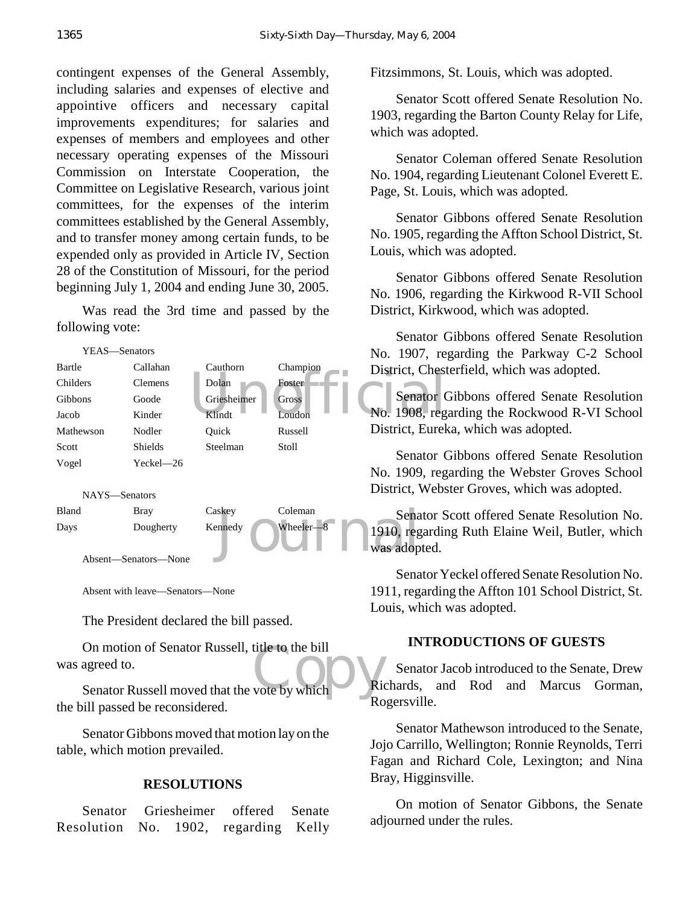contingent expenses of the General Assembly, including salaries and expenses of elective and appointive officers and necessary capital improvements expenditures; for salaries and expenses of members and employees and other necessary operating expenses of the Missouri Commission on Interstate Cooperation, the Committee on Legislative Research, various joint committees, for the expenses of the interim committees established by the General Assembly, and to transfer money among certain funds, to be expended only as provided in Article IV, Section 28 of the Constitution of Missouri, for the period beginning July 1, 2004 and ending June 30, 2005.

Was read the 3rd time and passed by the following vote:



Absent—Senators—None

Absent with leave—Senators—None

The President declared the bill passed.

On motion of Senator Russell, title to the bill<br>agreed to.<br>Senator Russell moved that the vote by which On motion of Senator Russell, title to the bill was agreed to.

the bill passed be reconsidered.

Senator Gibbons moved that motion lay on the table, which motion prevailed.

#### **RESOLUTIONS**

|                                      |  | Senator Griesheimer offered Senate |  |
|--------------------------------------|--|------------------------------------|--|
| Resolution No. 1902, regarding Kelly |  |                                    |  |

Fitzsimmons, St. Louis, which was adopted.

Senator Scott offered Senate Resolution No. 1903, regarding the Barton County Relay for Life, which was adopted.

Senator Coleman offered Senate Resolution No. 1904, regarding Lieutenant Colonel Everett E. Page, St. Louis, which was adopted.

Senator Gibbons offered Senate Resolution No. 1905, regarding the Affton School District, St. Louis, which was adopted.

Senator Gibbons offered Senate Resolution No. 1906, regarding the Kirkwood R-VII School District, Kirkwood, which was adopted.

Senator Gibbons offered Senate Resolution No. 1907, regarding the Parkway C-2 School District, Chesterfield, which was adopted.

Senator Gibbons offered Senate Resolution No. 1908, regarding the Rockwood R-VI School District, Eureka, which was adopted.

Senator Gibbons offered Senate Resolution No. 1909, regarding the Webster Groves School District, Webster Groves, which was adopted.

Senator Scott offered Senate Resolution No. 1910, regarding Ruth Elaine Weil, Butler, which was adopted.

Senator Yeckel offered Senate Resolution No. 1911, regarding the Affton 101 School District, St. Louis, which was adopted.

#### **INTRODUCTIONS OF GUESTS**

Senator Jacob introduced to the Senate, Drew Richards, and Rod and Marcus Gorman, Rogersville.

Senator Mathewson introduced to the Senate, Jojo Carrillo, Wellington; Ronnie Reynolds, Terri Fagan and Richard Cole, Lexington; and Nina Bray, Higginsville.

On motion of Senator Gibbons, the Senate adjourned under the rules.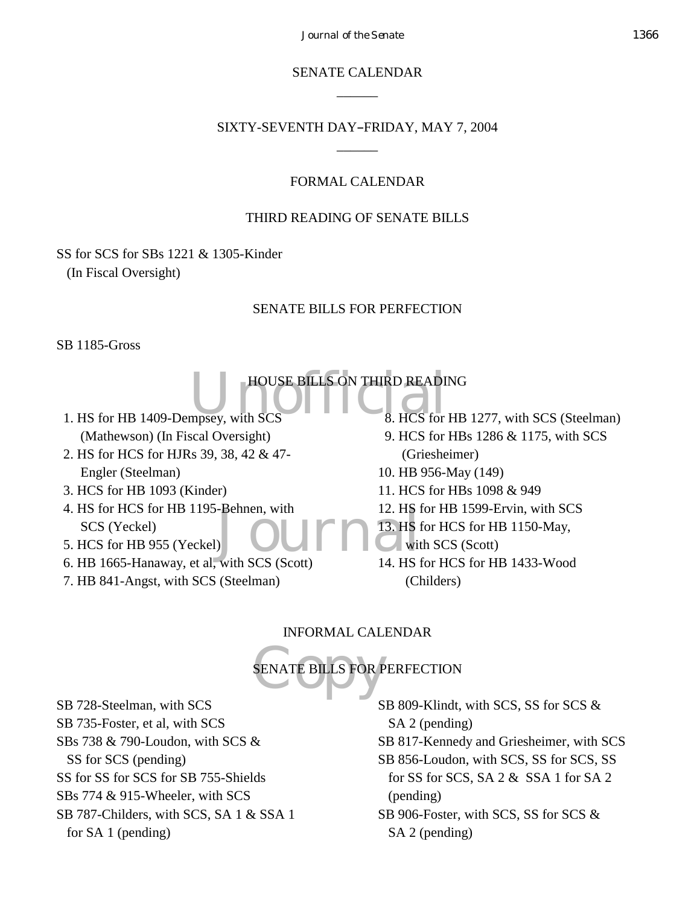*Journal of the Senate* 1366

SENATE CALENDAR  $\overline{\phantom{a}}$ 

SIXTY-SEVENTH DAY-FRIDAY, MAY 7, 2004  $\overline{\phantom{a}}$ 

# FORMAL CALENDAR

# THIRD READING OF SENATE BILLS

SS for SCS for SBs 1221 & 1305-Kinder (In Fiscal Oversight)

# SENATE BILLS FOR PERFECTION

SB 1185-Gross

HOUSE BILLS ON THIRD READING<br>
mpsey, with SCS
<sup>8</sup>. HCS for HB 1. HS for HB 1409-Dempsey, with SCS (Mathewson) (In Fiscal Oversight)

 2. HS for HCS for HJRs 39, 38, 42 & 47- Engler (Steelman)

3. HCS for HB 1093 (Kinder)

- -Behnen, with<br>
Journal of the SCS (Section 14, 18, 19) 4. HS for HCS for HB 1195-Behnen, with SCS (Yeckel)
- 5. HCS for HB 955 (Yeckel)
- 6. HB 1665-Hanaway, et al, with SCS (Scott)
- 7. HB 841-Angst, with SCS (Steelman)

8. HCS for HB 1277, with SCS (Steelman)

- 9. HCS for HBs 1286 & 1175, with SCS (Griesheimer)
- 10. HB 956-May (149)
- 11. HCS for HBs 1098 & 949
- 12. HS for HB 1599-Ervin, with SCS
- 13. HS for HCS for HB 1150-May,
- with SCS (Scott)
- 14. HS for HCS for HB 1433-Wood (Childers)

# INFORMAL CALENDAR

# SENATE BILLS FOR P SENATE BILLS FOR PERFECTION

SB 728-Steelman, with SCS SB 735-Foster, et al, with SCS SBs 738 & 790-Loudon, with SCS & SS for SCS (pending) SS for SS for SCS for SB 755-Shields SBs 774 & 915-Wheeler, with SCS SB 787-Childers, with SCS, SA 1 & SSA 1 for SA 1 (pending)

SB 809-Klindt, with SCS, SS for SCS & SA 2 (pending) SB 817-Kennedy and Griesheimer, with SCS

SB 856-Loudon, with SCS, SS for SCS, SS for SS for SCS, SA 2 & SSA 1 for SA 2 (pending)

SB 906-Foster, with SCS, SS for SCS & SA 2 (pending)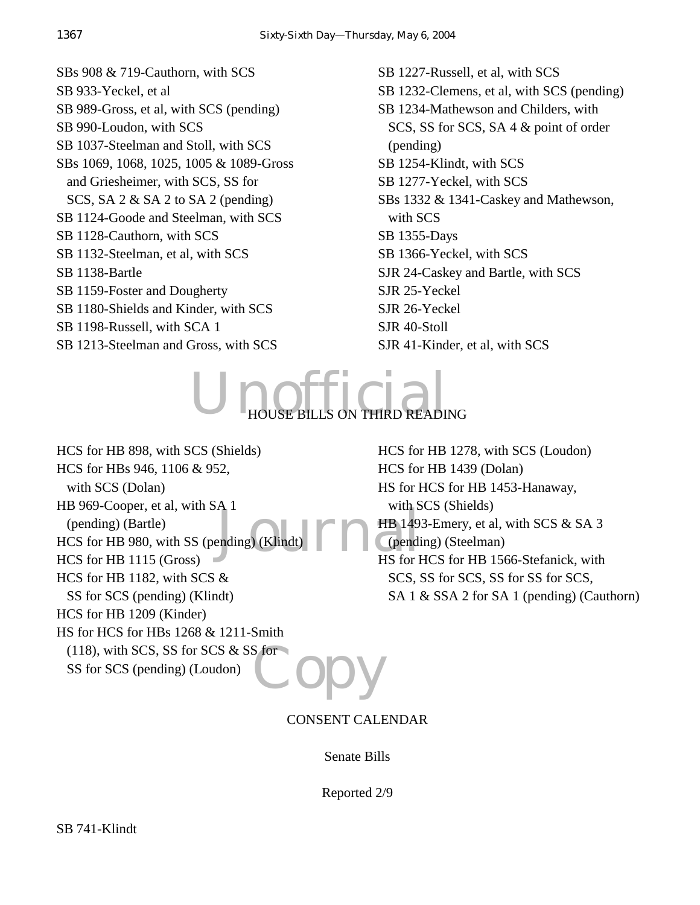SBs 908 & 719-Cauthorn, with SCS SB 933-Yeckel, et al SB 989-Gross, et al, with SCS (pending) SB 990-Loudon, with SCS SB 1037-Steelman and Stoll, with SCS SBs 1069, 1068, 1025, 1005 & 1089-Gross and Griesheimer, with SCS, SS for SCS, SA 2 & SA 2 to SA 2 (pending) SB 1124-Goode and Steelman, with SCS SB 1128-Cauthorn, with SCS SB 1132-Steelman, et al, with SCS SB 1138-Bartle SB 1159-Foster and Dougherty SB 1180-Shields and Kinder, with SCS SB 1198-Russell, with SCA 1 SB 1213-Steelman and Gross, with SCS

SB 1227-Russell, et al, with SCS SB 1232-Clemens, et al, with SCS (pending) SB 1234-Mathewson and Childers, with SCS, SS for SCS, SA 4 & point of order (pending) SB 1254-Klindt, with SCS SB 1277-Yeckel, with SCS SBs 1332 & 1341-Caskey and Mathewson, with SCS SB 1355-Days SB 1366-Yeckel, with SCS SJR 24-Caskey and Bartle, with SCS SJR 25-Yeckel SJR 26-Yeckel SJR 40-Stoll SJR 41-Kinder, et al, with SCS



HB 149<br>ending) (Klindt) FR 149<br>HS for I **Copy** HCS for HB 898, with SCS (Shields) HCS for HBs 946, 1106 & 952, with SCS (Dolan) HB 969-Cooper, et al, with SA 1 (pending) (Bartle) HCS for HB 980, with SS (pending) (Klindt) HCS for HB 1115 (Gross) HCS for HB 1182, with SCS & SS for SCS (pending) (Klindt) HCS for HB 1209 (Kinder) HS for HCS for HBs 1268 & 1211-Smith  $(118)$ , with SCS, SS for SCS & SS for SS for SCS (pending) (Loudon)

HCS for HB 1278, with SCS (Loudon) HCS for HB 1439 (Dolan) HS for HCS for HB 1453-Hanaway, with SCS (Shields) HB 1493-Emery, et al, with SCS & SA 3 (pending) (Steelman) HS for HCS for HB 1566-Stefanick, with SCS, SS for SCS, SS for SS for SCS, SA 1 & SSA 2 for SA 1 (pending) (Cauthorn)

CONSENT CALENDAR

Senate Bills

Reported 2/9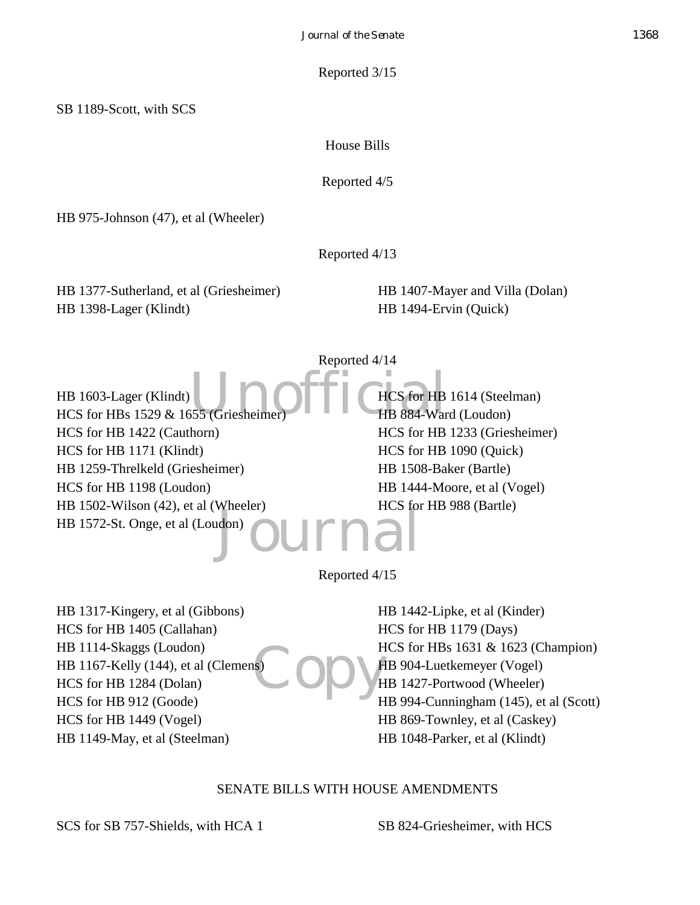Reported 3/15

House Bills

Reported 4/5

HB 975-Johnson (47), et al (Wheeler)

Reported 4/13

HB 1377-Sutherland, et al (Griesheimer) HB 1398-Lager (Klindt)

HB 1407-Mayer and Villa (Dolan) HB 1494-Ervin (Quick)

555 (Griesheimer) Ffiches for HB Journal Reported 4/14 HB 1603-Lager (Klindt) HCS for HBs 1529 & 1655 (Grieshei HCS for HB 1422 (Cauthorn) HCS for HB 1171 (Klindt) HB 1259-Threlkeld (Griesheimer) HCS for HB 1198 (Loudon) HB 1502-Wilson (42), et al (Wheeler) HB 1572-St. Onge, et al (Loudon) HCS for HB 1614 (Steelman) HB 884-Ward (Loudon) HCS for HB 1233 (Griesheimer) HCS for HB 1090 (Quick) HB 1508-Baker (Bartle) HB 1444-Moore, et al (Vogel) HCS for HB 988 (Bartle)

Reported 4/15

SCopy<sup>H</sup> HB 1317-Kingery, et al (Gibbons) HCS for HB 1405 (Callahan) HB 1114-Skaggs (Loudon) HB 1167-Kelly (144), et al (Clemens) HCS for HB 1284 (Dolan) HCS for HB 912 (Goode) HCS for HB 1449 (Vogel) HB 1149-May, et al (Steelman)

HB 1442-Lipke, et al (Kinder) HCS for HB 1179 (Days) HCS for HBs 1631 & 1623 (Champion) HB 904-Luetkemeyer (Vogel) HB 1427-Portwood (Wheeler) HB 994-Cunningham (145), et al (Scott) HB 869-Townley, et al (Caskey) HB 1048-Parker, et al (Klindt)

# SENATE BILLS WITH HOUSE AMENDMENTS

SCS for SB 757-Shields, with HCA 1 SB 824-Griesheimer, with HCS